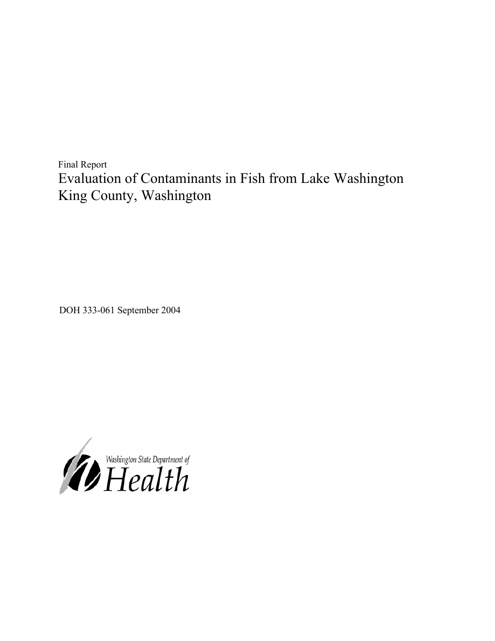Final Report Evaluation of Contaminants in Fish from Lake Washington King County, Washington

DOH 333-061 September 2004

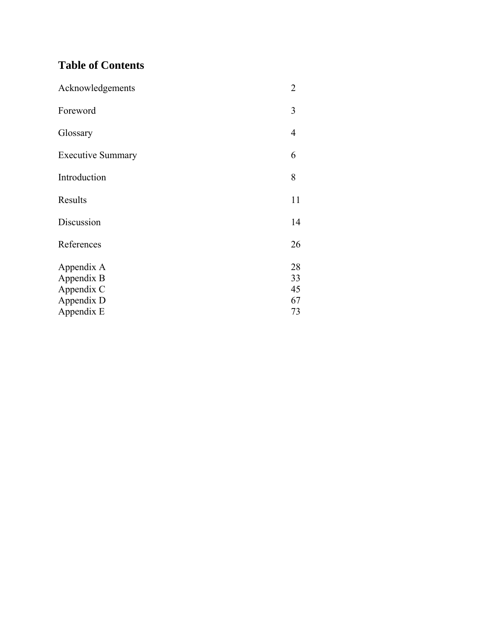## **Table of Contents**

| Acknowledgements         | $\overline{2}$ |
|--------------------------|----------------|
| Foreword                 | 3              |
| Glossary                 | 4              |
| <b>Executive Summary</b> | 6              |
| Introduction             | 8              |
| Results                  | 11             |
| Discussion               | 14             |
| References               | 26             |
| Appendix A               | 28             |
| Appendix B               | 33             |
| Appendix C               | 45             |
| Appendix D               | 67             |
| Appendix E               | 73             |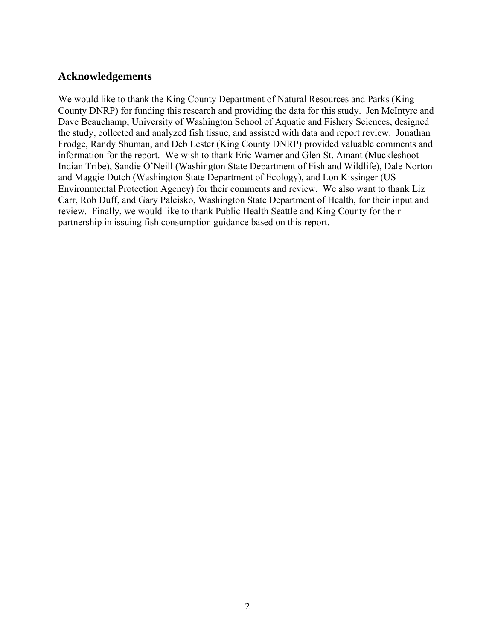### **Acknowledgements**

We would like to thank the King County Department of Natural Resources and Parks (King County DNRP) for funding this research and providing the data for this study. Jen McIntyre and Dave Beauchamp, University of Washington School of Aquatic and Fishery Sciences, designed the study, collected and analyzed fish tissue, and assisted with data and report review. Jonathan Frodge, Randy Shuman, and Deb Lester (King County DNRP) provided valuable comments and information for the report. We wish to thank Eric Warner and Glen St. Amant (Muckleshoot Indian Tribe), Sandie O'Neill (Washington State Department of Fish and Wildlife), Dale Norton and Maggie Dutch (Washington State Department of Ecology), and Lon Kissinger (US Environmental Protection Agency) for their comments and review. We also want to thank Liz Carr, Rob Duff, and Gary Palcisko, Washington State Department of Health, for their input and review. Finally, we would like to thank Public Health Seattle and King County for their partnership in issuing fish consumption guidance based on this report.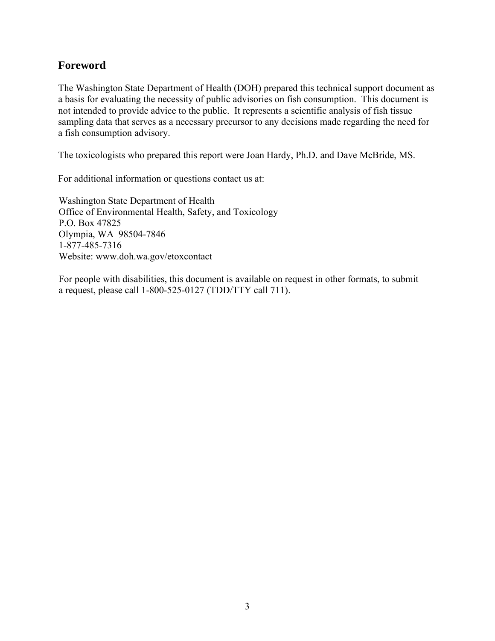### **Foreword**

The Washington State Department of Health (DOH) prepared this technical support document as a basis for evaluating the necessity of public advisories on fish consumption. This document is not intended to provide advice to the public. It represents a scientific analysis of fish tissue sampling data that serves as a necessary precursor to any decisions made regarding the need for a fish consumption advisory.

The toxicologists who prepared this report were Joan Hardy, Ph.D. and Dave McBride, MS.

For additional information or questions contact us at:

Washington State Department of Health Office of Environmental Health, Safety, and Toxicology P.O. Box 47825 Olympia, WA 98504-7846 1-877-485-7316 Website: www.doh.wa.gov/etoxcontact

For people with disabilities, this document is available on request in other formats, to submit a request, please call 1-800-525-0127 (TDD/TTY call 711).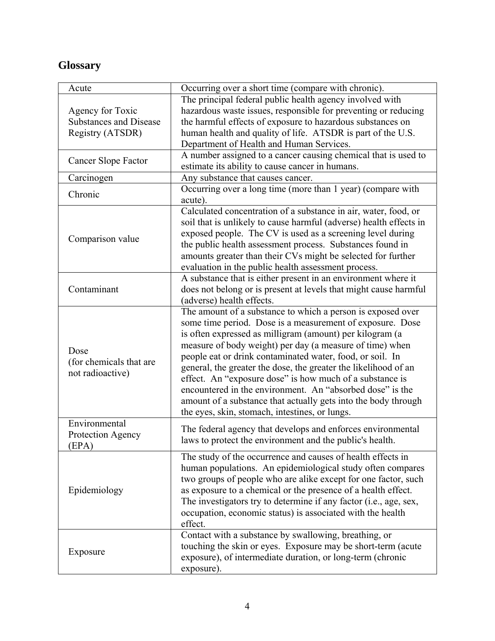## **Glossary**

| Acute                         | Occurring over a short time (compare with chronic).                |
|-------------------------------|--------------------------------------------------------------------|
|                               | The principal federal public health agency involved with           |
| Agency for Toxic              | hazardous waste issues, responsible for preventing or reducing     |
| <b>Substances and Disease</b> | the harmful effects of exposure to hazardous substances on         |
| Registry (ATSDR)              | human health and quality of life. ATSDR is part of the U.S.        |
|                               | Department of Health and Human Services.                           |
|                               | A number assigned to a cancer causing chemical that is used to     |
| Cancer Slope Factor           | estimate its ability to cause cancer in humans.                    |
| Carcinogen                    | Any substance that causes cancer.                                  |
|                               | Occurring over a long time (more than 1 year) (compare with        |
| Chronic                       | acute).                                                            |
|                               | Calculated concentration of a substance in air, water, food, or    |
|                               | soil that is unlikely to cause harmful (adverse) health effects in |
|                               | exposed people. The CV is used as a screening level during         |
| Comparison value              | the public health assessment process. Substances found in          |
|                               | amounts greater than their CVs might be selected for further       |
|                               | evaluation in the public health assessment process.                |
|                               | A substance that is either present in an environment where it      |
| Contaminant                   | does not belong or is present at levels that might cause harmful   |
|                               | (adverse) health effects.                                          |
|                               | The amount of a substance to which a person is exposed over        |
|                               | some time period. Dose is a measurement of exposure. Dose          |
|                               | is often expressed as milligram (amount) per kilogram (a           |
|                               | measure of body weight) per day (a measure of time) when           |
| Dose                          | people eat or drink contaminated water, food, or soil. In          |
| (for chemicals that are       | general, the greater the dose, the greater the likelihood of an    |
| not radioactive)              | effect. An "exposure dose" is how much of a substance is           |
|                               | encountered in the environment. An "absorbed dose" is the          |
|                               | amount of a substance that actually gets into the body through     |
|                               | the eyes, skin, stomach, intestines, or lungs.                     |
| Environmental                 |                                                                    |
| Protection Agency             | The federal agency that develops and enforces environmental        |
| (EPA)                         | laws to protect the environment and the public's health.           |
|                               | The study of the occurrence and causes of health effects in        |
|                               | human populations. An epidemiological study often compares         |
|                               | two groups of people who are alike except for one factor, such     |
| Epidemiology                  | as exposure to a chemical or the presence of a health effect.      |
|                               | The investigators try to determine if any factor (i.e., age, sex,  |
|                               | occupation, economic status) is associated with the health         |
|                               | effect.                                                            |
|                               | Contact with a substance by swallowing, breathing, or              |
|                               | touching the skin or eyes. Exposure may be short-term (acute       |
| Exposure                      | exposure), of intermediate duration, or long-term (chronic         |
|                               | exposure).                                                         |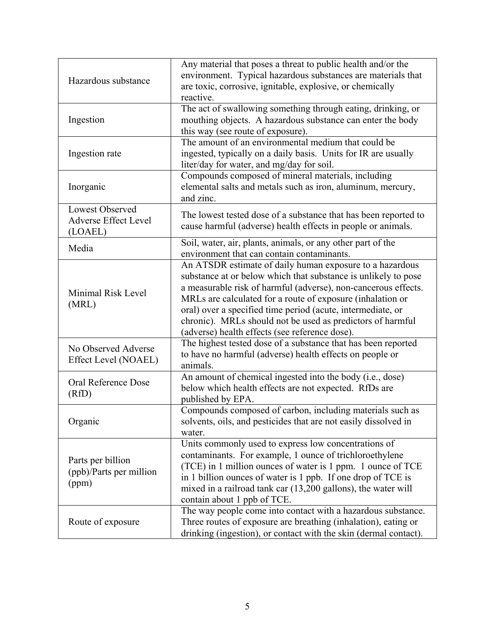| Hazardous substance                                       | Any material that poses a threat to public health and/or the<br>environment. Typical hazardous substances are materials that<br>are toxic, corrosive, ignitable, explosive, or chemically<br>reactive.                                                                                                                                                                                                                                    |
|-----------------------------------------------------------|-------------------------------------------------------------------------------------------------------------------------------------------------------------------------------------------------------------------------------------------------------------------------------------------------------------------------------------------------------------------------------------------------------------------------------------------|
| Ingestion                                                 | The act of swallowing something through eating, drinking, or<br>mouthing objects. A hazardous substance can enter the body<br>this way (see route of exposure).                                                                                                                                                                                                                                                                           |
| Ingestion rate                                            | The amount of an environmental medium that could be<br>ingested, typically on a daily basis. Units for IR are usually<br>liter/day for water, and mg/day for soil.                                                                                                                                                                                                                                                                        |
| Inorganic                                                 | Compounds composed of mineral materials, including<br>elemental salts and metals such as iron, aluminum, mercury,<br>and zinc.                                                                                                                                                                                                                                                                                                            |
| Lowest Observed<br><b>Adverse Effect Level</b><br>(LOAEL) | The lowest tested dose of a substance that has been reported to<br>cause harmful (adverse) health effects in people or animals.                                                                                                                                                                                                                                                                                                           |
| Media                                                     | Soil, water, air, plants, animals, or any other part of the<br>environment that can contain contaminants.                                                                                                                                                                                                                                                                                                                                 |
| Minimal Risk Level<br>(MRL)                               | An ATSDR estimate of daily human exposure to a hazardous<br>substance at or below which that substance is unlikely to pose<br>a measurable risk of harmful (adverse), non-cancerous effects.<br>MRLs are calculated for a route of exposure (inhalation or<br>oral) over a specified time period (acute, intermediate, or<br>chronic). MRLs should not be used as predictors of harmful<br>(adverse) health effects (see reference dose). |
| No Observed Adverse<br>Effect Level (NOAEL)               | The highest tested dose of a substance that has been reported<br>to have no harmful (adverse) health effects on people or<br>animals.                                                                                                                                                                                                                                                                                                     |
| Oral Reference Dose<br>(RfD)                              | An amount of chemical ingested into the body (i.e., dose)<br>below which health effects are not expected. RfDs are<br>published by EPA.                                                                                                                                                                                                                                                                                                   |
| Organic                                                   | Compounds composed of carbon, including materials such as<br>solvents, oils, and pesticides that are not easily dissolved in<br>water.                                                                                                                                                                                                                                                                                                    |
| Parts per billion<br>(ppb)/Parts per million<br>(ppm)     | Units commonly used to express low concentrations of<br>contaminants. For example, 1 ounce of trichloroethylene<br>(TCE) in 1 million ounces of water is 1 ppm. 1 ounce of TCE<br>in 1 billion ounces of water is 1 ppb. If one drop of TCE is<br>mixed in a railroad tank car (13,200 gallons), the water will<br>contain about 1 ppb of TCE.                                                                                            |
| Route of exposure                                         | The way people come into contact with a hazardous substance.<br>Three routes of exposure are breathing (inhalation), eating or<br>drinking (ingestion), or contact with the skin (dermal contact).                                                                                                                                                                                                                                        |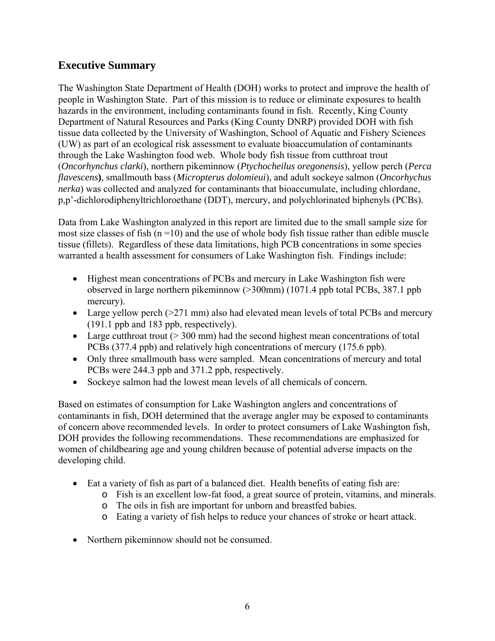## **Executive Summary**

The Washington State Department of Health (DOH) works to protect and improve the health of people in Washington State. Part of this mission is to reduce or eliminate exposures to health hazards in the environment, including contaminants found in fish. Recently, King County Department of Natural Resources and Parks (King County DNRP) provided DOH with fish tissue data collected by the University of Washington, School of Aquatic and Fishery Sciences (UW) as part of an ecological risk assessment to evaluate bioaccumulation of contaminants through the Lake Washington food web. Whole body fish tissue from cutthroat trout (*Oncorhynchus clarki*), northern pikeminnow (*Ptychocheilus oregonensis*), yellow perch (*Perca flavescens***)**, smallmouth bass (*Micropterus dolomieui*), and adult sockeye salmon (*Oncorhychus nerka*) was collected and analyzed for contaminants that bioaccumulate, including chlordane, p,p'-dichlorodiphenyltrichloroethane (DDT), mercury, and polychlorinated biphenyls (PCBs).

Data from Lake Washington analyzed in this report are limited due to the small sample size for most size classes of fish  $(n = 10)$  and the use of whole body fish tissue rather than edible muscle tissue (fillets). Regardless of these data limitations, high PCB concentrations in some species warranted a health assessment for consumers of Lake Washington fish. Findings include:

- Highest mean concentrations of PCBs and mercury in Lake Washington fish were observed in large northern pikeminnow (>300mm) (1071.4 ppb total PCBs, 387.1 ppb mercury).
- Large yellow perch (>271 mm) also had elevated mean levels of total PCBs and mercury (191.1 ppb and 183 ppb, respectively).
- Large cutthroat trout  $(> 300 \text{ mm})$  had the second highest mean concentrations of total PCBs (377.4 ppb) and relatively high concentrations of mercury (175.6 ppb).
- Only three smallmouth bass were sampled. Mean concentrations of mercury and total PCBs were 244.3 ppb and 371.2 ppb, respectively.
- Sockeye salmon had the lowest mean levels of all chemicals of concern*.*

Based on estimates of consumption for Lake Washington anglers and concentrations of contaminants in fish, DOH determined that the average angler may be exposed to contaminants of concern above recommended levels. In order to protect consumers of Lake Washington fish, DOH provides the following recommendations. These recommendations are emphasized for women of childbearing age and young children because of potential adverse impacts on the developing child.

- Eat a variety of fish as part of a balanced diet. Health benefits of eating fish are:
	- o Fish is an excellent low-fat food, a great source of protein, vitamins, and minerals.
	- o The oils in fish are important for unborn and breastfed babies.
	- o Eating a variety of fish helps to reduce your chances of stroke or heart attack.
- Northern pikeminnow should not be consumed.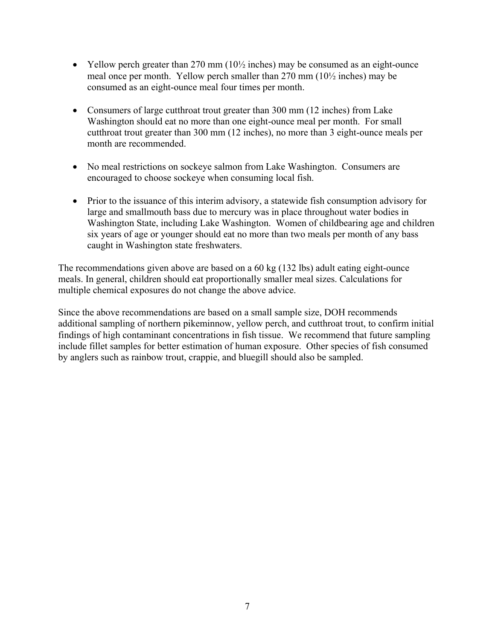- Yellow perch greater than 270 mm  $(10\frac{1}{2})$  inches) may be consumed as an eight-ounce meal once per month. Yellow perch smaller than 270 mm (10½ inches) may be consumed as an eight-ounce meal four times per month.
- Consumers of large cutthroat trout greater than 300 mm (12 inches) from Lake Washington should eat no more than one eight-ounce meal per month. For small cutthroat trout greater than 300 mm (12 inches), no more than 3 eight-ounce meals per month are recommended.
- No meal restrictions on sockeye salmon from Lake Washington. Consumers are encouraged to choose sockeye when consuming local fish.
- Prior to the issuance of this interim advisory, a statewide fish consumption advisory for large and smallmouth bass due to mercury was in place throughout water bodies in Washington State, including Lake Washington. Women of childbearing age and children six years of age or younger should eat no more than two meals per month of any bass caught in Washington state freshwaters.

The recommendations given above are based on a 60 kg (132 lbs) adult eating eight-ounce meals. In general, children should eat proportionally smaller meal sizes. Calculations for multiple chemical exposures do not change the above advice.

Since the above recommendations are based on a small sample size, DOH recommends additional sampling of northern pikeminnow, yellow perch, and cutthroat trout, to confirm initial findings of high contaminant concentrations in fish tissue. We recommend that future sampling include fillet samples for better estimation of human exposure. Other species of fish consumed by anglers such as rainbow trout, crappie, and bluegill should also be sampled.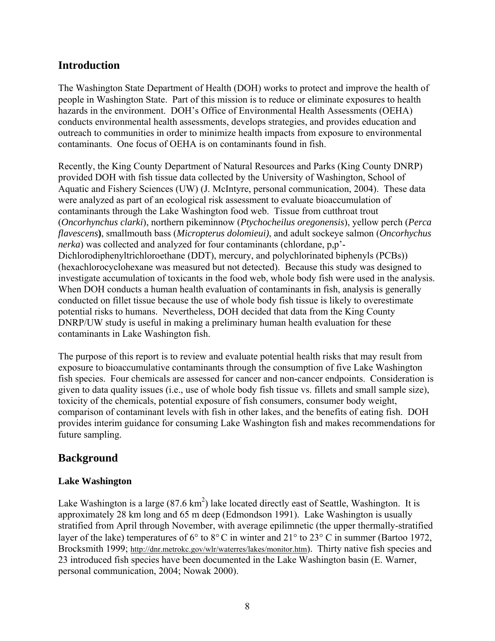## **Introduction**

The Washington State Department of Health (DOH) works to protect and improve the health of people in Washington State. Part of this mission is to reduce or eliminate exposures to health hazards in the environment. DOH's Office of Environmental Health Assessments (OEHA) conducts environmental health assessments, develops strategies, and provides education and outreach to communities in order to minimize health impacts from exposure to environmental contaminants. One focus of OEHA is on contaminants found in fish.

Recently, the King County Department of Natural Resources and Parks (King County DNRP) provided DOH with fish tissue data collected by the University of Washington, School of Aquatic and Fishery Sciences (UW) (J. McIntyre, personal communication, 2004). These data were analyzed as part of an ecological risk assessment to evaluate bioaccumulation of contaminants through the Lake Washington food web. Tissue from cutthroat trout (*Oncorhynchus clarki*), northern pikeminnow (*Ptychocheilus oregonensis*), yellow perch (*Perca flavescens***)**, smallmouth bass (*Micropterus dolomieui)*, and adult sockeye salmon (*Oncorhychus nerka*) was collected and analyzed for four contaminants (chlordane, p,p'- Dichlorodiphenyltrichloroethane (DDT), mercury, and polychlorinated biphenyls (PCBs)) (hexachlorocyclohexane was measured but not detected). Because this study was designed to investigate accumulation of toxicants in the food web, whole body fish were used in the analysis. When DOH conducts a human health evaluation of contaminants in fish, analysis is generally conducted on fillet tissue because the use of whole body fish tissue is likely to overestimate potential risks to humans. Nevertheless, DOH decided that data from the King County DNRP/UW study is useful in making a preliminary human health evaluation for these contaminants in Lake Washington fish.

The purpose of this report is to review and evaluate potential health risks that may result from exposure to bioaccumulative contaminants through the consumption of five Lake Washington fish species. Four chemicals are assessed for cancer and non-cancer endpoints. Consideration is given to data quality issues (i.e., use of whole body fish tissue vs. fillets and small sample size), toxicity of the chemicals, potential exposure of fish consumers, consumer body weight, comparison of contaminant levels with fish in other lakes, and the benefits of eating fish. DOH provides interim guidance for consuming Lake Washington fish and makes recommendations for future sampling.

## **Background**

#### **Lake Washington**

Lake Washington is a large  $(87.6 \text{ km}^2)$  lake located directly east of Seattle, Washington. It is approximately 28 km long and 65 m deep (Edmondson 1991). Lake Washington is usually stratified from April through November, with average epilimnetic (the upper thermally-stratified layer of the lake) temperatures of 6° to 8°C in winter and 21° to 23° C in summer (Bartoo 1972, Brocksmith 1999; http://dnr.metrokc.gov/wlr/waterres/lakes/monitor.htm). Thirty native fish species and 23 introduced fish species have been documented in the Lake Washington basin (E. Warner, personal communication, 2004; Nowak 2000).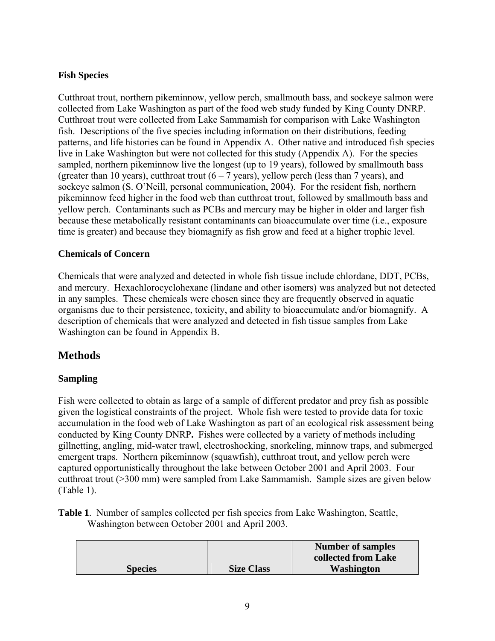#### **Fish Species**

Cutthroat trout, northern pikeminnow, yellow perch, smallmouth bass, and sockeye salmon were collected from Lake Washington as part of the food web study funded by King County DNRP. Cutthroat trout were collected from Lake Sammamish for comparison with Lake Washington fish. Descriptions of the five species including information on their distributions, feeding patterns, and life histories can be found in Appendix A. Other native and introduced fish species live in Lake Washington but were not collected for this study (Appendix A). For the species sampled, northern pikeminnow live the longest (up to 19 years), followed by smallmouth bass (greater than 10 years), cutthroat trout  $(6 - 7$  years), yellow perch (less than 7 years), and sockeye salmon (S. O'Neill, personal communication, 2004). For the resident fish, northern pikeminnow feed higher in the food web than cutthroat trout, followed by smallmouth bass and yellow perch. Contaminants such as PCBs and mercury may be higher in older and larger fish because these metabolically resistant contaminants can bioaccumulate over time (i.e., exposure time is greater) and because they biomagnify as fish grow and feed at a higher trophic level.

#### **Chemicals of Concern**

Chemicals that were analyzed and detected in whole fish tissue include chlordane, DDT, PCBs, and mercury. Hexachlorocyclohexane (lindane and other isomers) was analyzed but not detected in any samples. These chemicals were chosen since they are frequently observed in aquatic organisms due to their persistence, toxicity, and ability to bioaccumulate and/or biomagnify. A description of chemicals that were analyzed and detected in fish tissue samples from Lake Washington can be found in Appendix B.

### **Methods**

#### **Sampling**

Fish were collected to obtain as large of a sample of different predator and prey fish as possible given the logistical constraints of the project. Whole fish were tested to provide data for toxic accumulation in the food web of Lake Washington as part of an ecological risk assessment being conducted by King County DNRP**.** Fishes were collected by a variety of methods including gillnetting, angling, mid-water trawl, electroshocking, snorkeling, minnow traps, and submerged emergent traps. Northern pikeminnow (squawfish), cutthroat trout, and yellow perch were captured opportunistically throughout the lake between October 2001 and April 2003. Four cutthroat trout (>300 mm) were sampled from Lake Sammamish. Sample sizes are given below (Table 1).

**Table 1**. Number of samples collected per fish species from Lake Washington, Seattle, Washington between October 2001 and April 2003.

|                |                   | Number of samples<br>collected from Lake |
|----------------|-------------------|------------------------------------------|
| <b>Species</b> | <b>Size Class</b> | <b>Washington</b>                        |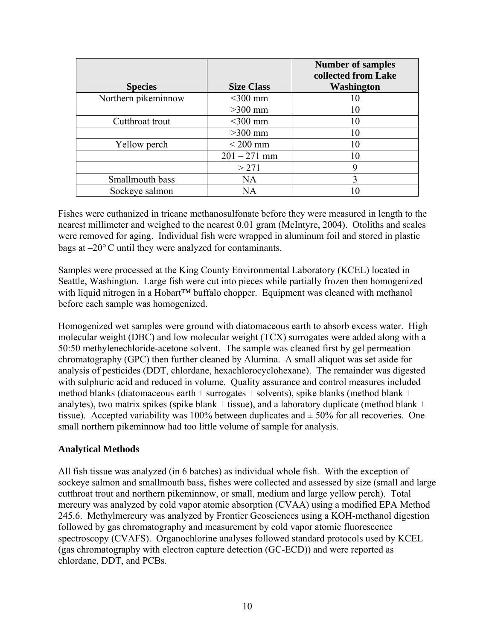|                     |                   | <b>Number of samples</b><br>collected from Lake |
|---------------------|-------------------|-------------------------------------------------|
| <b>Species</b>      | <b>Size Class</b> | Washington                                      |
| Northern pikeminnow | $<$ 300 mm        | 10                                              |
|                     | $>300$ mm         | 10                                              |
| Cutthroat trout     | $<$ 300 mm        | 10                                              |
|                     | $>300$ mm         | 10                                              |
| Yellow perch        | $<$ 200 mm        | 10                                              |
|                     | $201 - 271$ mm    | 10                                              |
|                     | > 271             | 9                                               |
| Smallmouth bass     | <b>NA</b>         | 3                                               |
| Sockeye salmon      | NA                |                                                 |

Fishes were euthanized in tricane methanosulfonate before they were measured in length to the nearest millimeter and weighed to the nearest 0.01 gram (McIntyre, 2004). Otoliths and scales were removed for aging. Individual fish were wrapped in aluminum foil and stored in plastic bags at –20°C until they were analyzed for contaminants.

Samples were processed at the King County Environmental Laboratory (KCEL) located in Seattle, Washington. Large fish were cut into pieces while partially frozen then homogenized with liquid nitrogen in a Hobart™ buffalo chopper. Equipment was cleaned with methanol before each sample was homogenized.

Homogenized wet samples were ground with diatomaceous earth to absorb excess water. High molecular weight (DBC) and low molecular weight (TCX) surrogates were added along with a 50:50 methylenechloride-acetone solvent. The sample was cleaned first by gel permeation chromatography (GPC) then further cleaned by Alumina. A small aliquot was set aside for analysis of pesticides (DDT, chlordane, hexachlorocyclohexane). The remainder was digested with sulphuric acid and reduced in volume. Quality assurance and control measures included method blanks (diatomaceous earth + surrogates + solvents), spike blanks (method blank + analytes), two matrix spikes (spike blank + tissue), and a laboratory duplicate (method blank + tissue). Accepted variability was 100% between duplicates and  $\pm$  50% for all recoveries. One small northern pikeminnow had too little volume of sample for analysis.

#### **Analytical Methods**

All fish tissue was analyzed (in 6 batches) as individual whole fish. With the exception of sockeye salmon and smallmouth bass, fishes were collected and assessed by size (small and large cutthroat trout and northern pikeminnow, or small, medium and large yellow perch). Total mercury was analyzed by cold vapor atomic absorption (CVAA) using a modified EPA Method 245.6. Methylmercury was analyzed by Frontier Geosciences using a KOH-methanol digestion followed by gas chromatography and measurement by cold vapor atomic fluorescence spectroscopy (CVAFS). Organochlorine analyses followed standard protocols used by KCEL (gas chromatography with electron capture detection (GC-ECD)) and were reported as chlordane, DDT, and PCBs.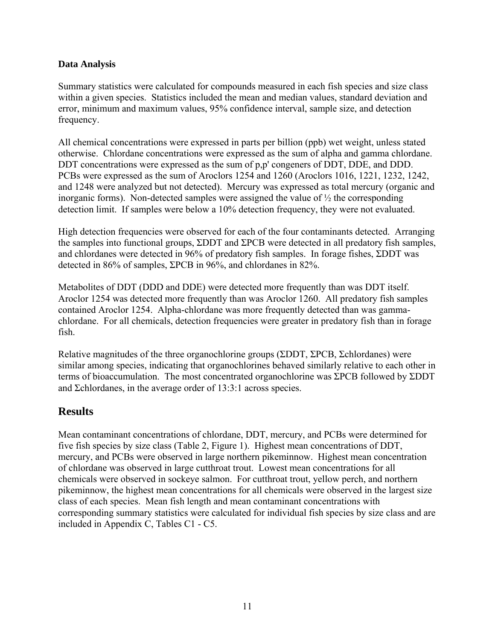#### **Data Analysis**

Summary statistics were calculated for compounds measured in each fish species and size class within a given species. Statistics included the mean and median values, standard deviation and error, minimum and maximum values, 95% confidence interval, sample size, and detection frequency.

All chemical concentrations were expressed in parts per billion (ppb) wet weight, unless stated otherwise. Chlordane concentrations were expressed as the sum of alpha and gamma chlordane. DDT concentrations were expressed as the sum of p,p' congeners of DDT, DDE, and DDD. PCBs were expressed as the sum of Aroclors 1254 and 1260 (Aroclors 1016, 1221, 1232, 1242, and 1248 were analyzed but not detected). Mercury was expressed as total mercury (organic and inorganic forms). Non-detected samples were assigned the value of ½ the corresponding detection limit. If samples were below a 10% detection frequency, they were not evaluated.

High detection frequencies were observed for each of the four contaminants detected. Arranging the samples into functional groups, ΣDDT and ΣPCB were detected in all predatory fish samples, and chlordanes were detected in 96% of predatory fish samples. In forage fishes, ΣDDT was detected in 86% of samples, ΣPCB in 96%, and chlordanes in 82%.

Metabolites of DDT (DDD and DDE) were detected more frequently than was DDT itself. Aroclor 1254 was detected more frequently than was Aroclor 1260. All predatory fish samples contained Aroclor 1254. Alpha-chlordane was more frequently detected than was gammachlordane. For all chemicals, detection frequencies were greater in predatory fish than in forage fish.

Relative magnitudes of the three organochlorine groups (ΣDDT, ΣPCB, Σchlordanes) were similar among species, indicating that organochlorines behaved similarly relative to each other in terms of bioaccumulation. The most concentrated organochlorine was ΣPCB followed by ΣDDT and Σchlordanes, in the average order of 13:3:1 across species.

## **Results**

Mean contaminant concentrations of chlordane, DDT, mercury, and PCBs were determined for five fish species by size class (Table 2, Figure 1). Highest mean concentrations of DDT, mercury, and PCBs were observed in large northern pikeminnow. Highest mean concentration of chlordane was observed in large cutthroat trout. Lowest mean concentrations for all chemicals were observed in sockeye salmon. For cutthroat trout, yellow perch, and northern pikeminnow, the highest mean concentrations for all chemicals were observed in the largest size class of each species. Mean fish length and mean contaminant concentrations with corresponding summary statistics were calculated for individual fish species by size class and are included in Appendix C, Tables C1 - C5.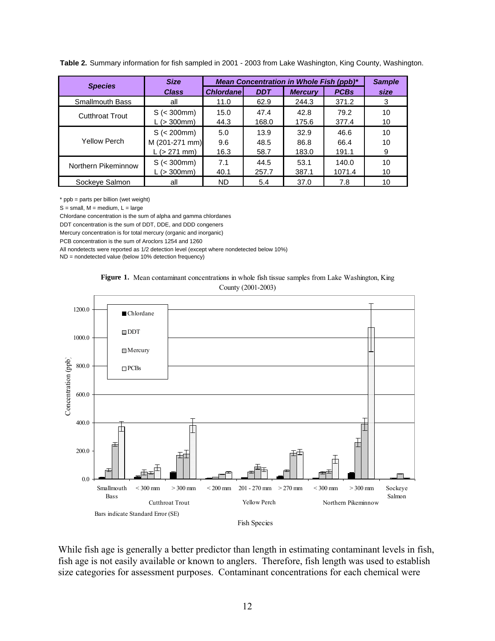| <b>Species</b>         | <b>Size</b>                                   | Mean Concentration in Whole Fish (ppb)* |                      |                       |                       | <b>Sample</b> |
|------------------------|-----------------------------------------------|-----------------------------------------|----------------------|-----------------------|-----------------------|---------------|
|                        | <b>Class</b>                                  | <b>Chlordanel</b>                       | <b>DDT</b>           | <b>Mercury</b>        | <b>PCBs</b>           | size          |
| <b>Smallmouth Bass</b> | all                                           | 11.0                                    | 62.9                 | 244.3                 | 371.2                 | 3             |
| <b>Cutthroat Trout</b> | $S \leqslant 300$ mm)<br>L (> 300mm)          | 15.0<br>44.3                            | 47.4<br>168.0        | 42.8<br>175.6         | 79.2<br>377.4         | 10<br>10      |
| Yellow Perch           | S (< 200mm)<br>M (201-271 mm)<br>L (> 271 mm) | 5.0<br>9.6<br>16.3                      | 13.9<br>48.5<br>58.7 | 32.9<br>86.8<br>183.0 | 46.6<br>66.4<br>191.1 | 10<br>10<br>9 |
| Northern Pikeminnow    | $S \leqslant 300$ mm)<br>$L > 300$ mm)        | 7.1<br>40.1                             | 44.5<br>257.7        | 53.1<br>387.1         | 140.0<br>1071.4       | 10<br>10      |
| Sockeye Salmon         | all                                           | ND                                      | 5.4                  | 37.0                  | 7.8                   | 10            |

**Table 2.** Summary information for fish sampled in 2001 - 2003 from Lake Washington, King County, Washington.

\* ppb = parts per billion (wet weight)

 $S = \text{small}$ ,  $M = \text{medium}$ ,  $L = \text{large}$ 

Chlordane concentration is the sum of alpha and gamma chlordanes

DDT concentration is the sum of DDT, DDE, and DDD congeners

Mercury concentration is for total mercury (organic and inorganic)

PCB concentration is the sum of Aroclors 1254 and 1260

All nondetects were reported as 1/2 detection level (except where nondetected below 10%)

ND = nondetected value (below 10% detection frequency)





While fish age is generally a better predictor than length in estimating contaminant levels in fish, fish age is not easily available or known to anglers. Therefore, fish length was used to establish size categories for assessment purposes. Contaminant concentrations for each chemical were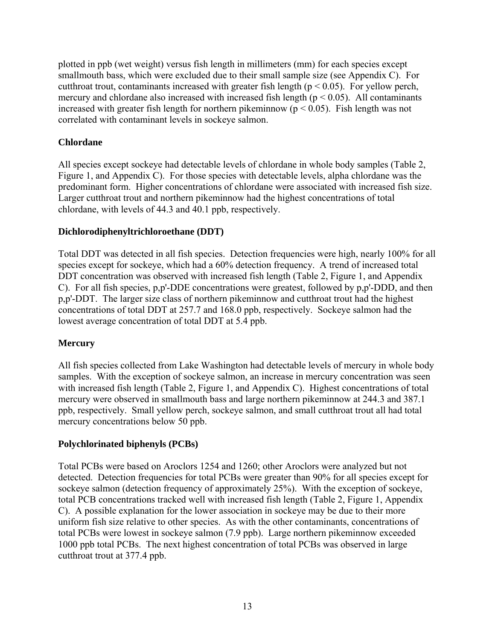plotted in ppb (wet weight) versus fish length in millimeters (mm) for each species except smallmouth bass, which were excluded due to their small sample size (see Appendix C). For cutthroat trout, contaminants increased with greater fish length ( $p < 0.05$ ). For yellow perch, mercury and chlordane also increased with increased fish length ( $p < 0.05$ ). All contaminants increased with greater fish length for northern pikeminnow ( $p < 0.05$ ). Fish length was not correlated with contaminant levels in sockeye salmon.

#### **Chlordane**

All species except sockeye had detectable levels of chlordane in whole body samples (Table 2, Figure 1, and Appendix C). For those species with detectable levels, alpha chlordane was the predominant form. Higher concentrations of chlordane were associated with increased fish size. Larger cutthroat trout and northern pikeminnow had the highest concentrations of total chlordane, with levels of 44.3 and 40.1 ppb, respectively.

#### **Dichlorodiphenyltrichloroethane (DDT)**

Total DDT was detected in all fish species. Detection frequencies were high, nearly 100% for all species except for sockeye, which had a 60% detection frequency. A trend of increased total DDT concentration was observed with increased fish length (Table 2, Figure 1, and Appendix C). For all fish species, p,p'-DDE concentrations were greatest, followed by p,p'-DDD, and then p,p'-DDT. The larger size class of northern pikeminnow and cutthroat trout had the highest concentrations of total DDT at 257.7 and 168.0 ppb, respectively. Sockeye salmon had the lowest average concentration of total DDT at 5.4 ppb.

### **Mercury**

All fish species collected from Lake Washington had detectable levels of mercury in whole body samples. With the exception of sockeye salmon, an increase in mercury concentration was seen with increased fish length (Table 2, Figure 1, and Appendix C). Highest concentrations of total mercury were observed in smallmouth bass and large northern pikeminnow at 244.3 and 387.1 ppb, respectively. Small yellow perch, sockeye salmon, and small cutthroat trout all had total mercury concentrations below 50 ppb.

### **Polychlorinated biphenyls (PCBs)**

Total PCBs were based on Aroclors 1254 and 1260; other Aroclors were analyzed but not detected. Detection frequencies for total PCBs were greater than 90% for all species except for sockeye salmon (detection frequency of approximately 25%). With the exception of sockeye, total PCB concentrations tracked well with increased fish length (Table 2, Figure 1, Appendix C). A possible explanation for the lower association in sockeye may be due to their more uniform fish size relative to other species. As with the other contaminants, concentrations of total PCBs were lowest in sockeye salmon (7.9 ppb). Large northern pikeminnow exceeded 1000 ppb total PCBs. The next highest concentration of total PCBs was observed in large cutthroat trout at 377.4 ppb.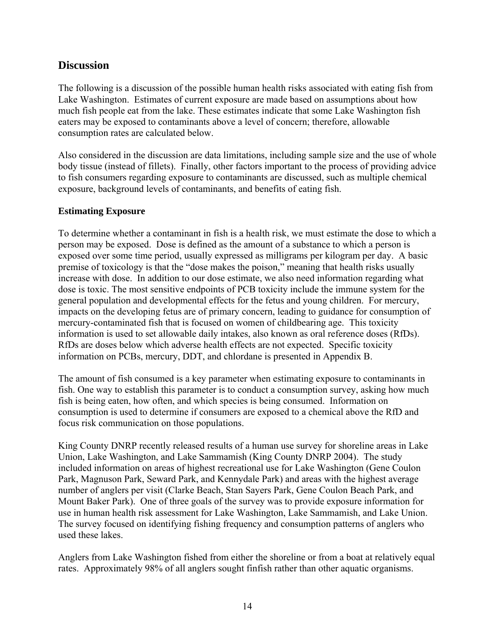### **Discussion**

The following is a discussion of the possible human health risks associated with eating fish from Lake Washington. Estimates of current exposure are made based on assumptions about how much fish people eat from the lake. These estimates indicate that some Lake Washington fish eaters may be exposed to contaminants above a level of concern; therefore, allowable consumption rates are calculated below.

Also considered in the discussion are data limitations, including sample size and the use of whole body tissue (instead of fillets). Finally, other factors important to the process of providing advice to fish consumers regarding exposure to contaminants are discussed, such as multiple chemical exposure, background levels of contaminants, and benefits of eating fish.

#### **Estimating Exposure**

To determine whether a contaminant in fish is a health risk, we must estimate the dose to which a person may be exposed. Dose is defined as the amount of a substance to which a person is exposed over some time period, usually expressed as milligrams per kilogram per day. A basic premise of toxicology is that the "dose makes the poison," meaning that health risks usually increase with dose. In addition to our dose estimate, we also need information regarding what dose is toxic. The most sensitive endpoints of PCB toxicity include the immune system for the general population and developmental effects for the fetus and young children. For mercury, impacts on the developing fetus are of primary concern, leading to guidance for consumption of mercury-contaminated fish that is focused on women of childbearing age. This toxicity information is used to set allowable daily intakes, also known as oral reference doses (RfDs). RfDs are doses below which adverse health effects are not expected. Specific toxicity information on PCBs, mercury, DDT, and chlordane is presented in Appendix B.

The amount of fish consumed is a key parameter when estimating exposure to contaminants in fish. One way to establish this parameter is to conduct a consumption survey, asking how much fish is being eaten, how often, and which species is being consumed. Information on consumption is used to determine if consumers are exposed to a chemical above the RfD and focus risk communication on those populations.

King County DNRP recently released results of a human use survey for shoreline areas in Lake Union, Lake Washington, and Lake Sammamish (King County DNRP 2004). The study included information on areas of highest recreational use for Lake Washington (Gene Coulon Park, Magnuson Park, Seward Park, and Kennydale Park) and areas with the highest average number of anglers per visit (Clarke Beach, Stan Sayers Park, Gene Coulon Beach Park, and Mount Baker Park). One of three goals of the survey was to provide exposure information for use in human health risk assessment for Lake Washington, Lake Sammamish, and Lake Union. The survey focused on identifying fishing frequency and consumption patterns of anglers who used these lakes.

Anglers from Lake Washington fished from either the shoreline or from a boat at relatively equal rates. Approximately 98% of all anglers sought finfish rather than other aquatic organisms.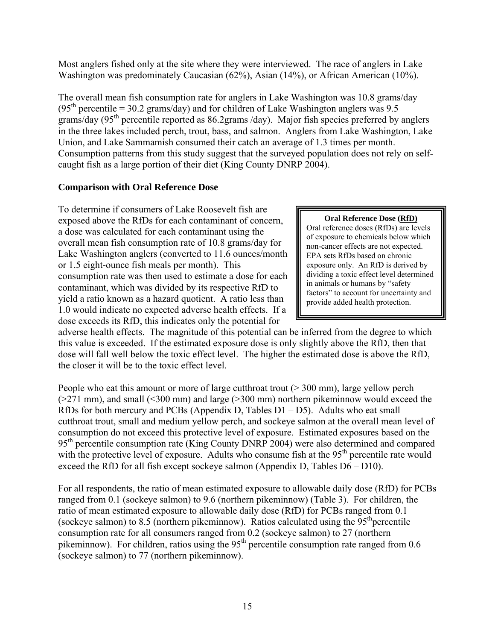Most anglers fished only at the site where they were interviewed. The race of anglers in Lake Washington was predominately Caucasian (62%), Asian (14%), or African American (10%).

The overall mean fish consumption rate for anglers in Lake Washington was 10.8 grams/day  $(95<sup>th</sup> percentile = 30.2 grams/day)$  and for children of Lake Washington anglers was 9.5 grams/day (95<sup>th</sup> percentile reported as 86.2grams /day). Major fish species preferred by anglers in the three lakes included perch, trout, bass, and salmon. Anglers from Lake Washington, Lake Union, and Lake Sammamish consumed their catch an average of 1.3 times per month. Consumption patterns from this study suggest that the surveyed population does not rely on selfcaught fish as a large portion of their diet (King County DNRP 2004).

#### **Comparison with Oral Reference Dose**

To determine if consumers of Lake Roosevelt fish are exposed above the RfDs for each contaminant of concern, a dose was calculated for each contaminant using the overall mean fish consumption rate of 10.8 grams/day for Lake Washington anglers (converted to 11.6 ounces/month or 1.5 eight-ounce fish meals per month). This consumption rate was then used to estimate a dose for each contaminant, which was divided by its respective RfD to yield a ratio known as a hazard quotient. A ratio less than 1.0 would indicate no expected adverse health effects. If a dose exceeds its RfD, this indicates only the potential for

**Oral Reference Dose (RfD)** Oral reference doses (RfDs) are levels of exposure to chemicals below which non-cancer effects are not expected. EPA sets RfDs based on chronic exposure only. An RfD is derived by dividing a toxic effect level determined in animals or humans by "safety factors" to account for uncertainty and provide added health protection.

adverse health effects. The magnitude of this potential can be inferred from the degree to which this value is exceeded. If the estimated exposure dose is only slightly above the RfD, then that dose will fall well below the toxic effect level. The higher the estimated dose is above the RfD, the closer it will be to the toxic effect level.

People who eat this amount or more of large cutthroat trout ( $>$  300 mm), large yellow perch  $(271 \text{ mm})$ , and small  $(300 \text{ mm})$  and large  $(2300 \text{ mm})$  northern pikeminnow would exceed the RfDs for both mercury and PCBs (Appendix D, Tables  $D1 - D5$ ). Adults who eat small cutthroat trout, small and medium yellow perch, and sockeye salmon at the overall mean level of consumption do not exceed this protective level of exposure. Estimated exposures based on the 95<sup>th</sup> percentile consumption rate (King County DNRP 2004) were also determined and compared with the protective level of exposure. Adults who consume fish at the 95<sup>th</sup> percentile rate would exceed the RfD for all fish except sockeye salmon (Appendix D, Tables D6 – D10).

For all respondents, the ratio of mean estimated exposure to allowable daily dose (RfD) for PCBs ranged from 0.1 (sockeye salmon) to 9.6 (northern pikeminnow) (Table 3). For children, the ratio of mean estimated exposure to allowable daily dose (RfD) for PCBs ranged from 0.1 (sockeye salmon) to 8.5 (northern pikeminnow). Ratios calculated using the  $95<sup>th</sup>$  percentile consumption rate for all consumers ranged from 0.2 (sockeye salmon) to 27 (northern pikeminnow). For children, ratios using the  $95<sup>th</sup>$  percentile consumption rate ranged from 0.6 (sockeye salmon) to 77 (northern pikeminnow).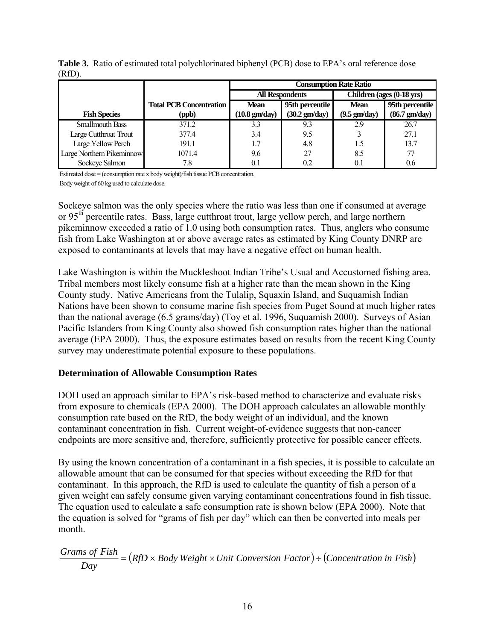|                           |                                | <b>Consumption Rate Ratio</b>  |                         |                           |                         |  |
|---------------------------|--------------------------------|--------------------------------|-------------------------|---------------------------|-------------------------|--|
|                           |                                |                                | <b>All Respondents</b>  | Children (ages (0-18 yrs) |                         |  |
|                           | <b>Total PCB Concentration</b> | 95th percentile<br><b>Mean</b> |                         | Mean                      | 95th percentile         |  |
| <b>Fish Species</b>       | (ppb)                          | $(10.8 \text{ gm/day})$        | $(30.2 \text{ gm/day})$ | $(9.5 \text{ gm/day})$    | $(86.7 \text{ gm/day})$ |  |
| <b>Smallmouth Bass</b>    | 371.2                          | 3.3                            | 9.3                     | 2.9                       | 26.7                    |  |
| Large Cutthroat Trout     | 377.4                          | 3.4                            | 9.5                     |                           | 27.1                    |  |
| Large Yellow Perch        | 191.1                          |                                | 4.8                     | 1.5                       | 13.7                    |  |
| Large Northern Pikeminnow | 1071.4                         | 9.6                            | 27                      | 8.5                       | 77                      |  |
| Sockeye Salmon            | 7.8                            | 0.1                            | 0.2                     | 0 <sup>1</sup>            | 0.6                     |  |

**Table 3.** Ratio of estimated total polychlorinated biphenyl (PCB) dose to EPA's oral reference dose  $(RfD)$ .

Estimated dose = (consumption rate x body weight)/fish tissue PCB concentration.

Body weight of 60 kg used to calculate dose.

Sockeye salmon was the only species where the ratio was less than one if consumed at average or 95<sup>th</sup> percentile rates. Bass, large cutthroat trout, large yellow perch, and large northern pikeminnow exceeded a ratio of 1.0 using both consumption rates. Thus, anglers who consume fish from Lake Washington at or above average rates as estimated by King County DNRP are exposed to contaminants at levels that may have a negative effect on human health.

Lake Washington is within the Muckleshoot Indian Tribe's Usual and Accustomed fishing area. Tribal members most likely consume fish at a higher rate than the mean shown in the King County study. Native Americans from the Tulalip, Squaxin Island, and Suquamish Indian Nations have been shown to consume marine fish species from Puget Sound at much higher rates than the national average (6.5 grams/day) (Toy et al. 1996, Suquamish 2000). Surveys of Asian Pacific Islanders from King County also showed fish consumption rates higher than the national average (EPA 2000). Thus, the exposure estimates based on results from the recent King County survey may underestimate potential exposure to these populations.

#### **Determination of Allowable Consumption Rates**

DOH used an approach similar to EPA's risk-based method to characterize and evaluate risks from exposure to chemicals (EPA 2000). The DOH approach calculates an allowable monthly consumption rate based on the RfD, the body weight of an individual, and the known contaminant concentration in fish. Current weight-of-evidence suggests that non-cancer endpoints are more sensitive and, therefore, sufficiently protective for possible cancer effects.

By using the known concentration of a contaminant in a fish species, it is possible to calculate an allowable amount that can be consumed for that species without exceeding the RfD for that contaminant. In this approach, the RfD is used to calculate the quantity of fish a person of a given weight can safely consume given varying contaminant concentrations found in fish tissue. The equation used to calculate a safe consumption rate is shown below (EPA 2000). Note that the equation is solved for "grams of fish per day" which can then be converted into meals per month.

Grams of Fish  

$$
Day = (RfD \times Body Weight \times Unit Conversion Factor) \div (Concentration in Fish)
$$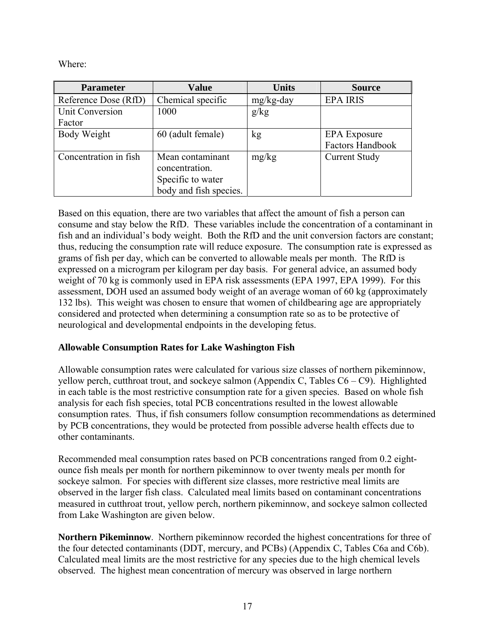Where:

| <b>Parameter</b>       | <b>Value</b>                       | <b>Units</b> | <b>Source</b>           |  |
|------------------------|------------------------------------|--------------|-------------------------|--|
| Reference Dose (RfD)   | Chemical specific                  | mg/kg-day    | <b>EPA IRIS</b>         |  |
| <b>Unit Conversion</b> | 1000                               | g/kg         |                         |  |
| Factor                 |                                    |              |                         |  |
| Body Weight            | 60 (adult female)                  | kg           | <b>EPA</b> Exposure     |  |
|                        |                                    |              | <b>Factors Handbook</b> |  |
| Concentration in fish  | Mean contaminant<br>concentration. | mg/kg        | <b>Current Study</b>    |  |
|                        | Specific to water                  |              |                         |  |
|                        | body and fish species.             |              |                         |  |

Based on this equation, there are two variables that affect the amount of fish a person can consume and stay below the RfD. These variables include the concentration of a contaminant in fish and an individual's body weight. Both the RfD and the unit conversion factors are constant; thus, reducing the consumption rate will reduce exposure. The consumption rate is expressed as grams of fish per day, which can be converted to allowable meals per month. The RfD is expressed on a microgram per kilogram per day basis. For general advice, an assumed body weight of 70 kg is commonly used in EPA risk assessments (EPA 1997, EPA 1999). For this assessment, DOH used an assumed body weight of an average woman of 60 kg (approximately 132 lbs). This weight was chosen to ensure that women of childbearing age are appropriately considered and protected when determining a consumption rate so as to be protective of neurological and developmental endpoints in the developing fetus.

### **Allowable Consumption Rates for Lake Washington Fish**

Allowable consumption rates were calculated for various size classes of northern pikeminnow, yellow perch, cutthroat trout, and sockeye salmon (Appendix C, Tables C6 – C9). Highlighted in each table is the most restrictive consumption rate for a given species. Based on whole fish analysis for each fish species, total PCB concentrations resulted in the lowest allowable consumption rates. Thus, if fish consumers follow consumption recommendations as determined by PCB concentrations, they would be protected from possible adverse health effects due to other contaminants.

Recommended meal consumption rates based on PCB concentrations ranged from 0.2 eightounce fish meals per month for northern pikeminnow to over twenty meals per month for sockeye salmon. For species with different size classes, more restrictive meal limits are observed in the larger fish class. Calculated meal limits based on contaminant concentrations measured in cutthroat trout, yellow perch, northern pikeminnow, and sockeye salmon collected from Lake Washington are given below.

**Northern Pikeminnow**. Northern pikeminnow recorded the highest concentrations for three of the four detected contaminants (DDT, mercury, and PCBs) (Appendix C, Tables C6a and C6b). Calculated meal limits are the most restrictive for any species due to the high chemical levels observed. The highest mean concentration of mercury was observed in large northern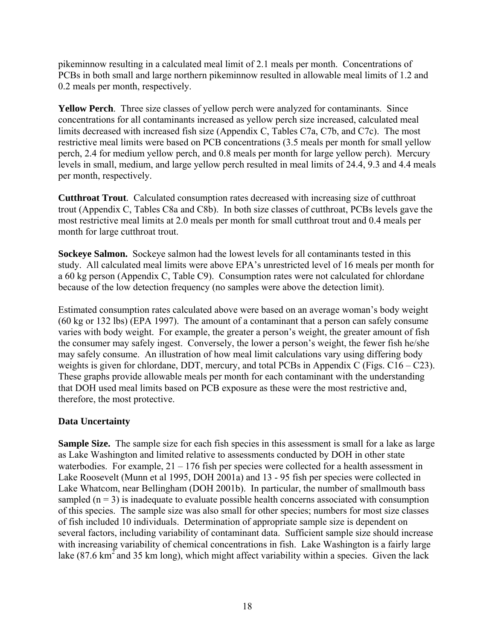pikeminnow resulting in a calculated meal limit of 2.1 meals per month. Concentrations of PCBs in both small and large northern pikeminnow resulted in allowable meal limits of 1.2 and 0.2 meals per month, respectively.

**Yellow Perch**. Three size classes of yellow perch were analyzed for contaminants. Since concentrations for all contaminants increased as yellow perch size increased, calculated meal limits decreased with increased fish size (Appendix C, Tables C7a, C7b, and C7c). The most restrictive meal limits were based on PCB concentrations (3.5 meals per month for small yellow perch, 2.4 for medium yellow perch, and 0.8 meals per month for large yellow perch). Mercury levels in small, medium, and large yellow perch resulted in meal limits of 24.4, 9.3 and 4.4 meals per month, respectively.

**Cutthroat Trout***.* Calculated consumption rates decreased with increasing size of cutthroat trout (Appendix C, Tables C8a and C8b). In both size classes of cutthroat, PCBs levels gave the most restrictive meal limits at 2.0 meals per month for small cutthroat trout and 0.4 meals per month for large cutthroat trout.

**Sockeye Salmon.** Sockeye salmon had the lowest levels for all contaminants tested in this study. All calculated meal limits were above EPA's unrestricted level of 16 meals per month for a 60 kg person (Appendix C, Table C9). Consumption rates were not calculated for chlordane because of the low detection frequency (no samples were above the detection limit).

Estimated consumption rates calculated above were based on an average woman's body weight (60 kg or 132 lbs) (EPA 1997). The amount of a contaminant that a person can safely consume varies with body weight. For example, the greater a person's weight, the greater amount of fish the consumer may safely ingest. Conversely, the lower a person's weight, the fewer fish he/she may safely consume. An illustration of how meal limit calculations vary using differing body weights is given for chlordane, DDT, mercury, and total PCBs in Appendix C (Figs.  $C16 - C23$ ). These graphs provide allowable meals per month for each contaminant with the understanding that DOH used meal limits based on PCB exposure as these were the most restrictive and, therefore, the most protective.

#### **Data Uncertainty**

**Sample Size.** The sample size for each fish species in this assessment is small for a lake as large as Lake Washington and limited relative to assessments conducted by DOH in other state waterbodies. For example,  $21 - 176$  fish per species were collected for a health assessment in Lake Roosevelt (Munn et al 1995, DOH 2001a) and 13 - 95 fish per species were collected in Lake Whatcom, near Bellingham (DOH 2001b). In particular, the number of smallmouth bass sampled  $(n = 3)$  is inadequate to evaluate possible health concerns associated with consumption of this species. The sample size was also small for other species; numbers for most size classes of fish included 10 individuals. Determination of appropriate sample size is dependent on several factors, including variability of contaminant data. Sufficient sample size should increase with increasing variability of chemical concentrations in fish. Lake Washington is a fairly large lake  $(87.6 \text{ km}^2 \text{ and } 35 \text{ km} \text{ long})$ , which might affect variability within a species. Given the lack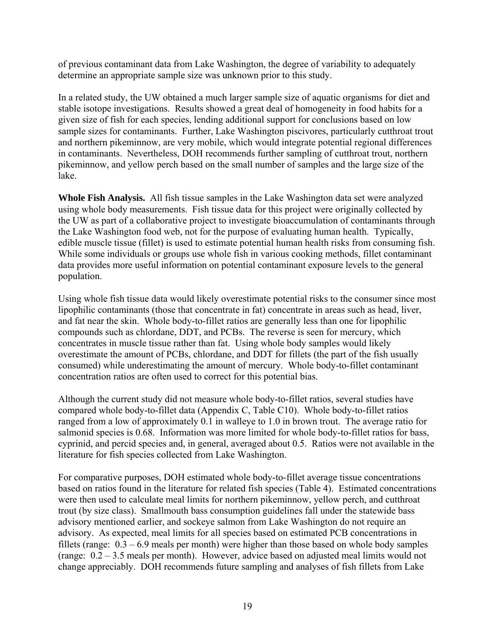of previous contaminant data from Lake Washington, the degree of variability to adequately determine an appropriate sample size was unknown prior to this study.

In a related study, the UW obtained a much larger sample size of aquatic organisms for diet and stable isotope investigations. Results showed a great deal of homogeneity in food habits for a given size of fish for each species, lending additional support for conclusions based on low sample sizes for contaminants. Further, Lake Washington piscivores, particularly cutthroat trout and northern pikeminnow, are very mobile, which would integrate potential regional differences in contaminants. Nevertheless, DOH recommends further sampling of cutthroat trout, northern pikeminnow, and yellow perch based on the small number of samples and the large size of the lake.

**Whole Fish Analysis.** All fish tissue samples in the Lake Washington data set were analyzed using whole body measurements. Fish tissue data for this project were originally collected by the UW as part of a collaborative project to investigate bioaccumulation of contaminants through the Lake Washington food web, not for the purpose of evaluating human health. Typically, edible muscle tissue (fillet) is used to estimate potential human health risks from consuming fish. While some individuals or groups use whole fish in various cooking methods, fillet contaminant data provides more useful information on potential contaminant exposure levels to the general population.

Using whole fish tissue data would likely overestimate potential risks to the consumer since most lipophilic contaminants (those that concentrate in fat) concentrate in areas such as head, liver, and fat near the skin. Whole body-to-fillet ratios are generally less than one for lipophilic compounds such as chlordane, DDT, and PCBs. The reverse is seen for mercury, which concentrates in muscle tissue rather than fat. Using whole body samples would likely overestimate the amount of PCBs, chlordane, and DDT for fillets (the part of the fish usually consumed) while underestimating the amount of mercury. Whole body-to-fillet contaminant concentration ratios are often used to correct for this potential bias.

Although the current study did not measure whole body-to-fillet ratios, several studies have compared whole body-to-fillet data (Appendix C, Table C10). Whole body-to-fillet ratios ranged from a low of approximately 0.1 in walleye to 1.0 in brown trout. The average ratio for salmonid species is 0.68. Information was more limited for whole body-to-fillet ratios for bass, cyprinid, and percid species and, in general, averaged about 0.5. Ratios were not available in the literature for fish species collected from Lake Washington.

For comparative purposes, DOH estimated whole body-to-fillet average tissue concentrations based on ratios found in the literature for related fish species (Table 4). Estimated concentrations were then used to calculate meal limits for northern pikeminnow, yellow perch, and cutthroat trout (by size class). Smallmouth bass consumption guidelines fall under the statewide bass advisory mentioned earlier, and sockeye salmon from Lake Washington do not require an advisory. As expected, meal limits for all species based on estimated PCB concentrations in fillets (range:  $0.3 - 6.9$  meals per month) were higher than those based on whole body samples (range: 0.2 – 3.5 meals per month). However, advice based on adjusted meal limits would not change appreciably. DOH recommends future sampling and analyses of fish fillets from Lake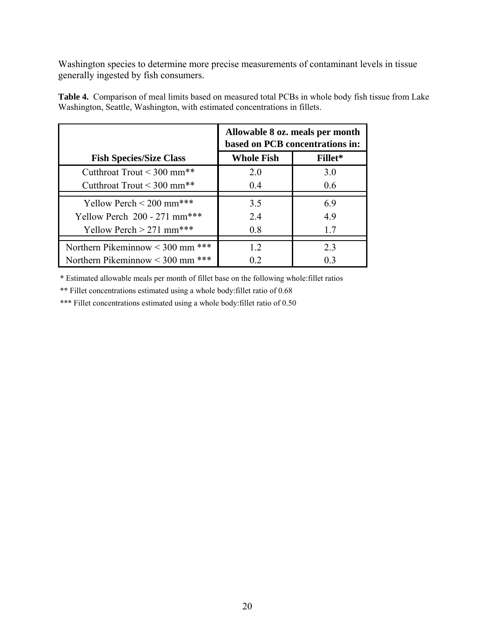Washington species to determine more precise measurements of contaminant levels in tissue generally ingested by fish consumers.

|                                       | Allowable 8 oz. meals per month<br>based on PCB concentrations in: |         |  |
|---------------------------------------|--------------------------------------------------------------------|---------|--|
| <b>Fish Species/Size Class</b>        | <b>Whole Fish</b>                                                  | Fillet* |  |
| Cutthroat Trout $\leq 300$ mm**       | 2.0                                                                | 3.0     |  |
| Cutthroat Trout $\leq 300$ mm**       | 0.4                                                                | 0.6     |  |
| Yellow Perch $\leq$ 200 mm***         | 3.5                                                                | 6.9     |  |
| Yellow Perch 200 - 271 mm***          | 2.4                                                                | 4.9     |  |
| Yellow Perch $> 271$ mm***            | 0.8                                                                | 17      |  |
| Northern Pikeminnow $\leq$ 300 mm *** | 1.2                                                                | 2.3     |  |
| Northern Pikeminnow $\leq 300$ mm *** | 02                                                                 | 0.3     |  |

**Table 4.** Comparison of meal limits based on measured total PCBs in whole body fish tissue from Lake Washington, Seattle, Washington, with estimated concentrations in fillets.

\* Estimated allowable meals per month of fillet base on the following whole:fillet ratios

\*\* Fillet concentrations estimated using a whole body:fillet ratio of 0.68

\*\*\* Fillet concentrations estimated using a whole body: fillet ratio of 0.50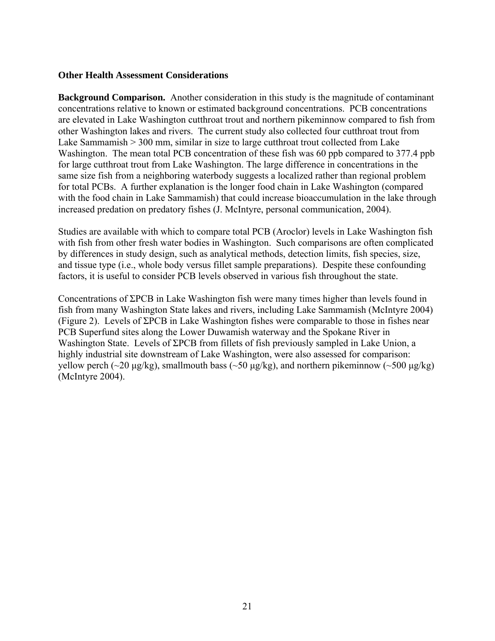#### **Other Health Assessment Considerations**

**Background Comparison.** Another consideration in this study is the magnitude of contaminant concentrations relative to known or estimated background concentrations. PCB concentrations are elevated in Lake Washington cutthroat trout and northern pikeminnow compared to fish from other Washington lakes and rivers. The current study also collected four cutthroat trout from Lake Sammamish > 300 mm, similar in size to large cutthroat trout collected from Lake Washington. The mean total PCB concentration of these fish was 60 ppb compared to 377.4 ppb for large cutthroat trout from Lake Washington. The large difference in concentrations in the same size fish from a neighboring waterbody suggests a localized rather than regional problem for total PCBs. A further explanation is the longer food chain in Lake Washington (compared with the food chain in Lake Sammamish) that could increase bioaccumulation in the lake through increased predation on predatory fishes (J. McIntyre, personal communication, 2004).

Studies are available with which to compare total PCB (Aroclor) levels in Lake Washington fish with fish from other fresh water bodies in Washington. Such comparisons are often complicated by differences in study design, such as analytical methods, detection limits, fish species, size, and tissue type (i.e., whole body versus fillet sample preparations). Despite these confounding factors, it is useful to consider PCB levels observed in various fish throughout the state.

Concentrations of ΣPCB in Lake Washington fish were many times higher than levels found in fish from many Washington State lakes and rivers, including Lake Sammamish (McIntyre 2004) (Figure 2). Levels of ΣPCB in Lake Washington fishes were comparable to those in fishes near PCB Superfund sites along the Lower Duwamish waterway and the Spokane River in Washington State. Levels of ΣPCB from fillets of fish previously sampled in Lake Union, a highly industrial site downstream of Lake Washington, were also assessed for comparison: yellow perch (~20 µg/kg), smallmouth bass (~50 µg/kg), and northern pikeminnow (~500 µg/kg) (McIntyre 2004).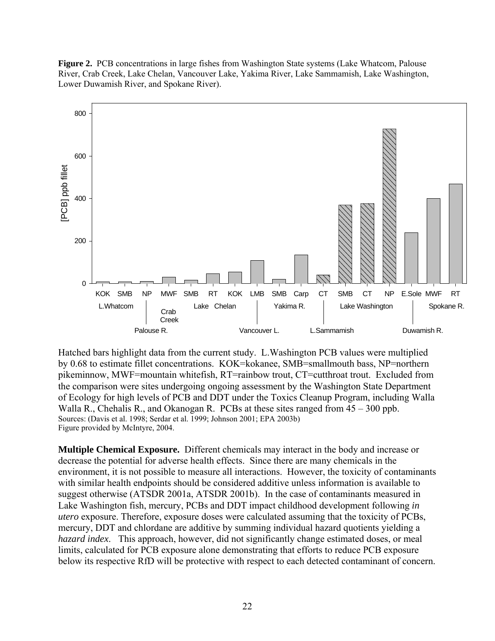**Figure 2.** PCB concentrations in large fishes from Washington State systems (Lake Whatcom, Palouse River, Crab Creek, Lake Chelan, Vancouver Lake, Yakima River, Lake Sammamish, Lake Washington, Lower Duwamish River, and Spokane River).



Hatched bars highlight data from the current study. L.Washington PCB values were multiplied by 0.68 to estimate fillet concentrations. KOK=kokanee, SMB=smallmouth bass, NP=northern pikeminnow, MWF=mountain whitefish, RT=rainbow trout, CT=cutthroat trout. Excluded from the comparison were sites undergoing ongoing assessment by the Washington State Department of Ecology for high levels of PCB and DDT under the Toxics Cleanup Program, including Walla Walla R., Chehalis R., and Okanogan R. PCBs at these sites ranged from 45 – 300 ppb. Sources: (Davis et al. 1998; Serdar et al. 1999; Johnson 2001; EPA 2003b) Figure provided by McIntyre, 2004.

**Multiple Chemical Exposure.** Different chemicals may interact in the body and increase or decrease the potential for adverse health effects. Since there are many chemicals in the environment, it is not possible to measure all interactions. However, the toxicity of contaminants with similar health endpoints should be considered additive unless information is available to suggest otherwise (ATSDR 2001a, ATSDR 2001b). In the case of contaminants measured in Lake Washington fish, mercury, PCBs and DDT impact childhood development following *in utero* exposure. Therefore, exposure doses were calculated assuming that the toxicity of PCBs, mercury, DDT and chlordane are additive by summing individual hazard quotients yielding a *hazard index*. This approach, however, did not significantly change estimated doses, or meal limits, calculated for PCB exposure alone demonstrating that efforts to reduce PCB exposure below its respective RfD will be protective with respect to each detected contaminant of concern.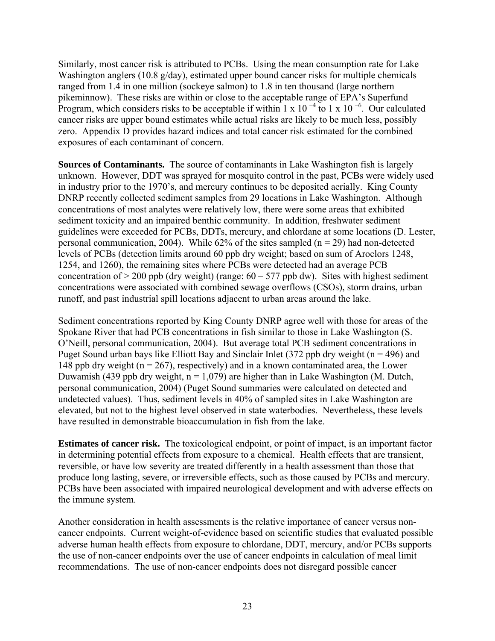Similarly, most cancer risk is attributed to PCBs. Using the mean consumption rate for Lake Washington anglers (10.8 g/day), estimated upper bound cancer risks for multiple chemicals ranged from 1.4 in one million (sockeye salmon) to 1.8 in ten thousand (large northern pikeminnow). These risks are within or close to the acceptable range of EPA's Superfund Program, which considers risks to be acceptable if within 1 x 10<sup> $-4$ </sup> to 1 x 10<sup> $-6$ </sup>. Our calculated cancer risks are upper bound estimates while actual risks are likely to be much less, possibly zero. Appendix D provides hazard indices and total cancer risk estimated for the combined exposures of each contaminant of concern.

**Sources of Contaminants.** The source of contaminants in Lake Washington fish is largely unknown. However, DDT was sprayed for mosquito control in the past, PCBs were widely used in industry prior to the 1970's, and mercury continues to be deposited aerially. King County DNRP recently collected sediment samples from 29 locations in Lake Washington. Although concentrations of most analytes were relatively low, there were some areas that exhibited sediment toxicity and an impaired benthic community. In addition, freshwater sediment guidelines were exceeded for PCBs, DDTs, mercury, and chlordane at some locations (D. Lester, personal communication, 2004). While  $62\%$  of the sites sampled (n = 29) had non-detected levels of PCBs (detection limits around 60 ppb dry weight; based on sum of Aroclors 1248, 1254, and 1260), the remaining sites where PCBs were detected had an average PCB concentration of  $> 200$  ppb (dry weight) (range:  $60 - 577$  ppb dw). Sites with highest sediment concentrations were associated with combined sewage overflows (CSOs), storm drains, urban runoff, and past industrial spill locations adjacent to urban areas around the lake.

Sediment concentrations reported by King County DNRP agree well with those for areas of the Spokane River that had PCB concentrations in fish similar to those in Lake Washington (S. O'Neill, personal communication, 2004).But average total PCB sediment concentrations in Puget Sound urban bays like Elliott Bay and Sinclair Inlet (372 ppb dry weight ( $n = 496$ ) and 148 ppb dry weight ( $n = 267$ ), respectively) and in a known contaminated area, the Lower Duwamish (439 ppb dry weight,  $n = 1,079$ ) are higher than in Lake Washington (M. Dutch, personal communication, 2004) (Puget Sound summaries were calculated on detected and undetected values). Thus, sediment levels in 40% of sampled sites in Lake Washington are elevated, but not to the highest level observed in state waterbodies. Nevertheless, these levels have resulted in demonstrable bioaccumulation in fish from the lake.

**Estimates of cancer risk.** The toxicological endpoint, or point of impact, is an important factor in determining potential effects from exposure to a chemical. Health effects that are transient, reversible, or have low severity are treated differently in a health assessment than those that produce long lasting, severe, or irreversible effects, such as those caused by PCBs and mercury. PCBs have been associated with impaired neurological development and with adverse effects on the immune system.

Another consideration in health assessments is the relative importance of cancer versus noncancer endpoints. Current weight-of-evidence based on scientific studies that evaluated possible adverse human health effects from exposure to chlordane, DDT, mercury, and/or PCBs supports the use of non-cancer endpoints over the use of cancer endpoints in calculation of meal limit recommendations. The use of non-cancer endpoints does not disregard possible cancer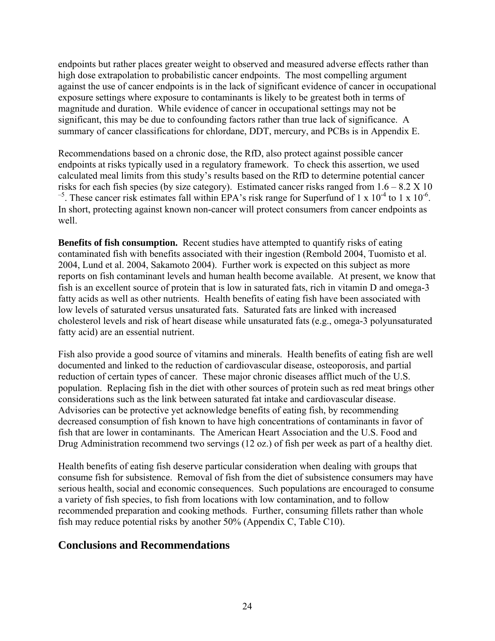endpoints but rather places greater weight to observed and measured adverse effects rather than high dose extrapolation to probabilistic cancer endpoints. The most compelling argument against the use of cancer endpoints is in the lack of significant evidence of cancer in occupational exposure settings where exposure to contaminants is likely to be greatest both in terms of magnitude and duration. While evidence of cancer in occupational settings may not be significant, this may be due to confounding factors rather than true lack of significance. A summary of cancer classifications for chlordane, DDT, mercury, and PCBs is in Appendix E.

Recommendations based on a chronic dose, the RfD, also protect against possible cancer endpoints at risks typically used in a regulatory framework. To check this assertion, we used calculated meal limits from this study's results based on the RfD to determine potential cancer risks for each fish species (by size category). Estimated cancer risks ranged from  $1.6 - 8.2$  X 10  $-5$ . These cancer risk estimates fall within EPA's risk range for Superfund of 1 x 10<sup>-4</sup> to 1 x 10<sup>-6</sup>. In short, protecting against known non-cancer will protect consumers from cancer endpoints as well.

**Benefits of fish consumption.** Recent studies have attempted to quantify risks of eating contaminated fish with benefits associated with their ingestion (Rembold 2004, Tuomisto et al. 2004, Lund et al. 2004, Sakamoto 2004). Further work is expected on this subject as more reports on fish contaminant levels and human health become available. At present, we know that fish is an excellent source of protein that is low in saturated fats, rich in vitamin D and omega-3 fatty acids as well as other nutrients. Health benefits of eating fish have been associated with low levels of saturated versus unsaturated fats. Saturated fats are linked with increased cholesterol levels and risk of heart disease while unsaturated fats (e.g., omega-3 polyunsaturated fatty acid) are an essential nutrient.

Fish also provide a good source of vitamins and minerals. Health benefits of eating fish are well documented and linked to the reduction of cardiovascular disease, osteoporosis, and partial reduction of certain types of cancer. These major chronic diseases afflict much of the U.S. population. Replacing fish in the diet with other sources of protein such as red meat brings other considerations such as the link between saturated fat intake and cardiovascular disease. Advisories can be protective yet acknowledge benefits of eating fish, by recommending decreased consumption of fish known to have high concentrations of contaminants in favor of fish that are lower in contaminants. The American Heart Association and the U.S. Food and Drug Administration recommend two servings (12 oz.) of fish per week as part of a healthy diet.

Health benefits of eating fish deserve particular consideration when dealing with groups that consume fish for subsistence. Removal of fish from the diet of subsistence consumers may have serious health, social and economic consequences. Such populations are encouraged to consume a variety of fish species, to fish from locations with low contamination, and to follow recommended preparation and cooking methods. Further, consuming fillets rather than whole fish may reduce potential risks by another 50% (Appendix C, Table C10).

#### **Conclusions and Recommendations**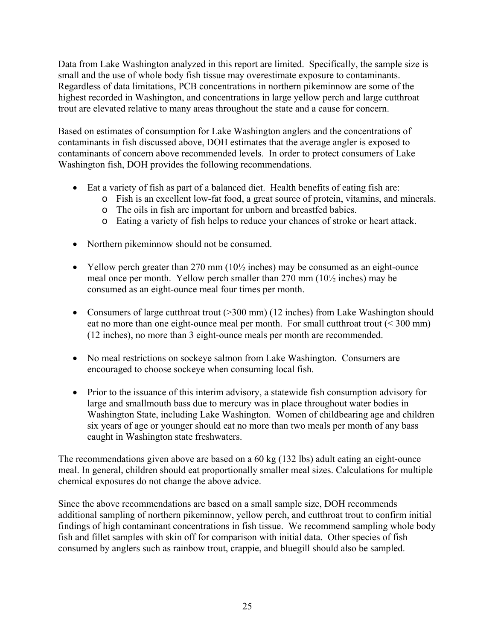Data from Lake Washington analyzed in this report are limited. Specifically, the sample size is small and the use of whole body fish tissue may overestimate exposure to contaminants. Regardless of data limitations, PCB concentrations in northern pikeminnow are some of the highest recorded in Washington, and concentrations in large yellow perch and large cutthroat trout are elevated relative to many areas throughout the state and a cause for concern.

Based on estimates of consumption for Lake Washington anglers and the concentrations of contaminants in fish discussed above, DOH estimates that the average angler is exposed to contaminants of concern above recommended levels. In order to protect consumers of Lake Washington fish, DOH provides the following recommendations.

- Eat a variety of fish as part of a balanced diet. Health benefits of eating fish are:
	- o Fish is an excellent low-fat food, a great source of protein, vitamins, and minerals.
	- o The oils in fish are important for unborn and breastfed babies.
	- o Eating a variety of fish helps to reduce your chances of stroke or heart attack.
- Northern pikeminnow should not be consumed.
- Yellow perch greater than 270 mm  $(10\frac{1}{2})$  inches) may be consumed as an eight-ounce meal once per month. Yellow perch smaller than 270 mm (10½ inches) may be consumed as an eight-ounce meal four times per month.
- Consumers of large cutthroat trout ( $>$ 300 mm) (12 inches) from Lake Washington should eat no more than one eight-ounce meal per month. For small cutthroat trout (< 300 mm) (12 inches), no more than 3 eight-ounce meals per month are recommended.
- No meal restrictions on sockeye salmon from Lake Washington. Consumers are encouraged to choose sockeye when consuming local fish.
- Prior to the issuance of this interim advisory, a statewide fish consumption advisory for large and smallmouth bass due to mercury was in place throughout water bodies in Washington State, including Lake Washington. Women of childbearing age and children six years of age or younger should eat no more than two meals per month of any bass caught in Washington state freshwaters.

The recommendations given above are based on a 60 kg (132 lbs) adult eating an eight-ounce meal. In general, children should eat proportionally smaller meal sizes. Calculations for multiple chemical exposures do not change the above advice.

Since the above recommendations are based on a small sample size, DOH recommends additional sampling of northern pikeminnow, yellow perch, and cutthroat trout to confirm initial findings of high contaminant concentrations in fish tissue. We recommend sampling whole body fish and fillet samples with skin off for comparison with initial data. Other species of fish consumed by anglers such as rainbow trout, crappie, and bluegill should also be sampled.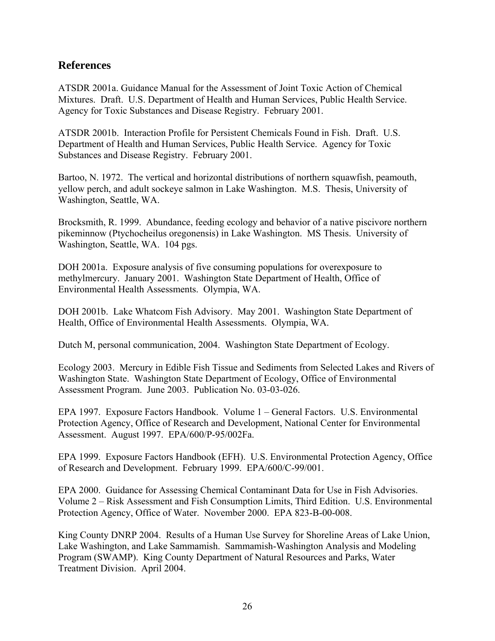#### **References**

ATSDR 2001a. Guidance Manual for the Assessment of Joint Toxic Action of Chemical Mixtures. Draft. U.S. Department of Health and Human Services, Public Health Service. Agency for Toxic Substances and Disease Registry. February 2001.

ATSDR 2001b. Interaction Profile for Persistent Chemicals Found in Fish. Draft. U.S. Department of Health and Human Services, Public Health Service. Agency for Toxic Substances and Disease Registry. February 2001.

Bartoo, N. 1972. The vertical and horizontal distributions of northern squawfish, peamouth, yellow perch, and adult sockeye salmon in Lake Washington. M.S. Thesis, University of Washington, Seattle, WA.

Brocksmith, R. 1999. Abundance, feeding ecology and behavior of a native piscivore northern pikeminnow (Ptychocheilus oregonensis) in Lake Washington. MS Thesis. University of Washington, Seattle, WA. 104 pgs.

DOH 2001a. Exposure analysis of five consuming populations for overexposure to methylmercury. January 2001. Washington State Department of Health, Office of Environmental Health Assessments. Olympia, WA.

DOH 2001b. Lake Whatcom Fish Advisory. May 2001. Washington State Department of Health, Office of Environmental Health Assessments. Olympia, WA.

Dutch M, personal communication, 2004. Washington State Department of Ecology.

Ecology 2003. Mercury in Edible Fish Tissue and Sediments from Selected Lakes and Rivers of Washington State. Washington State Department of Ecology, Office of Environmental Assessment Program. June 2003. Publication No. 03-03-026.

EPA 1997. Exposure Factors Handbook. Volume 1 – General Factors. U.S. Environmental Protection Agency, Office of Research and Development, National Center for Environmental Assessment. August 1997. EPA/600/P-95/002Fa.

EPA 1999. Exposure Factors Handbook (EFH). U.S. Environmental Protection Agency, Office of Research and Development. February 1999. EPA/600/C-99/001.

EPA 2000. Guidance for Assessing Chemical Contaminant Data for Use in Fish Advisories. Volume 2 – Risk Assessment and Fish Consumption Limits, Third Edition. U.S. Environmental Protection Agency, Office of Water. November 2000. EPA 823-B-00-008.

King County DNRP 2004. Results of a Human Use Survey for Shoreline Areas of Lake Union, Lake Washington, and Lake Sammamish. Sammamish-Washington Analysis and Modeling Program (SWAMP). King County Department of Natural Resources and Parks, Water Treatment Division. April 2004.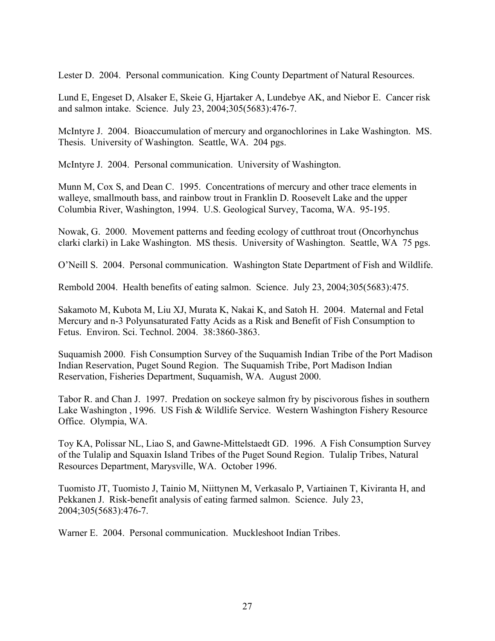Lester D. 2004. Personal communication. King County Department of Natural Resources.

Lund E, Engeset D, Alsaker E, Skeie G, Hjartaker A, Lundebye AK, and Niebor E. Cancer risk and salmon intake. Science. July 23, 2004;305(5683):476-7.

McIntyre J. 2004. Bioaccumulation of mercury and organochlorines in Lake Washington. MS. Thesis. University of Washington. Seattle, WA. 204 pgs.

McIntyre J. 2004. Personal communication. University of Washington.

Munn M, Cox S, and Dean C. 1995. Concentrations of mercury and other trace elements in walleye, smallmouth bass, and rainbow trout in Franklin D. Roosevelt Lake and the upper Columbia River, Washington, 1994. U.S. Geological Survey, Tacoma, WA. 95-195.

Nowak, G. 2000. Movement patterns and feeding ecology of cutthroat trout (Oncorhynchus clarki clarki) in Lake Washington. MS thesis. University of Washington. Seattle, WA 75 pgs.

O'Neill S. 2004. Personal communication. Washington State Department of Fish and Wildlife.

Rembold 2004. Health benefits of eating salmon. Science. July 23, 2004;305(5683):475.

Sakamoto M, Kubota M, Liu XJ, Murata K, Nakai K, and Satoh H. 2004. Maternal and Fetal Mercury and n-3 Polyunsaturated Fatty Acids as a Risk and Benefit of Fish Consumption to Fetus. Environ. Sci. Technol. 2004. 38:3860-3863.

Suquamish 2000. Fish Consumption Survey of the Suquamish Indian Tribe of the Port Madison Indian Reservation, Puget Sound Region. The Suquamish Tribe, Port Madison Indian Reservation, Fisheries Department, Suquamish, WA. August 2000.

Tabor R. and Chan J. 1997. Predation on sockeye salmon fry by piscivorous fishes in southern Lake Washington , 1996. US Fish & Wildlife Service. Western Washington Fishery Resource Office. Olympia, WA.

Toy KA, Polissar NL, Liao S, and Gawne-Mittelstaedt GD. 1996. A Fish Consumption Survey of the Tulalip and Squaxin Island Tribes of the Puget Sound Region. Tulalip Tribes, Natural Resources Department, Marysville, WA. October 1996.

Tuomisto JT, Tuomisto J, Tainio M, Niittynen M, Verkasalo P, Vartiainen T, Kiviranta H, and Pekkanen J. Risk-benefit analysis of eating farmed salmon. Science. July 23, 2004;305(5683):476-7.

Warner E. 2004. Personal communication. Muckleshoot Indian Tribes.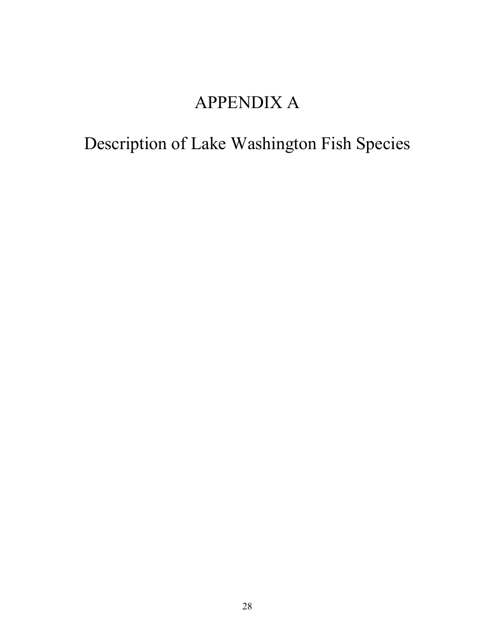## APPENDIX A

# Description of Lake Washington Fish Species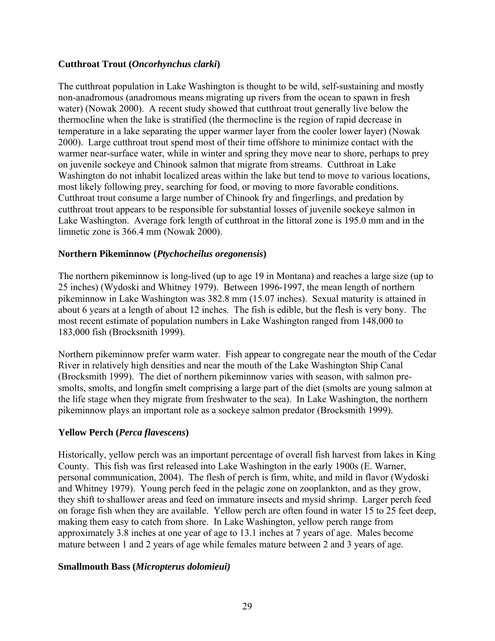#### **Cutthroat Trout (***Oncorhynchus clarki***)**

The cutthroat population in Lake Washington is thought to be wild, self-sustaining and mostly non-anadromous (anadromous means migrating up rivers from the ocean to spawn in fresh water) (Nowak 2000). A recent study showed that cutthroat trout generally live below the thermocline when the lake is stratified (the thermocline is the region of rapid decrease in temperature in a lake separating the upper warmer layer from the cooler lower layer) (Nowak 2000). Large cutthroat trout spend most of their time offshore to minimize contact with the warmer near-surface water, while in winter and spring they move near to shore, perhaps to prey on juvenile sockeye and Chinook salmon that migrate from streams. Cutthroat in Lake Washington do not inhabit localized areas within the lake but tend to move to various locations, most likely following prey, searching for food, or moving to more favorable conditions. Cutthroat trout consume a large number of Chinook fry and fingerlings, and predation by cutthroat trout appears to be responsible for substantial losses of juvenile sockeye salmon in Lake Washington. Average fork length of cutthroat in the littoral zone is 195.0 mm and in the limnetic zone is 366.4 mm (Nowak 2000).

#### **Northern Pikeminnow (***Ptychocheilus oregonensis***)**

The northern pikeminnow is long-lived (up to age 19 in Montana) and reaches a large size (up to 25 inches) (Wydoski and Whitney 1979). Between 1996-1997, the mean length of northern pikeminnow in Lake Washington was 382.8 mm (15.07 inches). Sexual maturity is attained in about 6 years at a length of about 12 inches. The fish is edible, but the flesh is very bony. The most recent estimate of population numbers in Lake Washington ranged from 148,000 to 183,000 fish (Brocksmith 1999).

Northern pikeminnow prefer warm water. Fish appear to congregate near the mouth of the Cedar River in relatively high densities and near the mouth of the Lake Washington Ship Canal (Brocksmith 1999). The diet of northern pikeminnow varies with season, with salmon presmolts, smolts, and longfin smelt comprising a large part of the diet (smolts are young salmon at the life stage when they migrate from freshwater to the sea). In Lake Washington, the northern pikeminnow plays an important role as a sockeye salmon predator (Brocksmith 1999).

#### **Yellow Perch (***Perca flavescens***)**

Historically, yellow perch was an important percentage of overall fish harvest from lakes in King County. This fish was first released into Lake Washington in the early 1900s (E. Warner, personal communication, 2004). The flesh of perch is firm, white, and mild in flavor (Wydoski and Whitney 1979). Young perch feed in the pelagic zone on zooplankton, and as they grow, they shift to shallower areas and feed on immature insects and mysid shrimp. Larger perch feed on forage fish when they are available. Yellow perch are often found in water 15 to 25 feet deep, making them easy to catch from shore. In Lake Washington, yellow perch range from approximately 3.8 inches at one year of age to 13.1 inches at 7 years of age. Males become mature between 1 and 2 years of age while females mature between 2 and 3 years of age.

#### **Smallmouth Bass (***Micropterus dolomieui)*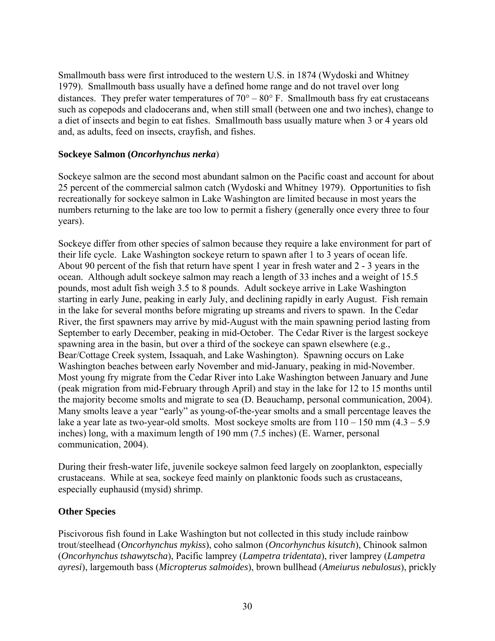Smallmouth bass were first introduced to the western U.S. in 1874 (Wydoski and Whitney 1979). Smallmouth bass usually have a defined home range and do not travel over long distances. They prefer water temperatures of  $70^{\circ} - 80^{\circ}$  F. Smallmouth bass fry eat crustaceans such as copepods and cladocerans and, when still small (between one and two inches), change to a diet of insects and begin to eat fishes. Smallmouth bass usually mature when 3 or 4 years old and, as adults, feed on insects, crayfish, and fishes.

#### **Sockeye Salmon (***Oncorhynchus nerka*)

Sockeye salmon are the second most abundant salmon on the Pacific coast and account for about 25 percent of the commercial salmon catch (Wydoski and Whitney 1979). Opportunities to fish recreationally for sockeye salmon in Lake Washington are limited because in most years the numbers returning to the lake are too low to permit a fishery (generally once every three to four years).

Sockeye differ from other species of salmon because they require a lake environment for part of their life cycle. Lake Washington sockeye return to spawn after 1 to 3 years of ocean life. About 90 percent of the fish that return have spent 1 year in fresh water and 2 - 3 years in the ocean. Although adult sockeye salmon may reach a length of 33 inches and a weight of 15.5 pounds, most adult fish weigh 3.5 to 8 pounds. Adult sockeye arrive in Lake Washington starting in early June, peaking in early July, and declining rapidly in early August. Fish remain in the lake for several months before migrating up streams and rivers to spawn. In the Cedar River, the first spawners may arrive by mid-August with the main spawning period lasting from September to early December, peaking in mid-October. The Cedar River is the largest sockeye spawning area in the basin, but over a third of the sockeye can spawn elsewhere (e.g., Bear/Cottage Creek system, Issaquah, and Lake Washington). Spawning occurs on Lake Washington beaches between early November and mid-January, peaking in mid-November. Most young fry migrate from the Cedar River into Lake Washington between January and June (peak migration from mid-February through April) and stay in the lake for 12 to 15 months until the majority become smolts and migrate to sea (D. Beauchamp, personal communication, 2004). Many smolts leave a year "early" as young-of-the-year smolts and a small percentage leaves the lake a year late as two-year-old smolts. Most sockeye smolts are from  $110 - 150$  mm  $(4.3 - 5.9)$ inches) long, with a maximum length of 190 mm (7.5 inches) (E. Warner, personal communication, 2004).

During their fresh-water life, juvenile sockeye salmon feed largely on zooplankton, especially crustaceans. While at sea, sockeye feed mainly on planktonic foods such as crustaceans, especially euphausid (mysid) shrimp.

#### **Other Species**

Piscivorous fish found in Lake Washington but not collected in this study include rainbow trout/steelhead (*Oncorhynchus mykiss*), coho salmon (*Oncorhynchus kisutch*), Chinook salmon (*Oncorhynchus tshawytscha*), Pacific lamprey (*Lampetra tridentata*), river lamprey (*Lampetra ayresi*), largemouth bass (*Micropterus salmoides*), brown bullhead (*Ameiurus nebulosus*), prickly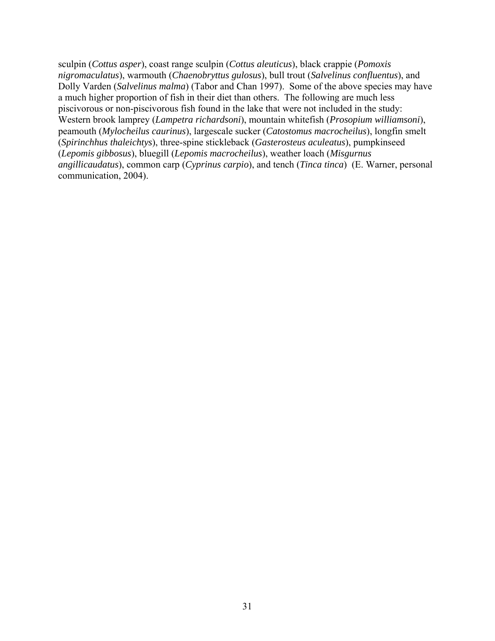sculpin (*Cottus asper*), coast range sculpin (*Cottus aleuticus*), black crappie (*Pomoxis nigromaculatus*), warmouth (*Chaenobryttus gulosus*), bull trout (*Salvelinus confluentus*), and Dolly Varden (*Salvelinus malma*) (Tabor and Chan 1997). Some of the above species may have a much higher proportion of fish in their diet than others. The following are much less piscivorous or non-piscivorous fish found in the lake that were not included in the study: Western brook lamprey (*Lampetra richardsoni*), mountain whitefish (*Prosopium williamsoni*), peamouth (*Mylocheilus caurinus*), largescale sucker (*Catostomus macrocheilus*), longfin smelt (*Spirinchhus thaleichtys*), three-spine stickleback (*Gasterosteus aculeatus*), pumpkinseed (*Lepomis gibbosus*), bluegill (*Lepomis macrocheilus*), weather loach (*Misgurnus angillicaudatus*), common carp (*Cyprinus carpio*), and tench (*Tinca tinca*) (E. Warner, personal communication, 2004).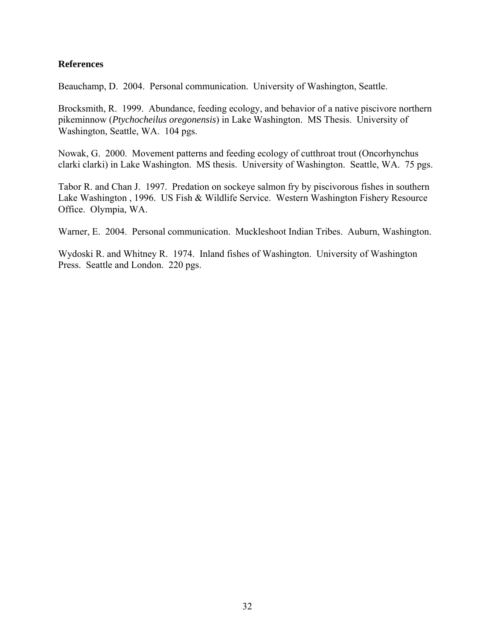#### **References**

Beauchamp, D. 2004. Personal communication. University of Washington, Seattle.

Brocksmith, R. 1999. Abundance, feeding ecology, and behavior of a native piscivore northern pikeminnow (*Ptychocheilus oregonensis*) in Lake Washington. MS Thesis. University of Washington, Seattle, WA. 104 pgs.

Nowak, G. 2000. Movement patterns and feeding ecology of cutthroat trout (Oncorhynchus clarki clarki) in Lake Washington. MS thesis. University of Washington. Seattle, WA. 75 pgs.

Tabor R. and Chan J. 1997. Predation on sockeye salmon fry by piscivorous fishes in southern Lake Washington , 1996. US Fish & Wildlife Service. Western Washington Fishery Resource Office. Olympia, WA.

Warner, E. 2004. Personal communication. Muckleshoot Indian Tribes. Auburn, Washington.

Wydoski R. and Whitney R. 1974. Inland fishes of Washington. University of Washington Press. Seattle and London. 220 pgs.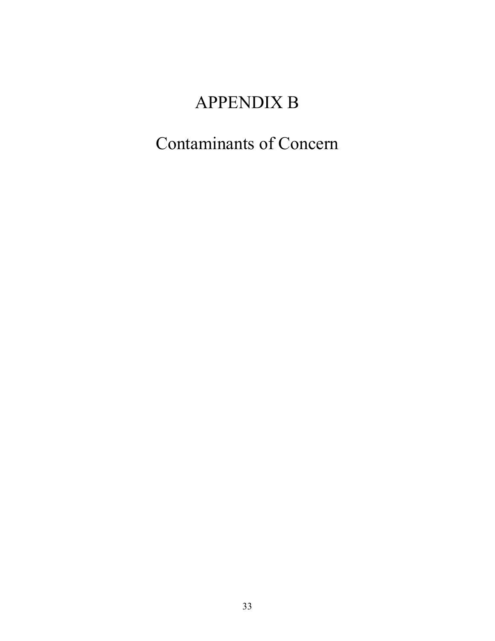## APPENDIX B

## Contaminants of Concern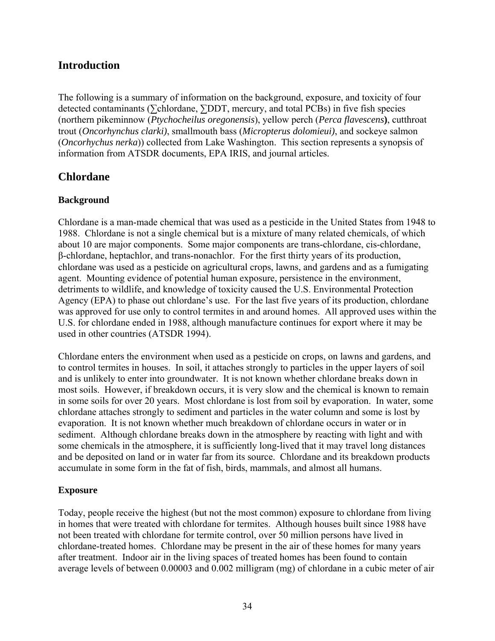## **Introduction**

The following is a summary of information on the background, exposure, and toxicity of four detected contaminants (∑chlordane, ∑DDT, mercury, and total PCBs) in five fish species (northern pikeminnow (*Ptychocheilus oregonensis*), yellow perch (*Perca flavescens***)**, cutthroat trout (*Oncorhynchus clarki)*, smallmouth bass (*Micropterus dolomieui)*, and sockeye salmon (*Oncorhychus nerka*)) collected from Lake Washington. This section represents a synopsis of information from ATSDR documents, EPA IRIS, and journal articles.

## **Chlordane**

#### **Background**

Chlordane is a man-made chemical that was used as a pesticide in the United States from 1948 to 1988. Chlordane is not a single chemical but is a mixture of many related chemicals, of which about 10 are major components. Some major components are trans-chlordane, cis-chlordane, β-chlordane, heptachlor, and trans-nonachlor. For the first thirty years of its production, chlordane was used as a pesticide on agricultural crops, lawns, and gardens and as a fumigating agent. Mounting evidence of potential human exposure, persistence in the environment, detriments to wildlife, and knowledge of toxicity caused the U.S. Environmental Protection Agency (EPA) to phase out chlordane's use. For the last five years of its production, chlordane was approved for use only to control termites in and around homes. All approved uses within the U.S. for chlordane ended in 1988, although manufacture continues for export where it may be used in other countries (ATSDR 1994).

Chlordane enters the environment when used as a pesticide on crops, on lawns and gardens, and to control termites in houses. In soil, it attaches strongly to particles in the upper layers of soil and is unlikely to enter into groundwater. It is not known whether chlordane breaks down in most soils. However, if breakdown occurs, it is very slow and the chemical is known to remain in some soils for over 20 years. Most chlordane is lost from soil by evaporation. In water, some chlordane attaches strongly to sediment and particles in the water column and some is lost by evaporation. It is not known whether much breakdown of chlordane occurs in water or in sediment. Although chlordane breaks down in the atmosphere by reacting with light and with some chemicals in the atmosphere, it is sufficiently long-lived that it may travel long distances and be deposited on land or in water far from its source. Chlordane and its breakdown products accumulate in some form in the fat of fish, birds, mammals, and almost all humans.

#### **Exposure**

Today, people receive the highest (but not the most common) exposure to chlordane from living in homes that were treated with chlordane for termites. Although houses built since 1988 have not been treated with chlordane for termite control, over 50 million persons have lived in chlordane-treated homes. Chlordane may be present in the air of these homes for many years after treatment. Indoor air in the living spaces of treated homes has been found to contain average levels of between 0.00003 and 0.002 milligram (mg) of chlordane in a cubic meter of air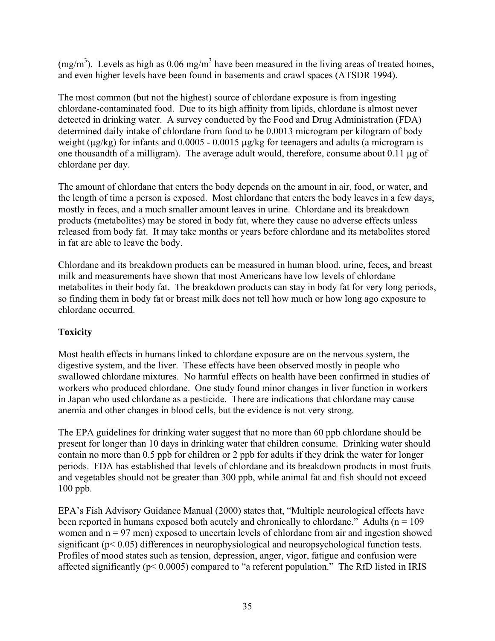(mg/m<sup>3</sup>). Levels as high as 0.06 mg/m<sup>3</sup> have been measured in the living areas of treated homes, and even higher levels have been found in basements and crawl spaces (ATSDR 1994).

The most common (but not the highest) source of chlordane exposure is from ingesting chlordane-contaminated food. Due to its high affinity from lipids, chlordane is almost never detected in drinking water. A survey conducted by the Food and Drug Administration (FDA) determined daily intake of chlordane from food to be 0.0013 microgram per kilogram of body weight (µg/kg) for infants and 0.0005 - 0.0015 µg/kg for teenagers and adults (a microgram is one thousandth of a milligram). The average adult would, therefore, consume about 0.11 µg of chlordane per day.

The amount of chlordane that enters the body depends on the amount in air, food, or water, and the length of time a person is exposed. Most chlordane that enters the body leaves in a few days, mostly in feces, and a much smaller amount leaves in urine. Chlordane and its breakdown products (metabolites) may be stored in body fat, where they cause no adverse effects unless released from body fat. It may take months or years before chlordane and its metabolites stored in fat are able to leave the body.

Chlordane and its breakdown products can be measured in human blood, urine, feces, and breast milk and measurements have shown that most Americans have low levels of chlordane metabolites in their body fat. The breakdown products can stay in body fat for very long periods, so finding them in body fat or breast milk does not tell how much or how long ago exposure to chlordane occurred.

## **Toxicity**

Most health effects in humans linked to chlordane exposure are on the nervous system, the digestive system, and the liver. These effects have been observed mostly in people who swallowed chlordane mixtures. No harmful effects on health have been confirmed in studies of workers who produced chlordane. One study found minor changes in liver function in workers in Japan who used chlordane as a pesticide. There are indications that chlordane may cause anemia and other changes in blood cells, but the evidence is not very strong.

The EPA guidelines for drinking water suggest that no more than 60 ppb chlordane should be present for longer than 10 days in drinking water that children consume. Drinking water should contain no more than 0.5 ppb for children or 2 ppb for adults if they drink the water for longer periods. FDA has established that levels of chlordane and its breakdown products in most fruits and vegetables should not be greater than 300 ppb, while animal fat and fish should not exceed 100 ppb.

EPA's Fish Advisory Guidance Manual (2000) states that, "Multiple neurological effects have been reported in humans exposed both acutely and chronically to chlordane." Adults ( $n = 109$ ) women and  $n = 97$  men) exposed to uncertain levels of chlordane from air and ingestion showed significant (p< 0.05) differences in neurophysiological and neuropsychological function tests. Profiles of mood states such as tension, depression, anger, vigor, fatigue and confusion were affected significantly (p< 0.0005) compared to "a referent population." The RfD listed in IRIS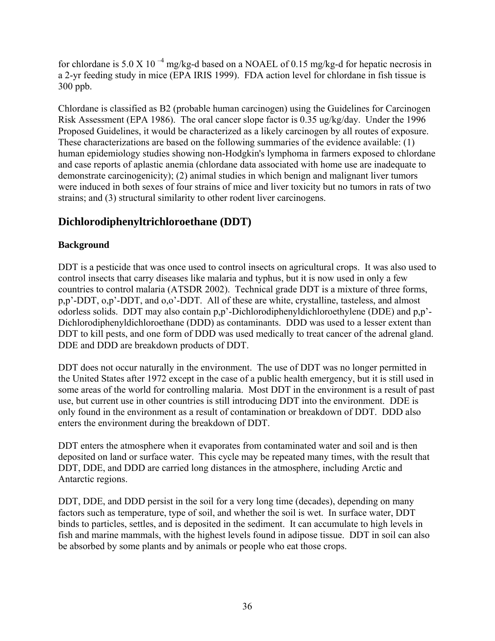for chlordane is 5.0 X 10<sup> $-4$ </sup> mg/kg-d based on a NOAEL of 0.15 mg/kg-d for hepatic necrosis in a 2-yr feeding study in mice (EPA IRIS 1999). FDA action level for chlordane in fish tissue is 300 ppb.

Chlordane is classified as B2 (probable human carcinogen) using the Guidelines for Carcinogen Risk Assessment (EPA 1986). The oral cancer slope factor is 0.35 ug/kg/day. Under the 1996 Proposed Guidelines, it would be characterized as a likely carcinogen by all routes of exposure. These characterizations are based on the following summaries of the evidence available: (1) human epidemiology studies showing non-Hodgkin's lymphoma in farmers exposed to chlordane and case reports of aplastic anemia (chlordane data associated with home use are inadequate to demonstrate carcinogenicity); (2) animal studies in which benign and malignant liver tumors were induced in both sexes of four strains of mice and liver toxicity but no tumors in rats of two strains; and (3) structural similarity to other rodent liver carcinogens.

## **Dichlorodiphenyltrichloroethane (DDT)**

### **Background**

DDT is a pesticide that was once used to control insects on agricultural crops. It was also used to control insects that carry diseases like malaria and typhus, but it is now used in only a few countries to control malaria (ATSDR 2002). Technical grade DDT is a mixture of three forms, p,p'-DDT, o,p'-DDT, and o,o'-DDT. All of these are white, crystalline, tasteless, and almost odorless solids. DDT may also contain p,p'-Dichlorodiphenyldichloroethylene (DDE) and p,p'- Dichlorodiphenyldichloroethane (DDD) as contaminants. DDD was used to a lesser extent than DDT to kill pests, and one form of DDD was used medically to treat cancer of the adrenal gland. DDE and DDD are breakdown products of DDT.

DDT does not occur naturally in the environment. The use of DDT was no longer permitted in the United States after 1972 except in the case of a public health emergency, but it is still used in some areas of the world for controlling malaria. Most DDT in the environment is a result of past use, but current use in other countries is still introducing DDT into the environment. DDE is only found in the environment as a result of contamination or breakdown of DDT. DDD also enters the environment during the breakdown of DDT.

DDT enters the atmosphere when it evaporates from contaminated water and soil and is then deposited on land or surface water. This cycle may be repeated many times, with the result that DDT, DDE, and DDD are carried long distances in the atmosphere, including Arctic and Antarctic regions.

DDT, DDE, and DDD persist in the soil for a very long time (decades), depending on many factors such as temperature, type of soil, and whether the soil is wet. In surface water, DDT binds to particles, settles, and is deposited in the sediment. It can accumulate to high levels in fish and marine mammals, with the highest levels found in adipose tissue. DDT in soil can also be absorbed by some plants and by animals or people who eat those crops.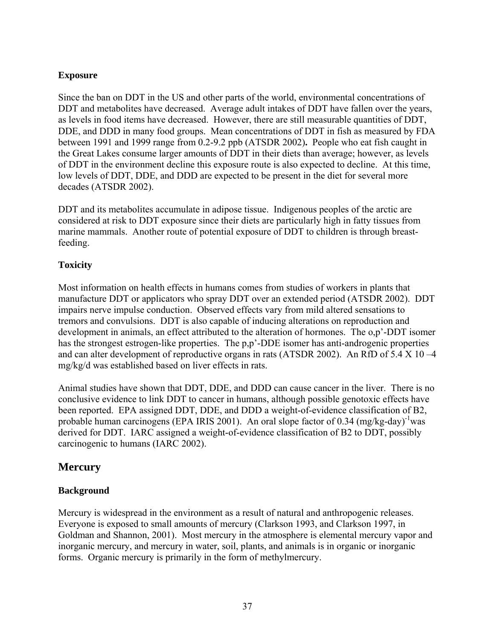#### **Exposure**

Since the ban on DDT in the US and other parts of the world, environmental concentrations of DDT and metabolites have decreased. Average adult intakes of DDT have fallen over the years, as levels in food items have decreased. However, there are still measurable quantities of DDT, DDE, and DDD in many food groups. Mean concentrations of DDT in fish as measured by FDA between 1991 and 1999 range from 0.2-9.2 ppb (ATSDR 2002)**.** People who eat fish caught in the Great Lakes consume larger amounts of DDT in their diets than average; however, as levels of DDT in the environment decline this exposure route is also expected to decline. At this time, low levels of DDT, DDE, and DDD are expected to be present in the diet for several more decades (ATSDR 2002).

DDT and its metabolites accumulate in adipose tissue. Indigenous peoples of the arctic are considered at risk to DDT exposure since their diets are particularly high in fatty tissues from marine mammals. Another route of potential exposure of DDT to children is through breastfeeding.

#### **Toxicity**

Most information on health effects in humans comes from studies of workers in plants that manufacture DDT or applicators who spray DDT over an extended period (ATSDR 2002). DDT impairs nerve impulse conduction. Observed effects vary from mild altered sensations to tremors and convulsions. DDT is also capable of inducing alterations on reproduction and development in animals, an effect attributed to the alteration of hormones. The o,p'-DDT isomer has the strongest estrogen-like properties. The p,p'-DDE isomer has anti-androgenic properties and can alter development of reproductive organs in rats (ATSDR 2002). An RfD of  $5.4 \times 10 - 4$ mg/kg/d was established based on liver effects in rats.

Animal studies have shown that DDT, DDE, and DDD can cause cancer in the liver. There is no conclusive evidence to link DDT to cancer in humans, although possible genotoxic effects have been reported. EPA assigned DDT, DDE, and DDD a weight-of-evidence classification of B2, probable human carcinogens (EPA IRIS 2001). An oral slope factor of 0.34 (mg/kg-day)<sup>-1</sup>was derived for DDT. IARC assigned a weight-of-evidence classification of B2 to DDT, possibly carcinogenic to humans (IARC 2002).

## **Mercury**

#### **Background**

Mercury is widespread in the environment as a result of natural and anthropogenic releases. Everyone is exposed to small amounts of mercury (Clarkson 1993, and Clarkson 1997, in Goldman and Shannon, 2001). Most mercury in the atmosphere is elemental mercury vapor and inorganic mercury, and mercury in water, soil, plants, and animals is in organic or inorganic forms. Organic mercury is primarily in the form of methylmercury.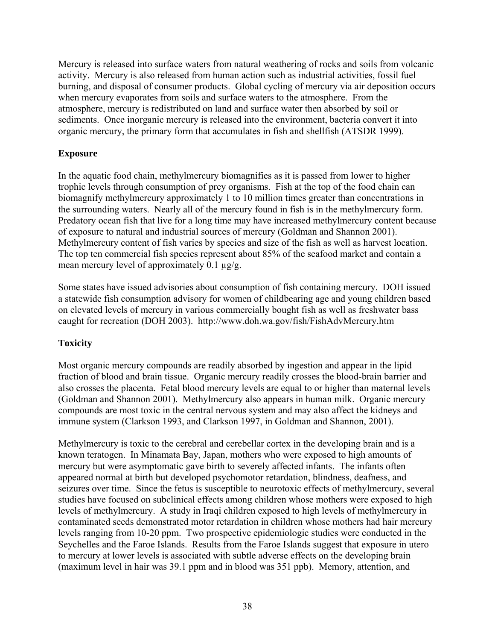Mercury is released into surface waters from natural weathering of rocks and soils from volcanic activity. Mercury is also released from human action such as industrial activities, fossil fuel burning, and disposal of consumer products. Global cycling of mercury via air deposition occurs when mercury evaporates from soils and surface waters to the atmosphere. From the atmosphere, mercury is redistributed on land and surface water then absorbed by soil or sediments. Once inorganic mercury is released into the environment, bacteria convert it into organic mercury, the primary form that accumulates in fish and shellfish (ATSDR 1999).

#### **Exposure**

In the aquatic food chain, methylmercury biomagnifies as it is passed from lower to higher trophic levels through consumption of prey organisms. Fish at the top of the food chain can biomagnify methylmercury approximately 1 to 10 million times greater than concentrations in the surrounding waters. Nearly all of the mercury found in fish is in the methylmercury form. Predatory ocean fish that live for a long time may have increased methylmercury content because of exposure to natural and industrial sources of mercury (Goldman and Shannon 2001). Methylmercury content of fish varies by species and size of the fish as well as harvest location. The top ten commercial fish species represent about 85% of the seafood market and contain a mean mercury level of approximately 0.1  $\mu$ g/g.

Some states have issued advisories about consumption of fish containing mercury. DOH issued a statewide fish consumption advisory for women of childbearing age and young children based on elevated levels of mercury in various commercially bought fish as well as freshwater bass caught for recreation (DOH 2003). http://www.doh.wa.gov/fish/FishAdvMercury.htm

### **Toxicity**

Most organic mercury compounds are readily absorbed by ingestion and appear in the lipid fraction of blood and brain tissue. Organic mercury readily crosses the blood-brain barrier and also crosses the placenta. Fetal blood mercury levels are equal to or higher than maternal levels (Goldman and Shannon 2001). Methylmercury also appears in human milk. Organic mercury compounds are most toxic in the central nervous system and may also affect the kidneys and immune system (Clarkson 1993, and Clarkson 1997, in Goldman and Shannon, 2001).

Methylmercury is toxic to the cerebral and cerebellar cortex in the developing brain and is a known teratogen. In Minamata Bay, Japan, mothers who were exposed to high amounts of mercury but were asymptomatic gave birth to severely affected infants. The infants often appeared normal at birth but developed psychomotor retardation, blindness, deafness, and seizures over time. Since the fetus is susceptible to neurotoxic effects of methylmercury, several studies have focused on subclinical effects among children whose mothers were exposed to high levels of methylmercury. A study in Iraqi children exposed to high levels of methylmercury in contaminated seeds demonstrated motor retardation in children whose mothers had hair mercury levels ranging from 10-20 ppm. Two prospective epidemiologic studies were conducted in the Seychelles and the Faroe Islands. Results from the Faroe Islands suggest that exposure in utero to mercury at lower levels is associated with subtle adverse effects on the developing brain (maximum level in hair was 39.1 ppm and in blood was 351 ppb). Memory, attention, and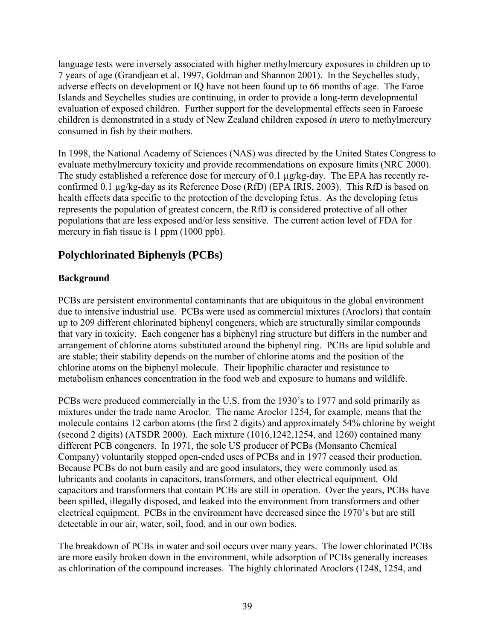language tests were inversely associated with higher methylmercury exposures in children up to 7 years of age (Grandjean et al. 1997, Goldman and Shannon 2001). In the Seychelles study, adverse effects on development or IQ have not been found up to 66 months of age. The Faroe Islands and Seychelles studies are continuing, in order to provide a long-term developmental evaluation of exposed children. Further support for the developmental effects seen in Faroese children is demonstrated in a study of New Zealand children exposed *in utero* to methylmercury consumed in fish by their mothers.

In 1998, the National Academy of Sciences (NAS) was directed by the United States Congress to evaluate methylmercury toxicity and provide recommendations on exposure limits (NRC 2000). The study established a reference dose for mercury of 0.1 µg/kg-day. The EPA has recently reconfirmed 0.1 µg/kg-day as its Reference Dose (RfD) (EPA IRIS, 2003). This RfD is based on health effects data specific to the protection of the developing fetus. As the developing fetus represents the population of greatest concern, the RfD is considered protective of all other populations that are less exposed and/or less sensitive. The current action level of FDA for mercury in fish tissue is 1 ppm (1000 ppb).

## **Polychlorinated Biphenyls (PCBs)**

#### **Background**

PCBs are persistent environmental contaminants that are ubiquitous in the global environment due to intensive industrial use. PCBs were used as commercial mixtures (Aroclors) that contain up to 209 different chlorinated biphenyl congeners, which are structurally similar compounds that vary in toxicity. Each congener has a biphenyl ring structure but differs in the number and arrangement of chlorine atoms substituted around the biphenyl ring. PCBs are lipid soluble and are stable; their stability depends on the number of chlorine atoms and the position of the chlorine atoms on the biphenyl molecule. Their lipophilic character and resistance to metabolism enhances concentration in the food web and exposure to humans and wildlife.

PCBs were produced commercially in the U.S. from the 1930's to 1977 and sold primarily as mixtures under the trade name Aroclor. The name Aroclor 1254, for example, means that the molecule contains 12 carbon atoms (the first 2 digits) and approximately 54% chlorine by weight (second 2 digits) (ATSDR 2000). Each mixture (1016,1242,1254, and 1260) contained many different PCB congeners. In 1971, the sole US producer of PCBs (Monsanto Chemical Company) voluntarily stopped open-ended uses of PCBs and in 1977 ceased their production. Because PCBs do not burn easily and are good insulators, they were commonly used as lubricants and coolants in capacitors, transformers, and other electrical equipment. Old capacitors and transformers that contain PCBs are still in operation. Over the years, PCBs have been spilled, illegally disposed, and leaked into the environment from transformers and other electrical equipment. PCBs in the environment have decreased since the 1970's but are still detectable in our air, water, soil, food, and in our own bodies.

The breakdown of PCBs in water and soil occurs over many years. The lower chlorinated PCBs are more easily broken down in the environment, while adsorption of PCBs generally increases as chlorination of the compound increases. The highly chlorinated Aroclors (1248, 1254, and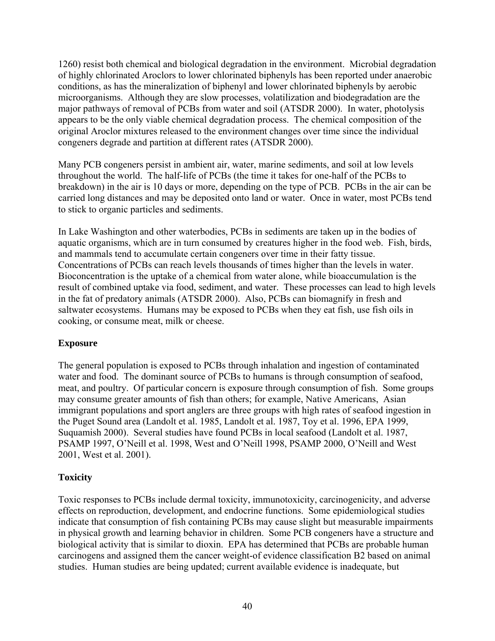1260) resist both chemical and biological degradation in the environment. Microbial degradation of highly chlorinated Aroclors to lower chlorinated biphenyls has been reported under anaerobic conditions, as has the mineralization of biphenyl and lower chlorinated biphenyls by aerobic microorganisms. Although they are slow processes, volatilization and biodegradation are the major pathways of removal of PCBs from water and soil (ATSDR 2000). In water, photolysis appears to be the only viable chemical degradation process. The chemical composition of the original Aroclor mixtures released to the environment changes over time since the individual congeners degrade and partition at different rates (ATSDR 2000).

Many PCB congeners persist in ambient air, water, marine sediments, and soil at low levels throughout the world. The half-life of PCBs (the time it takes for one-half of the PCBs to breakdown) in the air is 10 days or more, depending on the type of PCB. PCBs in the air can be carried long distances and may be deposited onto land or water. Once in water, most PCBs tend to stick to organic particles and sediments.

In Lake Washington and other waterbodies, PCBs in sediments are taken up in the bodies of aquatic organisms, which are in turn consumed by creatures higher in the food web. Fish, birds, and mammals tend to accumulate certain congeners over time in their fatty tissue. Concentrations of PCBs can reach levels thousands of times higher than the levels in water. Bioconcentration is the uptake of a chemical from water alone, while bioaccumulation is the result of combined uptake via food, sediment, and water. These processes can lead to high levels in the fat of predatory animals (ATSDR 2000). Also, PCBs can biomagnify in fresh and saltwater ecosystems. Humans may be exposed to PCBs when they eat fish, use fish oils in cooking, or consume meat, milk or cheese.

#### **Exposure**

The general population is exposed to PCBs through inhalation and ingestion of contaminated water and food. The dominant source of PCBs to humans is through consumption of seafood, meat, and poultry. Of particular concern is exposure through consumption of fish. Some groups may consume greater amounts of fish than others; for example, Native Americans, Asian immigrant populations and sport anglers are three groups with high rates of seafood ingestion in the Puget Sound area (Landolt et al. 1985, Landolt et al. 1987, Toy et al. 1996, EPA 1999, Suquamish 2000). Several studies have found PCBs in local seafood (Landolt et al. 1987, PSAMP 1997, O'Neill et al. 1998, West and O'Neill 1998, PSAMP 2000, O'Neill and West 2001, West et al. 2001).

### **Toxicity**

Toxic responses to PCBs include dermal toxicity, immunotoxicity, carcinogenicity, and adverse effects on reproduction, development, and endocrine functions. Some epidemiological studies indicate that consumption of fish containing PCBs may cause slight but measurable impairments in physical growth and learning behavior in children. Some PCB congeners have a structure and biological activity that is similar to dioxin. EPA has determined that PCBs are probable human carcinogens and assigned them the cancer weight-of evidence classification B2 based on animal studies. Human studies are being updated; current available evidence is inadequate, but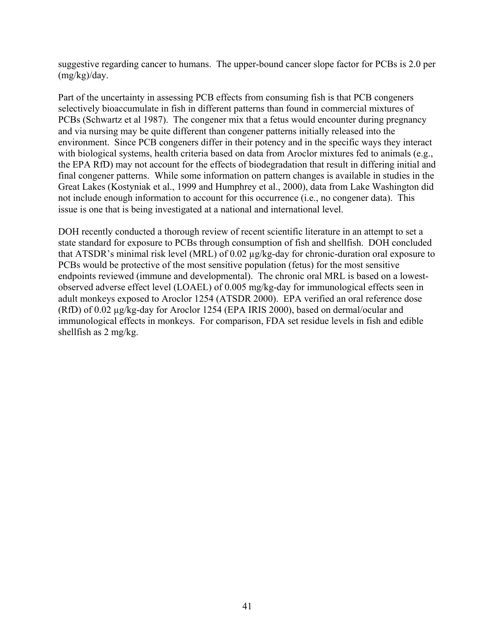suggestive regarding cancer to humans. The upper-bound cancer slope factor for PCBs is 2.0 per (mg/kg)/day.

Part of the uncertainty in assessing PCB effects from consuming fish is that PCB congeners selectively bioaccumulate in fish in different patterns than found in commercial mixtures of PCBs (Schwartz et al 1987). The congener mix that a fetus would encounter during pregnancy and via nursing may be quite different than congener patterns initially released into the environment. Since PCB congeners differ in their potency and in the specific ways they interact with biological systems, health criteria based on data from Aroclor mixtures fed to animals (e.g., the EPA RfD) may not account for the effects of biodegradation that result in differing initial and final congener patterns. While some information on pattern changes is available in studies in the Great Lakes (Kostyniak et al., 1999 and Humphrey et al., 2000), data from Lake Washington did not include enough information to account for this occurrence (i.e., no congener data). This issue is one that is being investigated at a national and international level.

DOH recently conducted a thorough review of recent scientific literature in an attempt to set a state standard for exposure to PCBs through consumption of fish and shellfish. DOH concluded that ATSDR's minimal risk level (MRL) of 0.02 µg/kg-day for chronic-duration oral exposure to PCBs would be protective of the most sensitive population (fetus) for the most sensitive endpoints reviewed (immune and developmental). The chronic oral MRL is based on a lowestobserved adverse effect level (LOAEL) of 0.005 mg/kg-day for immunological effects seen in adult monkeys exposed to Aroclor 1254 (ATSDR 2000). EPA verified an oral reference dose (RfD) of 0.02 µg/kg-day for Aroclor 1254 (EPA IRIS 2000), based on dermal/ocular and immunological effects in monkeys. For comparison, FDA set residue levels in fish and edible shellfish as 2 mg/kg.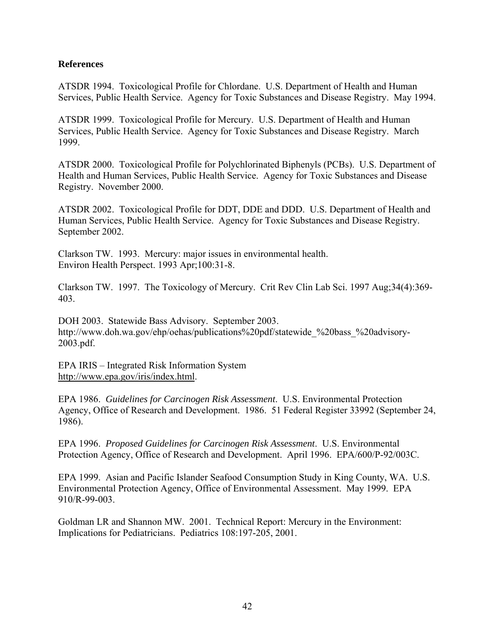#### **References**

ATSDR 1994. Toxicological Profile for Chlordane. U.S. Department of Health and Human Services, Public Health Service. Agency for Toxic Substances and Disease Registry. May 1994.

ATSDR 1999. Toxicological Profile for Mercury. U.S. Department of Health and Human Services, Public Health Service. Agency for Toxic Substances and Disease Registry. March 1999.

ATSDR 2000. Toxicological Profile for Polychlorinated Biphenyls (PCBs). U.S. Department of Health and Human Services, Public Health Service. Agency for Toxic Substances and Disease Registry. November 2000.

ATSDR 2002. Toxicological Profile for DDT, DDE and DDD. U.S. Department of Health and Human Services, Public Health Service. Agency for Toxic Substances and Disease Registry. September 2002.

Clarkson TW. 1993. Mercury: major issues in environmental health. Environ Health Perspect. 1993 Apr;100:31-8.

Clarkson TW. 1997. The Toxicology of Mercury. Crit Rev Clin Lab Sci. 1997 Aug;34(4):369- 403.

DOH 2003. Statewide Bass Advisory. September 2003. http://www.doh.wa.gov/ehp/oehas/publications%20pdf/statewide\_%20bass\_%20advisory-2003.pdf.

EPA IRIS – Integrated Risk Information System http://www.epa.gov/iris/index.html.

EPA 1986. *Guidelines for Carcinogen Risk Assessment*. U.S. Environmental Protection Agency, Office of Research and Development. 1986. 51 Federal Register 33992 (September 24, 1986).

EPA 1996. *Proposed Guidelines for Carcinogen Risk Assessment*. U.S. Environmental Protection Agency, Office of Research and Development. April 1996. EPA/600/P-92/003C.

EPA 1999. Asian and Pacific Islander Seafood Consumption Study in King County, WA. U.S. Environmental Protection Agency, Office of Environmental Assessment. May 1999. EPA 910/R-99-003.

Goldman LR and Shannon MW. 2001. Technical Report: Mercury in the Environment: Implications for Pediatricians. Pediatrics 108:197-205, 2001.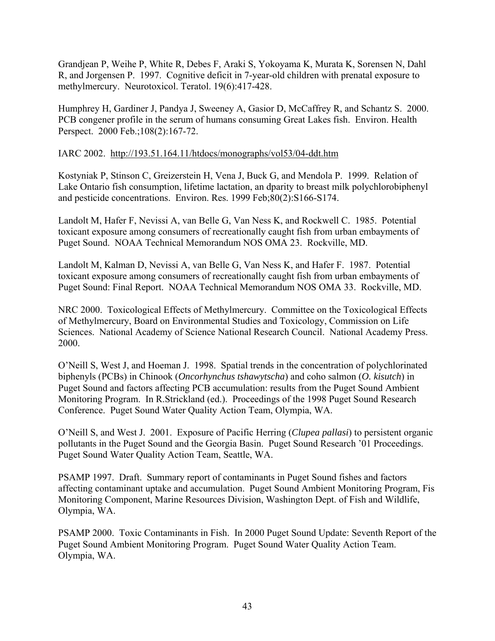Grandjean P, Weihe P, White R, Debes F, Araki S, Yokoyama K, Murata K, Sorensen N, Dahl R, and Jorgensen P. 1997. Cognitive deficit in 7-year-old children with prenatal exposure to methylmercury. Neurotoxicol. Teratol. 19(6):417-428.

Humphrey H, Gardiner J, Pandya J, Sweeney A, Gasior D, McCaffrey R, and Schantz S. 2000. PCB congener profile in the serum of humans consuming Great Lakes fish. Environ. Health Perspect. 2000 Feb.;108(2):167-72.

#### IARC 2002. http://193.51.164.11/htdocs/monographs/vol53/04-ddt.htm

Kostyniak P, Stinson C, Greizerstein H, Vena J, Buck G, and Mendola P. 1999. Relation of Lake Ontario fish consumption, lifetime lactation, an dparity to breast milk polychlorobiphenyl and pesticide concentrations. Environ. Res. 1999 Feb;80(2):S166-S174.

Landolt M, Hafer F, Nevissi A, van Belle G, Van Ness K, and Rockwell C. 1985. Potential toxicant exposure among consumers of recreationally caught fish from urban embayments of Puget Sound. NOAA Technical Memorandum NOS OMA 23. Rockville, MD.

Landolt M, Kalman D, Nevissi A, van Belle G, Van Ness K, and Hafer F. 1987. Potential toxicant exposure among consumers of recreationally caught fish from urban embayments of Puget Sound: Final Report. NOAA Technical Memorandum NOS OMA 33. Rockville, MD.

NRC 2000. Toxicological Effects of Methylmercury. Committee on the Toxicological Effects of Methylmercury, Board on Environmental Studies and Toxicology, Commission on Life Sciences. National Academy of Science National Research Council. National Academy Press. 2000.

O'Neill S, West J, and Hoeman J. 1998. Spatial trends in the concentration of polychlorinated biphenyls (PCBs) in Chinook (*Oncorhynchus tshawytscha*) and coho salmon (*O. kisutch*) in Puget Sound and factors affecting PCB accumulation: results from the Puget Sound Ambient Monitoring Program. In R.Strickland (ed.). Proceedings of the 1998 Puget Sound Research Conference. Puget Sound Water Quality Action Team, Olympia, WA.

O'Neill S, and West J. 2001. Exposure of Pacific Herring (*Clupea pallasi*) to persistent organic pollutants in the Puget Sound and the Georgia Basin. Puget Sound Research '01 Proceedings. Puget Sound Water Quality Action Team, Seattle, WA.

PSAMP 1997. Draft. Summary report of contaminants in Puget Sound fishes and factors affecting contaminant uptake and accumulation. Puget Sound Ambient Monitoring Program, Fis Monitoring Component, Marine Resources Division, Washington Dept. of Fish and Wildlife, Olympia, WA.

PSAMP 2000. Toxic Contaminants in Fish. In 2000 Puget Sound Update: Seventh Report of the Puget Sound Ambient Monitoring Program. Puget Sound Water Quality Action Team. Olympia, WA.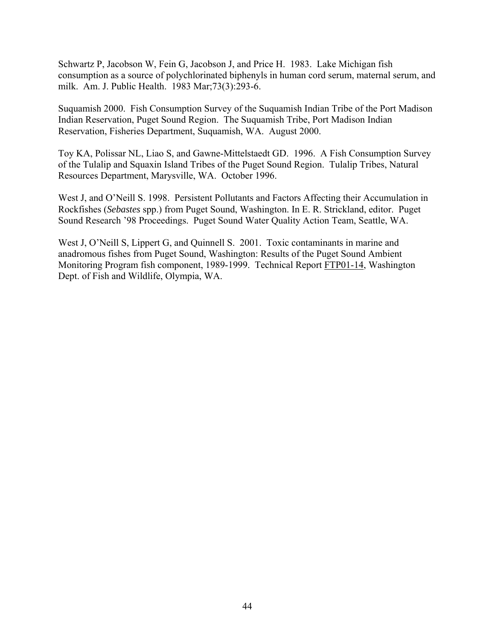Schwartz P, Jacobson W, Fein G, Jacobson J, and Price H. 1983. Lake Michigan fish consumption as a source of polychlorinated biphenyls in human cord serum, maternal serum, and milk. Am. J. Public Health. 1983 Mar;73(3):293-6.

Suquamish 2000. Fish Consumption Survey of the Suquamish Indian Tribe of the Port Madison Indian Reservation, Puget Sound Region. The Suquamish Tribe, Port Madison Indian Reservation, Fisheries Department, Suquamish, WA. August 2000.

Toy KA, Polissar NL, Liao S, and Gawne-Mittelstaedt GD. 1996. A Fish Consumption Survey of the Tulalip and Squaxin Island Tribes of the Puget Sound Region. Tulalip Tribes, Natural Resources Department, Marysville, WA. October 1996.

West J, and O'Neill S. 1998. Persistent Pollutants and Factors Affecting their Accumulation in Rockfishes (*Sebastes* spp.) from Puget Sound, Washington. In E. R. Strickland, editor. Puget Sound Research '98 Proceedings. Puget Sound Water Quality Action Team, Seattle, WA.

West J, O'Neill S, Lippert G, and Quinnell S. 2001. Toxic contaminants in marine and anadromous fishes from Puget Sound, Washington: Results of the Puget Sound Ambient Monitoring Program fish component, 1989-1999. Technical Report FTP01-14, Washington Dept. of Fish and Wildlife, Olympia, WA.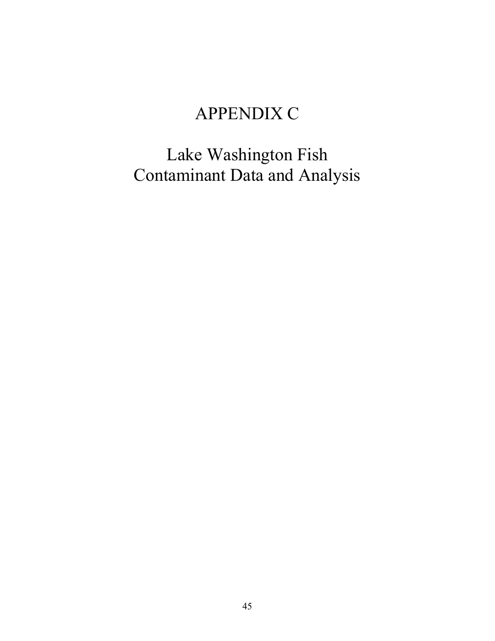# APPENDIX C

Lake Washington Fish Contaminant Data and Analysis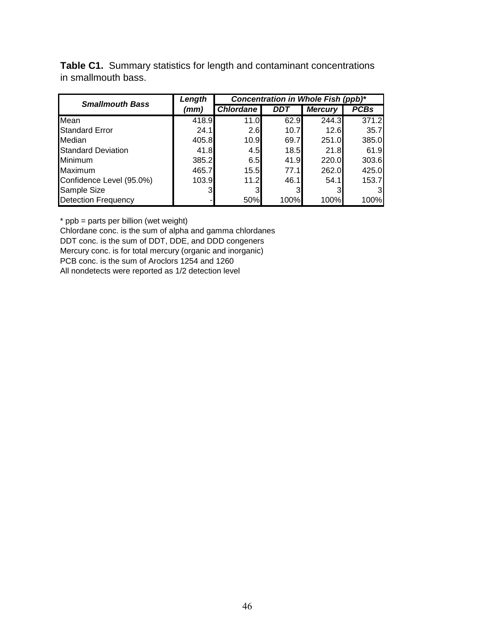**Table C1.** Summary statistics for length and contaminant concentrations in smallmouth bass.

| <b>Smallmouth Bass</b>     | Length | Concentration in Whole Fish (ppb)* |      |                |             |  |
|----------------------------|--------|------------------------------------|------|----------------|-------------|--|
|                            | (mm)   | <b>Chlordane</b>                   | DDT  | <b>Mercury</b> | <b>PCBs</b> |  |
| Mean                       | 418.9  | 11.0                               | 62.9 | 244.3          | 371.2       |  |
| <b>Standard Error</b>      | 24.1   | 2.6                                | 10.7 | 12.6           | 35.7        |  |
| Median                     | 405.8  | 10.9                               | 69.7 | 251.0          | 385.0       |  |
| <b>Standard Deviation</b>  | 41.8   | 4.5                                | 18.5 | 21.8           | 61.9        |  |
| Minimum                    | 385.2  | 6.5                                | 41.9 | 220.0          | 303.6       |  |
| Maximum                    | 465.7  | 15.5                               | 77.1 | 262.0          | 425.0       |  |
| Confidence Level (95.0%)   | 103.9  | 11.2                               | 46.1 | 54.1           | 153.7       |  |
| Sample Size                |        |                                    |      |                | 31          |  |
| <b>Detection Frequency</b> |        | 50%                                | 100% | 100%           | 100%        |  |

\* ppb = parts per billion (wet weight)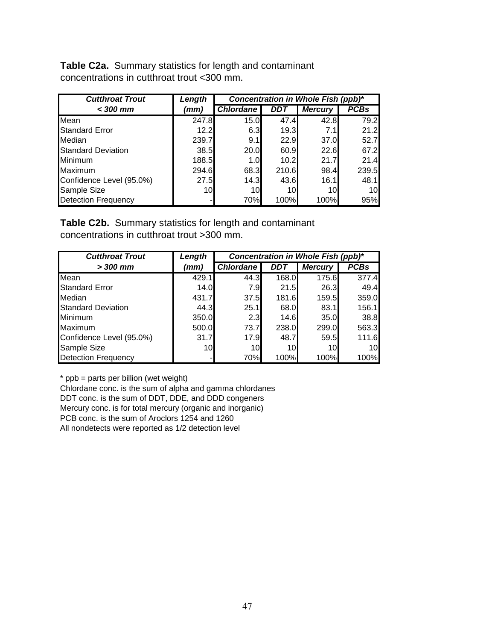**Table C2a.** Summary statistics for length and contaminant concentrations in cutthroat trout <300 mm.

| <b>Cutthroat Trout</b>     | Length | Concentration in Whole Fish (ppb)* |       |                |             |
|----------------------------|--------|------------------------------------|-------|----------------|-------------|
| $<$ 300 mm                 | (mm)   | <b>Chlordane</b>                   | DDT   | <b>Mercury</b> | <b>PCBs</b> |
| Mean                       | 247.8  | 15.0                               | 47.4  | 42.8           | 79.2        |
| <b>Standard Error</b>      | 12.2   | 6.3                                | 19.3  | 7.1            | 21.2        |
| Median                     | 239.7  | 9.1                                | 22.9  | 37.0           | 52.7        |
| <b>Standard Deviation</b>  | 38.5   | 20.0                               | 60.9  | 22.6           | 67.2        |
| Minimum                    | 188.5  | 1.0 <sub>l</sub>                   | 10.2  | 21.7           | 21.4        |
| Maximum                    | 294.6  | 68.3                               | 210.6 | 98.4           | 239.5       |
| Confidence Level (95.0%)   | 27.5   | 14.3                               | 43.6  | 16.1           | 48.1        |
| Sample Size                | 10     | 10                                 | 10    | 10             | 10          |
| <b>Detection Frequency</b> |        | 70%                                | 100%  | 100%           | 95%         |

**Table C2b.** Summary statistics for length and contaminant concentrations in cutthroat trout >300 mm.

| <b>Cutthroat Trout</b>     | Length | Concentration in Whole Fish (ppb)* |            |                |             |  |
|----------------------------|--------|------------------------------------|------------|----------------|-------------|--|
| $>$ 300 mm                 | (mm)   | <b>Chlordane</b>                   | <b>DDT</b> | <b>Mercury</b> | <b>PCBs</b> |  |
| Mean                       | 429.1  | 44.3                               | 168.0      | 175.6          | 377.4       |  |
| <b>Standard Error</b>      | 14.0   | 7.9I                               | 21.5       | 26.3           | 49.4        |  |
| Median                     | 431.7  | 37.5                               | 181.6      | 159.5          | 359.0       |  |
| <b>Standard Deviation</b>  | 44.3   | 25.1                               | 68.0       | 83.1           | 156.1       |  |
| <b>Minimum</b>             | 350.0  | 2.3                                | 14.6       | 35.0           | 38.8        |  |
| Maximum                    | 500.0  | 73.7                               | 238.0      | 299.0          | 563.3       |  |
| Confidence Level (95.0%)   | 31.7   | 17.9                               | 48.7       | 59.5           | 111.6       |  |
| Sample Size                | 10I    | 10                                 | 10         | 10I            | 10          |  |
| <b>Detection Frequency</b> |        | 70%                                | 100%       | 100%           | 100%        |  |

\* ppb = parts per billion (wet weight)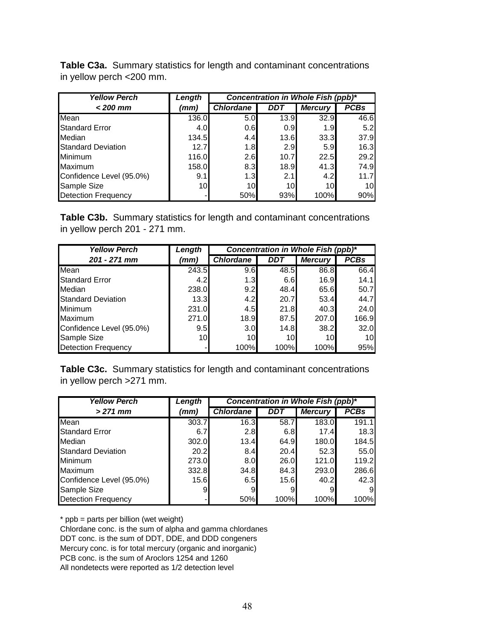**Table C3a.** Summary statistics for length and contaminant concentrations in yellow perch <200 mm.

| <b>Yellow Perch</b>        | Length | Concentration in Whole Fish (ppb)* |                  |                  |             |
|----------------------------|--------|------------------------------------|------------------|------------------|-------------|
| $<$ 200 mm                 | (mm)   | <b>Chlordane</b>                   | DDT              | <b>Mercury</b>   | <b>PCBs</b> |
| Mean                       | 136.0  | 5.0                                | 13.9             | 32.9             | 46.6        |
| <b>Standard Error</b>      | 4.0    | 0.6                                | 0.9 <sub>l</sub> | 1.9 <sub>l</sub> | 5.2         |
| Median                     | 134.5  | 4.4                                | 13.6             | 33.3             | 37.9        |
| <b>Standard Deviation</b>  | 12.7   | 1.8                                | 2.9              | 5.9              | 16.3        |
| <b>Minimum</b>             | 116.0  | 2.6                                | 10.7             | 22.5             | 29.2        |
| Maximum                    | 158.0  | 8.3                                | 18.9             | 41.3             | 74.9        |
| Confidence Level (95.0%)   | 9.1    | 1.3                                | 2.1              | 4.2              | 11.7        |
| Sample Size                | 10     | 10 <sup>1</sup>                    | 10 <sup>1</sup>  | 10               | 10          |
| <b>Detection Frequency</b> |        | 50%                                | 93%              | 100%             | 90%         |

**Table C3b.** Summary statistics for length and contaminant concentrations in yellow perch 201 - 271 mm.

| <b>Yellow Perch</b>        | Length          | Concentration in Whole Fish (ppb)* |            |                |             |  |
|----------------------------|-----------------|------------------------------------|------------|----------------|-------------|--|
| $201 - 271$ mm             | (mm)            | <b>Chlordane</b>                   | <b>DDT</b> | <b>Mercury</b> | <b>PCBs</b> |  |
| Mean                       | 243.5           | 9.6                                | 48.5       | 86.8           | 66.4        |  |
| <b>Standard Error</b>      | 4.2             | 1.3 <sub>l</sub>                   | 6.6        | 16.9           | 14.1        |  |
| Median                     | 238.0           | 9.2                                | 48.4       | 65.6           | 50.7        |  |
| <b>Standard Deviation</b>  | 13.3            | 4.2                                | 20.7       | 53.4           | 44.7        |  |
| Minimum                    | 231.0           | 4.5                                | 21.8       | 40.3           | 24.0        |  |
| Maximum                    | 271.0           | 18.9                               | 87.5       | 207.0          | 166.9       |  |
| Confidence Level (95.0%)   | 9.5             | 3.0 <sub>l</sub>                   | 14.8       | 38.2           | 32.0        |  |
| Sample Size                | 10 <sup>1</sup> | 10                                 | 10         | 10             | 10          |  |
| <b>Detection Frequency</b> |                 | 100%                               | 100%       | 100%           | 95%         |  |

**Table C3c.** Summary statistics for length and contaminant concentrations in yellow perch >271 mm.

| <b>Yellow Perch</b>        | Length | Concentration in Whole Fish (ppb)* |            |                |             |  |
|----------------------------|--------|------------------------------------|------------|----------------|-------------|--|
| $>271$ mm                  | (mm)   | <b>Chlordane</b>                   | <b>DDT</b> | <b>Mercury</b> | <b>PCBs</b> |  |
| Mean                       | 303.7  | 16.3                               | 58.7       | 183.0          | 191.1       |  |
| <b>Standard Error</b>      | 6.7    | 2.8                                | 6.8        | 17.4           | 18.3        |  |
| Median                     | 302.0  | 13.4                               | 64.9       | 180.0          | 184.5       |  |
| <b>Standard Deviation</b>  | 20.2   | 8.4                                | 20.4       | 52.3           | 55.0        |  |
| Minimum                    | 273.0  | 8.0 <sub>l</sub>                   | 26.0       | 121.0          | 119.2       |  |
| Maximum                    | 332.8  | 34.8                               | 84.3       | 293.0          | 286.6       |  |
| Confidence Level (95.0%)   | 15.6   | 6.5                                | 15.6       | 40.2           | 42.3        |  |
| Sample Size                | 9      |                                    |            | 9              | 9           |  |
| <b>Detection Frequency</b> |        | 50%                                | 100%       | 100%           | 100%        |  |

\* ppb = parts per billion (wet weight)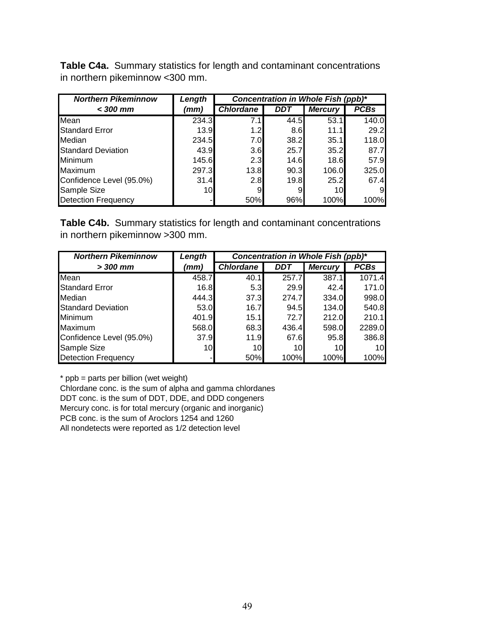**Table C4a.** Summary statistics for length and contaminant concentrations in northern pikeminnow <300 mm.

| <b>Northern Pikeminnow</b> | Length | Concentration in Whole Fish (ppb)* |      |                |             |
|----------------------------|--------|------------------------------------|------|----------------|-------------|
| $<$ 300 mm                 | (mm)   | <b>Chlordane</b>                   | DDT  | <b>Mercury</b> | <b>PCBs</b> |
| Mean                       | 234.3  | 7.1                                | 44.5 | 53.1           | 140.0       |
| <b>Standard Error</b>      | 13.9   | 1.2 <sub>l</sub>                   | 8.6  | 11.1           | 29.2        |
| <b>Median</b>              | 234.5  | 7.0                                | 38.2 | 35.1           | 118.0       |
| <b>Standard Deviation</b>  | 43.9   | 3.6                                | 25.7 | 35.2           | 87.7        |
| Minimum                    | 145.6  | 2.3                                | 14.6 | 18.6           | 57.9        |
| Maximum                    | 297.3  | 13.8                               | 90.3 | 106.0          | 325.0       |
| Confidence Level (95.0%)   | 31.4   | 2.8                                | 19.8 | 25.2           | 67.4        |
| Sample Size                | 10     | 9                                  | 9    | 10I            | 9           |
| <b>Detection Frequency</b> |        | 50%                                | 96%  | 100%           | 100%        |

**Table C4b.** Summary statistics for length and contaminant concentrations in northern pikeminnow >300 mm.

| <b>Northern Pikeminnow</b> | Length | Concentration in Whole Fish (ppb)* |       |                |             |
|----------------------------|--------|------------------------------------|-------|----------------|-------------|
| $>$ 300 mm                 | (mm)   | <b>Chlordane</b>                   | DDT   | <b>Mercury</b> | <b>PCBs</b> |
| Mean                       | 458.7  | 40.1                               | 257.7 | 387.1          | 1071.4      |
| <b>Standard Error</b>      | 16.8   | 5.3                                | 29.9  | 42.4           | 171.0       |
| <b>Median</b>              | 444.3  | 37.3                               | 274.7 | 334.0          | 998.0       |
| <b>Standard Deviation</b>  | 53.0   | 16.7                               | 94.5  | 134.0          | 540.8       |
| <b>Minimum</b>             | 401.9  | 15.1                               | 72.7  | 212.0          | 210.1       |
| <b>Maximum</b>             | 568.0  | 68.3                               | 436.4 | 598.0          | 2289.0      |
| Confidence Level (95.0%)   | 37.9   | 11.9                               | 67.6  | 95.8           | 386.8       |
| Sample Size                | 10     | 10 <sup>1</sup>                    | 10    | 10             | 10          |
| <b>Detection Frequency</b> |        | 50%                                | 100%  | 100%           | 100%        |

\* ppb = parts per billion (wet weight)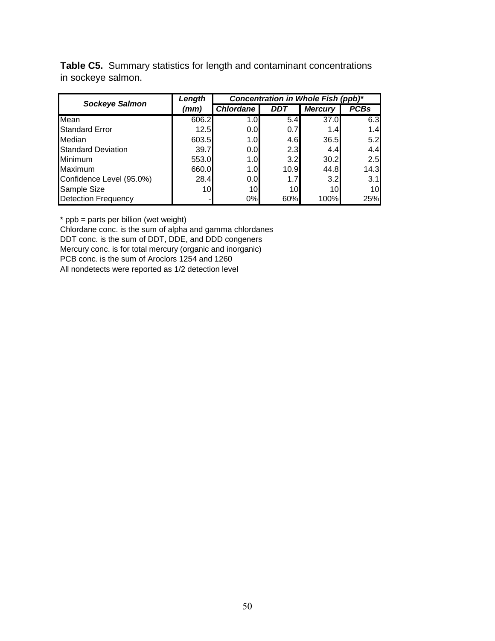**Table C5.** Summary statistics for length and contaminant concentrations in sockeye salmon.

| <b>Sockeye Salmon</b>      | Length | Concentration in Whole Fish (ppb)* |      |                |             |  |
|----------------------------|--------|------------------------------------|------|----------------|-------------|--|
|                            | (mm)   | <b>Chlordane</b>                   | DDT  | <b>Mercury</b> | <b>PCBs</b> |  |
| Mean                       | 606.2  | 1.0 <sub>l</sub>                   | 5.4  | 37.0           | 6.3         |  |
| <b>Standard Error</b>      | 12.5   | 0.0                                | 0.7  | 1.4            | 1.4         |  |
| Median                     | 603.5  | 1.OI                               | 4.6  | 36.5           | 5.2         |  |
| <b>Standard Deviation</b>  | 39.7   | 0.0                                | 2.3  | 4.4            | 4.4         |  |
| Minimum                    | 553.0  | 1.0 <sub>l</sub>                   | 3.2  | 30.2           | 2.5         |  |
| Maximum                    | 660.0  | 1.0 <sub>l</sub>                   | 10.9 | 44.8           | 14.3        |  |
| Confidence Level (95.0%)   | 28.4   | 0.0 <sub>l</sub>                   | 1.7  | 3.2            | 3.1         |  |
| Sample Size                | 10     | 10                                 | 10I  | 10             | 10I         |  |
| <b>Detection Frequency</b> |        | 0%                                 | 60%  | 100%           | 25%         |  |

\* ppb = parts per billion (wet weight)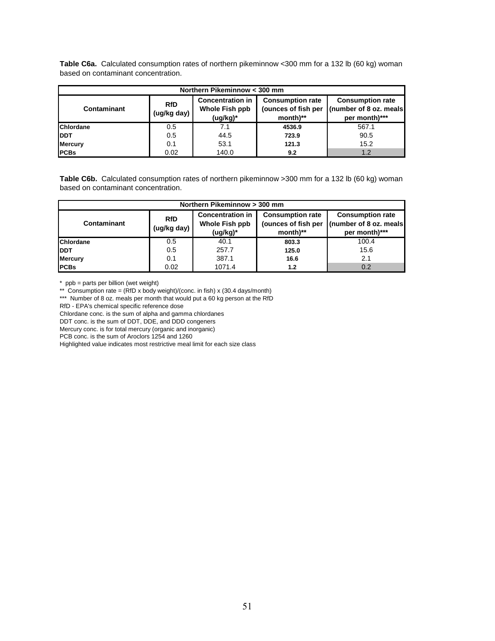| Table C6a. Calculated consumption rates of northern pikeminnow <300 mm for a 132 lb (60 kg) woman |  |  |
|---------------------------------------------------------------------------------------------------|--|--|
| based on contaminant concentration.                                                               |  |  |

| Northern Pikeminnow < 300 mm |                           |                                                          |                                                            |                                                                    |  |  |  |  |
|------------------------------|---------------------------|----------------------------------------------------------|------------------------------------------------------------|--------------------------------------------------------------------|--|--|--|--|
| Contaminant                  | <b>RfD</b><br>(ug/kg day) | <b>Concentration in</b><br>Whole Fish ppb<br>$(ug/kg)^*$ | <b>Consumption rate</b><br>(ounces of fish per<br>month)** | <b>Consumption rate</b><br>(number of 8 oz. meals<br>per month)*** |  |  |  |  |
| Chlordane                    | 0.5                       | 7.1                                                      | 4536.9                                                     | 567.1                                                              |  |  |  |  |
| <b>DDT</b>                   | 0.5                       | 44.5                                                     | 723.9                                                      | 90.5                                                               |  |  |  |  |
| <b>Mercury</b>               | 0.1                       | 53.1                                                     | 121.3                                                      | 15.2                                                               |  |  |  |  |
| <b>PCBs</b>                  | 0.02                      | 140.0                                                    | 9.2                                                        | 1.2                                                                |  |  |  |  |

Table C6b. Calculated consumption rates of northern pikeminnow >300 mm for a 132 lb (60 kg) woman based on contaminant concentration.

| Northern Pikeminnow > 300 mm |                           |                                                       |                                                            |                                                                    |  |  |  |
|------------------------------|---------------------------|-------------------------------------------------------|------------------------------------------------------------|--------------------------------------------------------------------|--|--|--|
| Contaminant                  | <b>RfD</b><br>(ug/kg day) | <b>Concentration in</b><br>Whole Fish ppb<br>(ug/kg)* | <b>Consumption rate</b><br>(ounces of fish per<br>month)** | <b>Consumption rate</b><br>(number of 8 oz. meals<br>per month)*** |  |  |  |
| <b>Chlordane</b>             | 0.5                       | 40.1                                                  | 803.3                                                      | 100.4                                                              |  |  |  |
| <b>IDDT</b>                  | 0.5                       | 257.7                                                 | 125.0                                                      | 15.6                                                               |  |  |  |
| <b>Mercury</b>               | 0.1                       | 387.1                                                 | 16.6                                                       | 2.1                                                                |  |  |  |
| <b>PCBs</b>                  | 0.02                      | 1071.4                                                | 1.2                                                        | 0.2                                                                |  |  |  |

\* ppb = parts per billion (wet weight)

\*\* Consumption rate = (RfD x body weight)/(conc. in fish) x (30.4 days/month)

\*\*\* Number of 8 oz. meals per month that would put a 60 kg person at the RfD

RfD - EPA's chemical specific reference dose

Chlordane conc. is the sum of alpha and gamma chlordanes

DDT conc. is the sum of DDT, DDE, and DDD congeners

Mercury conc. is for total mercury (organic and inorganic)

PCB conc. is the sum of Aroclors 1254 and 1260

Highlighted value indicates most restrictive meal limit for each size class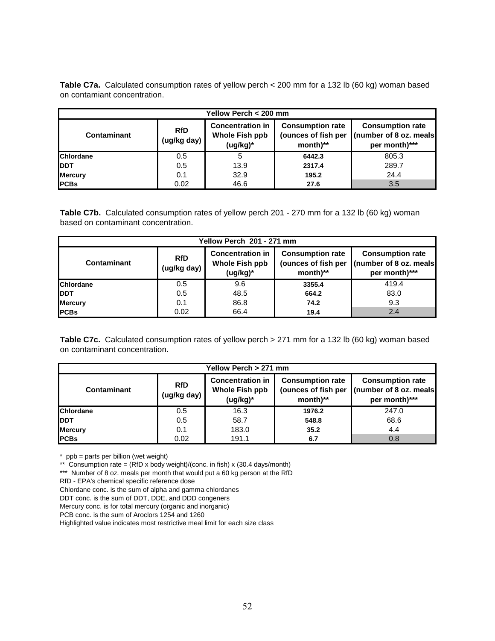**Table C7a.** Calculated consumption rates of yellow perch < 200 mm for a 132 lb (60 kg) woman based on contamiant concentration.

| Yellow Perch < 200 mm |                           |                                                                                                                       |        |       |  |  |
|-----------------------|---------------------------|-----------------------------------------------------------------------------------------------------------------------|--------|-------|--|--|
| Contaminant           | <b>RfD</b><br>(ug/kg day) | <b>Consumption rate</b><br><b>Consumption rate</b><br>(ounces of fish per<br>(number of 8 oz. meals)<br>per month)*** |        |       |  |  |
| <b>Chlordane</b>      | 0.5                       | 5                                                                                                                     | 6442.3 | 805.3 |  |  |
| <b>IDDT</b>           | 0.5                       | 13.9                                                                                                                  | 2317.4 | 289.7 |  |  |
| <b>Mercury</b>        | 0.1                       | 32.9                                                                                                                  | 195.2  | 24.4  |  |  |
| <b>PCBs</b>           | 0.02                      | 46.6                                                                                                                  | 27.6   | 3.5   |  |  |

**Table C7b.** Calculated consumption rates of yellow perch 201 - 270 mm for a 132 lb (60 kg) woman based on contaminant concentration.

| Yellow Perch 201 - 271 mm |                                                                                                                                                                                                                            |      |        |       |  |  |
|---------------------------|----------------------------------------------------------------------------------------------------------------------------------------------------------------------------------------------------------------------------|------|--------|-------|--|--|
| Contaminant               | <b>Concentration in</b><br><b>Consumption rate</b><br><b>Consumption rate</b><br><b>RfD</b><br>(ounces of fish per<br>(number of 8 oz. meals)<br>Whole Fish ppb<br>(ug/kg day)<br>month)**<br>$(ug/kg)^*$<br>per month)*** |      |        |       |  |  |
| <b>Chlordane</b>          | 0.5                                                                                                                                                                                                                        | 9.6  | 3355.4 | 419.4 |  |  |
| <b>IDDT</b>               | 0.5                                                                                                                                                                                                                        | 48.5 | 664.2  | 83.0  |  |  |
| <b>Mercury</b>            | 0.1                                                                                                                                                                                                                        | 86.8 | 74.2   | 9.3   |  |  |
| <b>PCBs</b>               | 0.02                                                                                                                                                                                                                       | 66.4 | 19.4   | 2.4   |  |  |

**Table C7c.** Calculated consumption rates of yellow perch > 271 mm for a 132 lb (60 kg) woman based on contaminant concentration.

| Yellow Perch > 271 mm |                           |                                                                    |        |       |  |  |
|-----------------------|---------------------------|--------------------------------------------------------------------|--------|-------|--|--|
| Contaminant           | <b>RfD</b><br>(ug/kg day) | <b>Consumption rate</b><br>(number of 8 oz. meals<br>per month)*** |        |       |  |  |
| <b>Chlordane</b>      | 0.5                       | 16.3                                                               | 1976.2 | 247.0 |  |  |
| <b>IDDT</b>           | 0.5                       | 58.7                                                               | 548.8  | 68.6  |  |  |
| <b>Mercury</b>        | 0.1                       | 183.0                                                              | 35.2   | 4.4   |  |  |
| <b>PCBs</b>           | 0.02                      | 191.1                                                              | 6.7    | 0.8   |  |  |

\* ppb = parts per billion (wet weight)

\*\* Consumption rate = (RfD x body weight)/(conc. in fish) x (30.4 days/month)

\*\*\* Number of 8 oz. meals per month that would put a 60 kg person at the RfD

RfD - EPA's chemical specific reference dose

- Chlordane conc. is the sum of alpha and gamma chlordanes
- DDT conc. is the sum of DDT, DDE, and DDD congeners

Mercury conc. is for total mercury (organic and inorganic)

PCB conc. is the sum of Aroclors 1254 and 1260

Highlighted value indicates most restrictive meal limit for each size class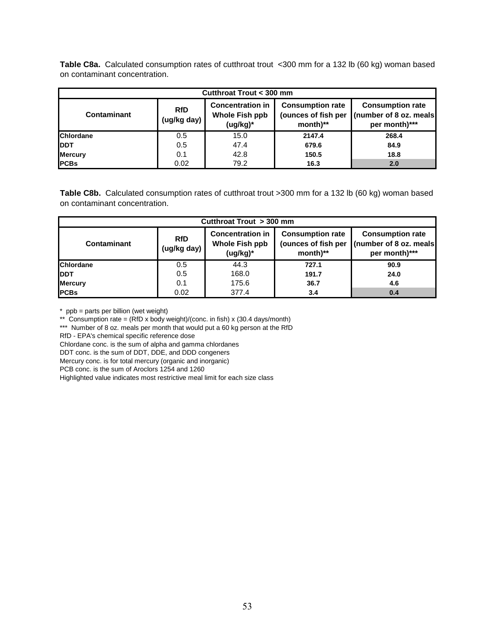**Table C8a.** Calculated consumption rates of cutthroat trout <300 mm for a 132 lb (60 kg) woman based on contaminant concentration.

| Cutthroat Trout < 300 mm |                                                                                                                                                                                                                                      |      |        |       |  |  |  |
|--------------------------|--------------------------------------------------------------------------------------------------------------------------------------------------------------------------------------------------------------------------------------|------|--------|-------|--|--|--|
| Contaminant              | <b>Concentration in</b><br><b>Consumption rate</b><br><b>Consumption rate</b><br><b>RfD</b><br>Whole Fish ppb<br>(ounces of fish per<br>(number of 8 oz. meals)<br>(ug/kg day)<br>(ug/kg)*<br>$month$ <sup>**</sup><br>per month)*** |      |        |       |  |  |  |
| <b>Chlordane</b>         | 0.5                                                                                                                                                                                                                                  | 15.0 | 2147.4 | 268.4 |  |  |  |
| <b>IDDT</b>              | 0.5                                                                                                                                                                                                                                  | 47.4 | 679.6  | 84.9  |  |  |  |
| <b>Mercury</b>           | 0.1                                                                                                                                                                                                                                  | 42.8 | 150.5  | 18.8  |  |  |  |
| <b>PCBs</b>              | 0.02                                                                                                                                                                                                                                 | 79.2 | 16.3   | 2.0   |  |  |  |

**Table C8b.** Calculated consumption rates of cutthroat trout >300 mm for a 132 lb (60 kg) woman based on contaminant concentration.

| Cutthroat Trout > 300 mm |                           |                                                          |                                                                                                                                   |      |  |  |  |
|--------------------------|---------------------------|----------------------------------------------------------|-----------------------------------------------------------------------------------------------------------------------------------|------|--|--|--|
| Contaminant              | <b>RfD</b><br>(ug/kg day) | <b>Concentration in</b><br>Whole Fish ppb<br>$(ug/kg)^*$ | <b>Consumption rate</b><br><b>Consumption rate</b><br>(number of 8 oz. meals)<br>(ounces of fish per<br>month)**<br>per month)*** |      |  |  |  |
| <b>Chlordane</b>         | 0.5                       | 44.3                                                     | 727.1                                                                                                                             | 90.9 |  |  |  |
| <b>IDDT</b>              | 0.5                       | 168.0                                                    | 191.7                                                                                                                             | 24.0 |  |  |  |
| <b>Mercury</b>           | 0.1                       | 175.6                                                    | 36.7                                                                                                                              | 4.6  |  |  |  |
| <b>PCBs</b>              | 0.02                      | 377.4                                                    | 3.4                                                                                                                               | 0.4  |  |  |  |

\* ppb = parts per billion (wet weight)

\*\* Consumption rate =  $(RfD \times body weight)/(conc.$  in fish)  $x$  (30.4 days/month)

\*\*\* Number of 8 oz. meals per month that would put a 60 kg person at the RfD

RfD - EPA's chemical specific reference dose

Chlordane conc. is the sum of alpha and gamma chlordanes

DDT conc. is the sum of DDT, DDE, and DDD congeners

Mercury conc. is for total mercury (organic and inorganic)

PCB conc. is the sum of Aroclors 1254 and 1260

Highlighted value indicates most restrictive meal limit for each size class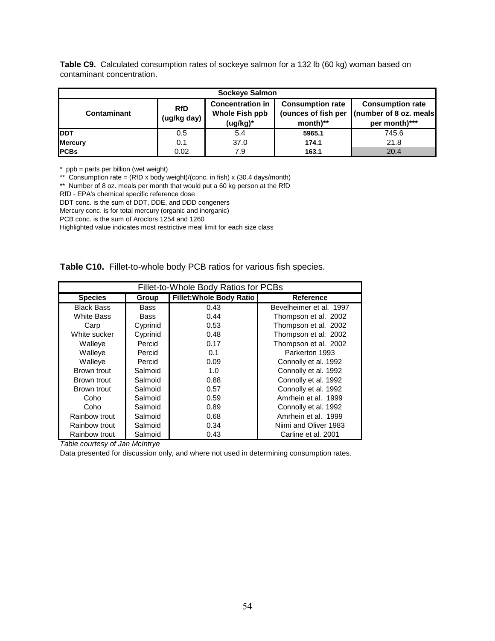| Table C9. Calculated consumption rates of sockeye salmon for a 132 lb (60 kg) woman based on |
|----------------------------------------------------------------------------------------------|
| contaminant concentration.                                                                   |

| Sockeye Salmon |                           |                                                              |                                                                         |                                                                     |  |  |  |
|----------------|---------------------------|--------------------------------------------------------------|-------------------------------------------------------------------------|---------------------------------------------------------------------|--|--|--|
| Contaminant    | <b>RfD</b><br>(ug/kg day) | <b>Concentration in</b><br><b>Whole Fish ppb</b><br>(ug/kg)* | <b>Consumption rate</b><br>(ounces of fish per<br>$month$ <sup>**</sup> | <b>Consumption rate</b><br>(number of 8 oz. meals)<br>per month)*** |  |  |  |
| <b>IDDT</b>    | 0.5                       | 5.4                                                          | 5965.1                                                                  | 745.6                                                               |  |  |  |
| <b>Mercury</b> | 0.1                       | 37.0                                                         | 174.1                                                                   | 21.8                                                                |  |  |  |
| <b>IPCBs</b>   | 0.02                      | 7.9                                                          | 163.1                                                                   | 20.4                                                                |  |  |  |

\* ppb = parts per billion (wet weight)

\*\* Consumption rate =  $(RfD \times body weight)/(conc.$  in fish)  $\times$  (30.4 days/month)

\*\* Number of 8 oz. meals per month that would put a 60 kg person at the RfD

RfD - EPA's chemical specific reference dose

DDT conc. is the sum of DDT, DDE, and DDD congeners

Mercury conc. is for total mercury (organic and inorganic)

PCB conc. is the sum of Aroclors 1254 and 1260

Highlighted value indicates most restrictive meal limit for each size class

#### **Table C10.** Fillet-to-whole body PCB ratios for various fish species.

| Fillet-to-Whole Body Ratios for PCBs |          |                                 |                         |  |  |  |
|--------------------------------------|----------|---------------------------------|-------------------------|--|--|--|
| <b>Species</b>                       | Group    | <b>Fillet: Whole Body Ratio</b> | <b>Reference</b>        |  |  |  |
| <b>Black Bass</b>                    | Bass     | 0.43                            | Bevelheimer et al. 1997 |  |  |  |
| <b>White Bass</b>                    | Bass     | 0.44                            | Thompson et al. 2002    |  |  |  |
| Carp                                 | Cyprinid | 0.53                            | Thompson et al. 2002    |  |  |  |
| White sucker                         | Cyprinid | 0.48                            | Thompson et al. 2002    |  |  |  |
| Walleye                              | Percid   | 0.17                            | Thompson et al. 2002    |  |  |  |
| Walleye                              | Percid   | 0.1                             | Parkerton 1993          |  |  |  |
| Walleye                              | Percid   | 0.09                            | Connolly et al. 1992    |  |  |  |
| Brown trout                          | Salmoid  | 1.0                             | Connolly et al. 1992    |  |  |  |
| Brown trout                          | Salmoid  | 0.88                            | Connolly et al. 1992    |  |  |  |
| Brown trout                          | Salmoid  | 0.57                            | Connolly et al. 1992    |  |  |  |
| Coho                                 | Salmoid  | 0.59                            | Amrhein et al. 1999     |  |  |  |
| Coho                                 | Salmoid  | 0.89                            | Connolly et al. 1992    |  |  |  |
| Rainbow trout                        | Salmoid  | 0.68                            | Amrhein et al. 1999     |  |  |  |
| Rainbow trout                        | Salmoid  | 0.34                            | Niimi and Oliver 1983   |  |  |  |
| Rainbow trout                        | Salmoid  | 0.43                            | Carline et al. 2001     |  |  |  |

*Table courtesy of Jan McIntrye*

Data presented for discussion only, and where not used in determining consumption rates.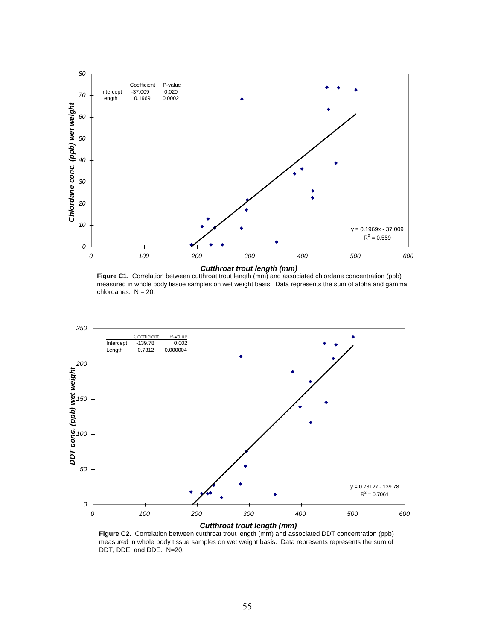

**Figure C1.** Correlation between cutthroat trout length (mm) and associated chlordane concentration (ppb) measured in whole body tissue samples on wet weight basis. Data represents the sum of alpha and gamma chlordanes.  $N = 20$ .



**Figure C2.** Correlation between cutthroat trout length (mm) and associated DDT concentration (ppb) measured in whole body tissue samples on wet weight basis. Data represents represents the sum of DDT, DDE, and DDE. N=20.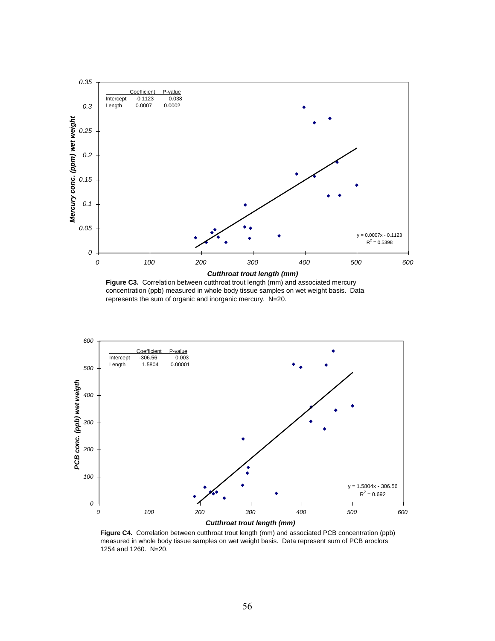

Figure C3. Correlation between cutthroat trout length (mm) and associated mercury concentration (ppb) measured in whole body tissue samples on wet weight basis. Data represents the sum of organic and inorganic mercury. N=20.



**Figure C4.** Correlation between cutthroat trout length (mm) and associated PCB concentration (ppb) measured in whole body tissue samples on wet weight basis. Data represent sum of PCB aroclors 1254 and 1260. N=20.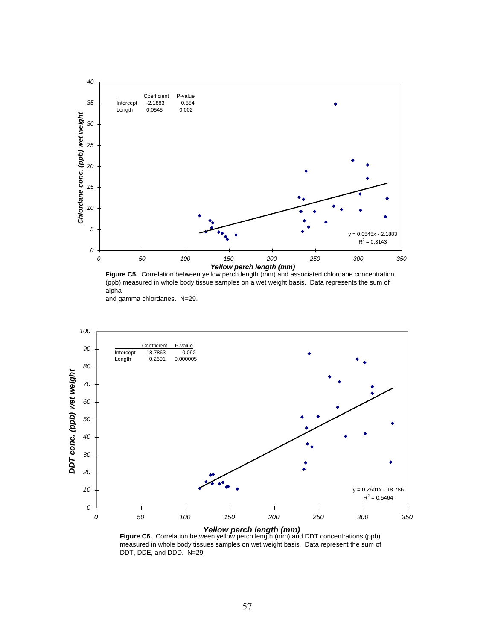

**Figure C5.** Correlation between yellow perch length (mm) and associated chlordane concentration (ppb) measured in whole body tissue samples on a wet weight basis. Data represents the sum of alpha





*Yellow perch length (mm)*<br>**Figure C6.** Correlation between yellow perch length (mm) and DDT concentrations (ppb) measured in whole body tissues samples on wet weight basis. Data represent the sum of DDT, DDE, and DDD. N=29.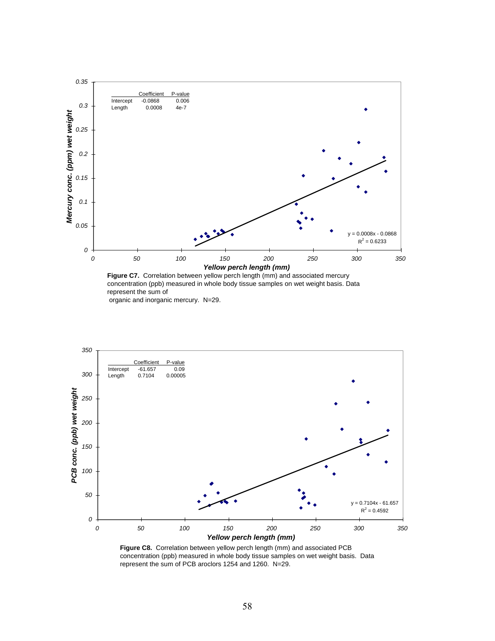

Figure C7. Correlation between yellow perch length (mm) and associated mercury concentration (ppb) measured in whole body tissue samples on wet weight basis. Data represent the sum of organic and inorganic mercury. N=29.



**Figure C8.** Correlation between yellow perch length (mm) and associated PCB concentration (ppb) measured in whole body tissue samples on wet weight basis. Data represent the sum of PCB aroclors 1254 and 1260. N=29.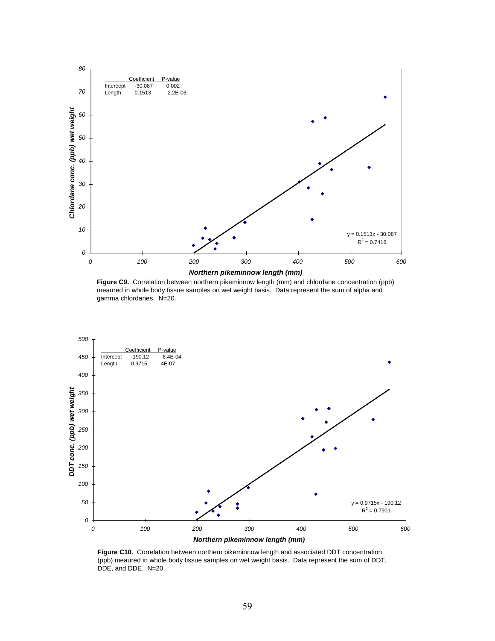

**Figure C9.** Correlation between northern pikeminnow length (mm) and chlordane concentration (ppb) meaured in whole body tissue samples on wet weight basis. Data represent the sum of alpha and gamma chlordanes. N=20.



**Figure C10.** Correlation between northern pikeminnow length and associated DDT concentration (ppb) meaured in whole body tissue samples on wet weight basis. Data represent the sum of DDT, DDE, and DDE. N=20.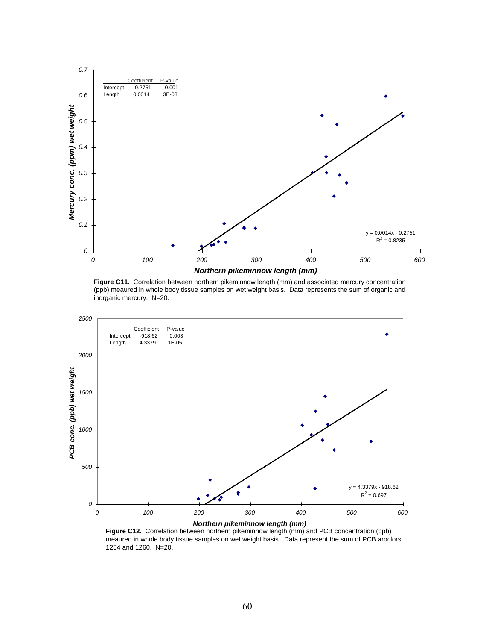

**Figure C11.** Correlation between northern pikeminnow length (mm) and associated mercury concentration (ppb) meaured in whole body tissue samples on wet weight basis. Data represents the sum of organic and inorganic mercury. N=20.



**Figure C12.** Correlation between northern pikeminnow length (mm) and PCB concentration (ppb) meaured in whole body tissue samples on wet weight basis. Data represent the sum of PCB aroclors 1254 and 1260. N=20.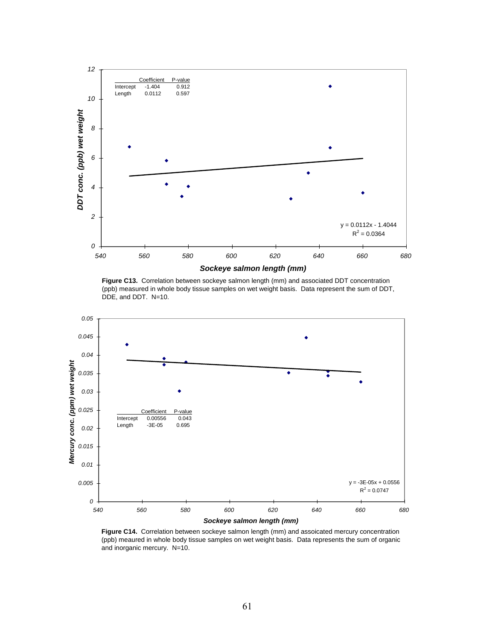

**Figure C13.** Correlation between sockeye salmon length (mm) and associated DDT concentration (ppb) measured in whole body tissue samples on wet weight basis. Data represent the sum of DDT, DDE, and DDT. N=10.



**Figure C14.** Correlation between sockeye salmon length (mm) and assoicated mercury concentration (ppb) meaured in whole body tissue samples on wet weight basis. Data represents the sum of organic and inorganic mercury. N=10.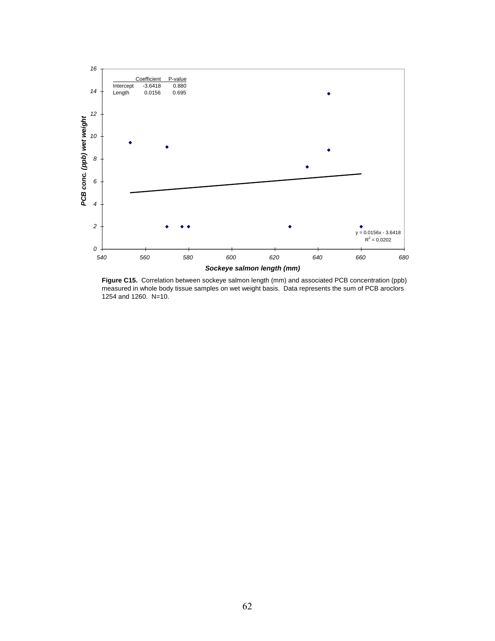

**Figure C15.** Correlation between sockeye salmon length (mm) and associated PCB concentration (ppb) measured in whole body tissue samples on wet weight basis. Data represents the sum of PCB aroclors 1254 and 1260. N=10.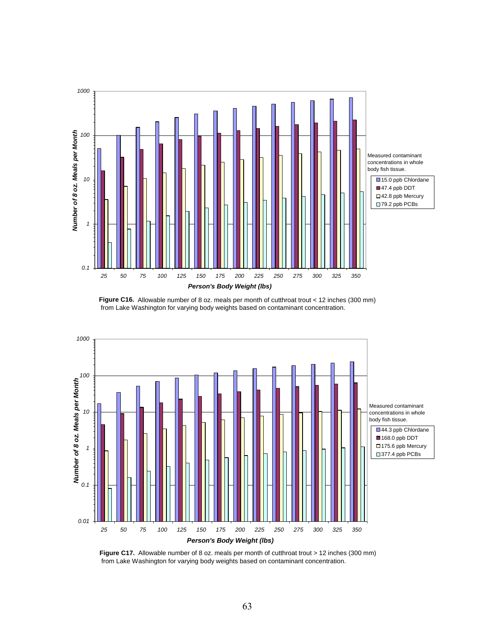

Figure C16. Allowable number of 8 oz. meals per month of cutthroat trout < 12 inches (300 mm) from Lake Washington for varying body weights based on contaminant concentration.



**Figure C17.** Allowable number of 8 oz. meals per month of cutthroat trout > 12 inches (300 mm) from Lake Washington for varying body weights based on contaminant concentration.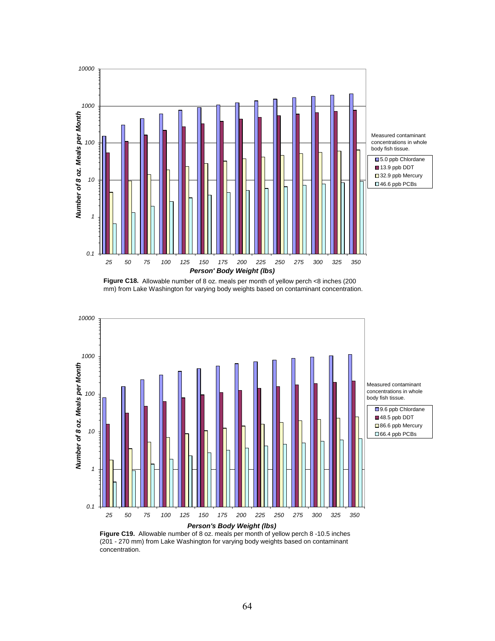

**Figure C18.** Allowable number of 8 oz. meals per month of yellow perch <8 inches (200 mm) from Lake Washington for varying body weights based on contaminant concentration.



(201 - 270 mm) from Lake Washington for varying body weights based on contaminant concentration.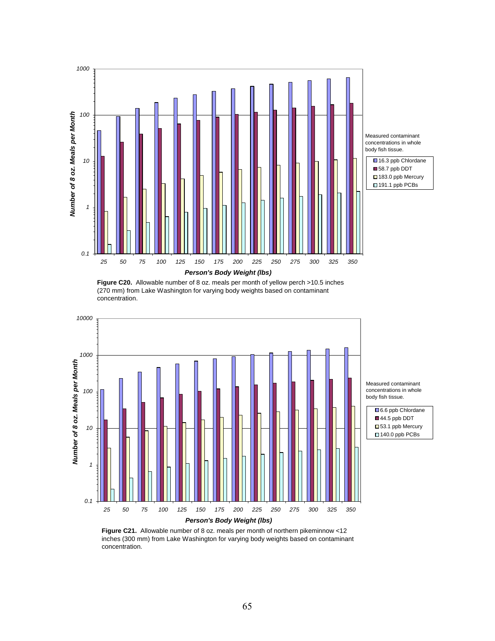

**Figure C20.** Allowable number of 8 oz. meals per month of yellow perch >10.5 inches (270 mm) from Lake Washington for varying body weights based on contaminant concentration.



**Figure C21.** Allowable number of 8 oz. meals per month of northern pikeminnow <12 inches (300 mm) from Lake Washington for varying body weights based on contaminant concentration.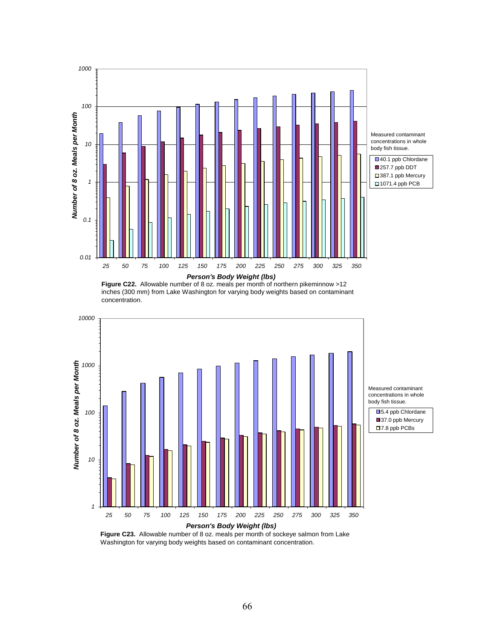

**Figure C22.** Allowable number of 8 oz. meals per month of northern pikeminnow >12 inches (300 mm) from Lake Washington for varying body weights based on contaminant concentration.



Washington for varying body weights based on contaminant concentration.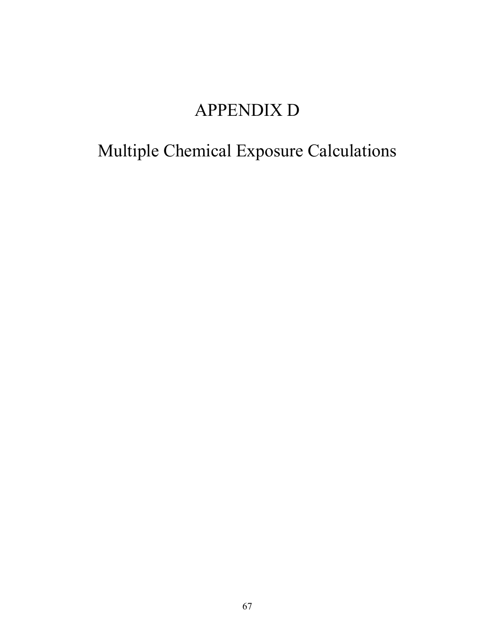# APPENDIX D

# Multiple Chemical Exposure Calculations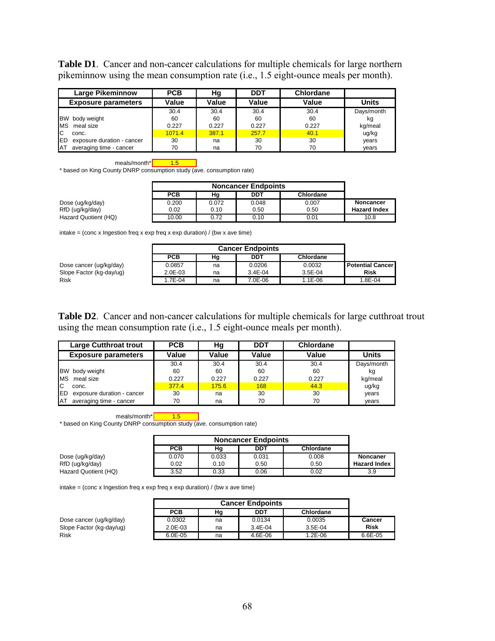**Table D1**. Cancer and non-cancer calculations for multiple chemicals for large northern pikeminnow using the mean consumption rate (i.e., 1.5 eight-ounce meals per month).

| <b>Large Pikeminnow</b>                  | <b>PCB</b> | Hg    | <b>DDT</b> | <b>Chlordane</b> |              |
|------------------------------------------|------------|-------|------------|------------------|--------------|
| <b>Exposure parameters</b>               | Value      | Value | Value      | Value            | <b>Units</b> |
|                                          | 30.4       | 30.4  | 30.4       | 30.4             | Days/month   |
| BW body weight                           | 60         | 60    | 60         | 60               | kq           |
| <b>MS</b><br>meal size                   | 0.227      | 0.227 | 0.227      | 0.227            | kg/meal      |
| IC.<br>conc.                             | 1071.4     | 387.1 | 257.7      | 40.1             | ug/kg        |
| <b>IED</b><br>exposure duration - cancer | 30         | na    | 30         | 30               | years        |
| averaging time - cancer<br><b>IAT</b>    | 70         | na    | 70         | 70               | years        |



\* based on King County DNRP consumption study (ave. consumption rate)

|                      | PCB   | Hg    | DDT   | Chlordane |                     |
|----------------------|-------|-------|-------|-----------|---------------------|
| Dose (ug/kg/day)     | 0.200 | 0.072 | 0.048 | 0.007     | <b>Noncancer</b>    |
| RfD (ug/kg/day)      | 0.02  | 0.10  | 0.50  | 0.50      | <b>Hazard Index</b> |
| Hazard Quotient (HQ) | 10.00 | 0.72  | 0.10  | 0.01      | 10.8                |

intake = (conc x Ingestion freq x exp freq x exp duration) / (bw x ave time)

|                          | <b>PCB</b> | Hg | DDT         | Chlordane |                         |
|--------------------------|------------|----|-------------|-----------|-------------------------|
| Dose cancer (ug/kg/day)  | 0.0857     | na | 0.0206      | 0.0032    | <b>Potential Cancer</b> |
| Slope Factor (kg-day/ug) | 2.0E-03    | na | $3.4E - 04$ | $3.5E-04$ | Risk                    |
| <b>Risk</b>              | 1.7E-04    | na | 7.0E-06     | 1.1E-06   | 1.8E-04                 |

**Table D2**. Cancer and non-cancer calculations for multiple chemicals for large cutthroat trout using the mean consumption rate (i.e., 1.5 eight-ounce meals per month).

| <b>Large Cutthroat trout</b>             | <b>PCB</b> | Hg    | DDT   | <b>Chlordane</b> |              |
|------------------------------------------|------------|-------|-------|------------------|--------------|
| <b>Exposure parameters</b>               | Value      | Value | Value | Value            | <b>Units</b> |
|                                          | 30.4       | 30.4  | 30.4  | 30.4             | Days/month   |
| <b>BW</b><br>body weight                 | 60         | 60    | 60    | 60               | kg           |
| meal size<br><b>IMS</b>                  | 0.227      | 0.227 | 0.227 | 0.227            | kg/meal      |
| IC<br>conc.                              | 377.4      | 175.6 | 168   | 44.3             | ug/kg        |
| <b>IED</b><br>exposure duration - cancer | 30         | na    | 30    | 30               | years        |
| averaging time - cancer<br>IΑT           | 70         | na    | 70    | 70               | vears        |

meals/month\* $\sqrt{\frac{1.5}{}}$ 

\* based on King County DNRP consumption study (ave. consumption rate)

|                      | <b>PCB</b> | Hg    | DDT   | Chlordane |                     |
|----------------------|------------|-------|-------|-----------|---------------------|
| Dose (ug/kg/day)     | 0.070      | 0.033 | 0.031 | 0.008     | Noncaner            |
| RfD (ug/kg/day)      | 0.02       | 0.10  | 0.50  | 0.50      | <b>Hazard Index</b> |
| Hazard Quotient (HQ) | 3.52       | 0.33  | 0.06  | 0.02      | 3.9                 |

|                          |              | <b>Cancer Endpoints</b> |             |           |             |  |  |
|--------------------------|--------------|-------------------------|-------------|-----------|-------------|--|--|
|                          | <b>PCB</b>   | Hg                      | DDT         | Chlordane |             |  |  |
| Dose cancer (ug/kg/day)  | 0.0302       | na                      | 0.0134      | 0.0035    | Cancer      |  |  |
| Slope Factor (kg-day/ug) | $2.0E - 0.3$ | na                      | $3.4E - 04$ | $3.5E-04$ | <b>Risk</b> |  |  |
| Risk                     | $6.0E - 05$  | na                      | 4.6E-06     | 1.2E-06   | 6.6E-05     |  |  |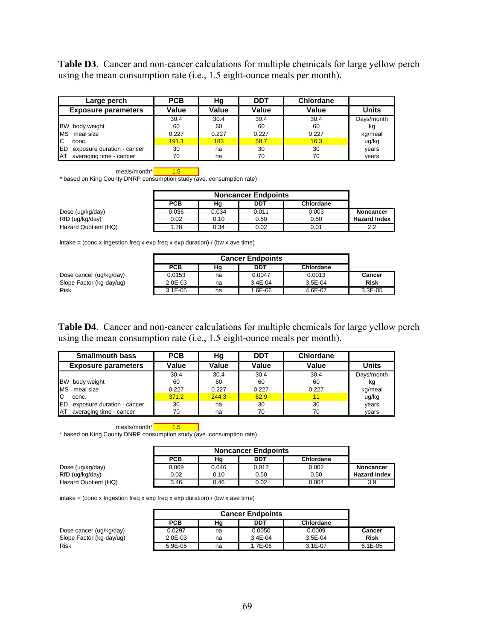**Table D3**. Cancer and non-cancer calculations for multiple chemicals for large yellow perch using the mean consumption rate (i.e., 1.5 eight-ounce meals per month).

| Large perch                              | <b>PCB</b> | Hg    | <b>DDT</b> | <b>Chlordane</b> |            |
|------------------------------------------|------------|-------|------------|------------------|------------|
| <b>Exposure parameters</b>               | Value      | Value | Value      | Value            | Units      |
|                                          | 30.4       | 30.4  | 30.4       | 30.4             | Days/month |
| BW body weight                           | 60         | 60    | 60         | 60               | kg         |
| <b>MS</b><br>meal size                   | 0.227      | 0.227 | 0.227      | 0.227            | kg/meal    |
| Iс<br>conc.                              | 191.1      | 183   | 58.7       | 16.3             | ug/kg      |
| <b>IED</b><br>exposure duration - cancer | 30         | na    | 30         | 30               | years      |
| AT<br>averaging time - cancer            | 70         | na    | 70         | 70               | years      |

meals/month\* $\sqrt{\frac{1.5}{}}$ 

\* based on King County DNRP consumption study (ave. consumption rate)

|                      | <b>PCB</b> | Hg    | DDT   | Chlordane |                     |
|----------------------|------------|-------|-------|-----------|---------------------|
| Dose (ug/kg/day)     | 0.036      | 0.034 | 0.011 | 0.003     | <b>Noncancer</b>    |
| RfD (ug/kg/day)      | 0.02       | 0.10  | 0.50  | 0.50      | <b>Hazard Index</b> |
| Hazard Quotient (HQ) | .78        | 0.34  | 0.02  | 0.01      | 2.2                 |

intake = (conc x Ingestion freq x exp freq x exp duration) / (bw x ave time)

|                          | <b>PCB</b>   | Ηg | DDT         | Chlordane |             |
|--------------------------|--------------|----|-------------|-----------|-------------|
| Dose cancer (ug/kg/day)  | 0.0153       | na | 0.0047      | 0.0013    | Cancer      |
| Slope Factor (kg-day/ug) | $2.0E - 0.3$ | na | $3.4E - 04$ | $3.5E-04$ | <b>Risk</b> |
| <b>Risk</b>              | $3.1E - 0.5$ | na | 1.6E-06     | 4.6E-07   | $3.3E-05$   |

**Table D4**. Cancer and non-cancer calculations for multiple chemicals for large yellow perch using the mean consumption rate (i.e., 1.5 eight-ounce meals per month).

| <b>Smallmouth bass</b>                   | <b>PCB</b> | Hg    | <b>DDT</b> | <b>Chlordane</b> |              |
|------------------------------------------|------------|-------|------------|------------------|--------------|
| <b>Exposure parameters</b>               | Value      | Value | Value      | Value            | <b>Units</b> |
|                                          | 30.4       | 30.4  | 30.4       | 30.4             | Days/month   |
| <b>IBW</b><br>body weight                | 60         | 60    | 60         | 60               | kg           |
| meal size<br><b>MS</b>                   | 0.227      | 0.227 | 0.227      | 0.227            | kg/meal      |
| IC<br>conc.                              | 371.2      | 244.3 | 62.9       | 11               | ug/kg        |
| <b>IED</b><br>exposure duration - cancer | 30         | na    | 30         | 30               | years        |
| averaging time - cancer<br>ΙAΤ           | 70         | na    | 70         | 70               | years        |

meals/month\* 1.5

\* based on King County DNRP consumption study (ave. consumption rate)

|                      | <b>PCB</b> | Hg    | DDT   | Chlordane |                     |
|----------------------|------------|-------|-------|-----------|---------------------|
| Dose (ug/kg/day)     | 0.069      | 0.046 | 0.012 | 0.002     | Noncancer           |
| RfD (ug/kg/day)      | 0.02       | 0.10  | 0.50  | 0.50      | <b>Hazard Index</b> |
| Hazard Quotient (HQ) | 3.46       | 0.46  | 0.02  | 0.004     | 3.9                 |

|                          | <b>PCB</b> | Ηg | DDT         | Chlordane   |             |
|--------------------------|------------|----|-------------|-------------|-------------|
| Dose cancer (ug/kg/day)  | 0.0297     | na | 0.0050      | 0.0009      | Cancer      |
| Slope Factor (kg-day/ug) | $2.0E-03$  | na | $3.4E - 04$ | $3.5E-04$   | <b>Risk</b> |
| <b>Risk</b>              | 5.9E-05    | na | 1.7E-06     | $3.1E - 07$ | $6.1E-05$   |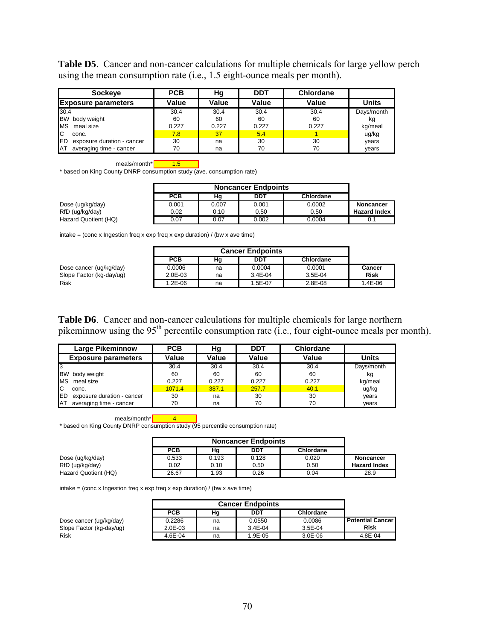**Table D5**. Cancer and non-cancer calculations for multiple chemicals for large yellow perch using the mean consumption rate (i.e., 1.5 eight-ounce meals per month).

| <b>Sockeye</b>                           | <b>PCB</b> | Hg    | <b>DDT</b> | <b>Chlordane</b> |              |
|------------------------------------------|------------|-------|------------|------------------|--------------|
| <b>Exposure parameters</b>               | Value      | Value | Value      | Value            | <b>Units</b> |
| 30.4                                     | 30.4       | 30.4  | 30.4       | 30.4             | Days/month   |
| <b>BW</b><br>body weight                 | 60         | 60    | 60         | 60               | kg           |
| <b>MS</b><br>meal size                   | 0.227      | 0.227 | 0.227      | 0.227            | kg/meal      |
| IC.<br>conc.                             | 7.8        | 37    | 5.4        |                  | ug/kg        |
| <b>IED</b><br>exposure duration - cancer | 30         | na    | 30         | 30               | years        |
| averaging time - cancer<br><b>AT</b>     | 70         | na    | 70         | 70               | years        |

meals/month\* 1.5

\* based on King County DNRP consumption study (ave. consumption rate)

|                      | <b>PCB</b> | Ηg    | DDT   | Chlordane |                     |
|----------------------|------------|-------|-------|-----------|---------------------|
| Dose (ug/kg/day)     | 0.001      | 0.007 | 0.001 | 0.0002    | Noncancer           |
| RfD (ug/kg/day)      | 0.02       | 0.10  | 0.50  | 0.50      | <b>Hazard Index</b> |
| Hazard Quotient (HQ) | 0.07       | 0.07  | 0.002 | 0.0004    |                     |

 $intake = (conc x Ingestion freq x exp freq x exp duration) / (bw x ave time)$ 

|                          | <b>PCB</b> | Ηg | DDT         | Chlordane |             |
|--------------------------|------------|----|-------------|-----------|-------------|
| Dose cancer (ug/kg/day)  | 0.0006     | na | 0.0004      | 0.0001    | Cancer      |
| Slope Factor (kg-day/ug) | 2.0E-03    | na | $3.4E - 04$ | $3.5E-04$ | <b>Risk</b> |
| Risk                     | 1.2E-06    | na | 1.5E-07     | 2.8E-08   | 1.4E-06     |

**Table D6**. Cancer and non-cancer calculations for multiple chemicals for large northern pikeminnow using the  $95<sup>th</sup>$  percentile consumption rate (i.e., four eight-ounce meals per month).

| <b>Large Pikeminnow</b>              | <b>PCB</b> | Нg    | <b>DDT</b> | <b>Chlordane</b> |              |
|--------------------------------------|------------|-------|------------|------------------|--------------|
| <b>Exposure parameters</b>           | Value      | Value | Value      | Value            | <b>Units</b> |
|                                      | 30.4       | 30.4  | 30.4       | 30.4             | Days/month   |
| <b>IBW</b><br>body weight            | 60         | 60    | 60         | 60               | kg           |
| meal size<br><b>MS</b>               | 0.227      | 0.227 | 0.227      | 0.227            | kg/meal      |
| IС<br>conc.                          | 1071.4     | 387.1 | 257.7      | 40.1             | ug/kg        |
| lED<br>exposure duration - cancer    | 30         | na    | 30         | 30               | years        |
| averaging time - cancer<br><b>AT</b> | 70         | na    | 70         | 70               | years        |

meals/month\* 4

\* based on King County DNRP consumption study (95 percentile consumption rate)

|                      | <b>PCB</b> | Hg    | DDT   | Chlordane |                     |
|----------------------|------------|-------|-------|-----------|---------------------|
| Dose (ug/kg/day)     | 0.533      | 0.193 | 0.128 | 0.020     | <b>Noncancer</b>    |
| RfD (ug/kg/day)      | 0.02       | 0.10  | 0.50  | 0.50      | <b>Hazard Index</b> |
| Hazard Quotient (HQ) | 26.67      | 1.93  | 0.26  | 0.04      | 28.9                |

|                          | <b>PCB</b> | Ηg | DDT         | Chlordane |                         |
|--------------------------|------------|----|-------------|-----------|-------------------------|
| Dose cancer (ug/kg/day)  | 0.2286     | na | 0.0550      | 0.0086    | <b>Potential Cancer</b> |
| Slope Factor (kg-day/ug) | $2.0E-03$  | na | $3.4E - 04$ | $3.5E-04$ | Risk                    |
| Risk                     | 4.6E-04    | na | 1.9E-05     | 3.0E-06   | 4.8E-04                 |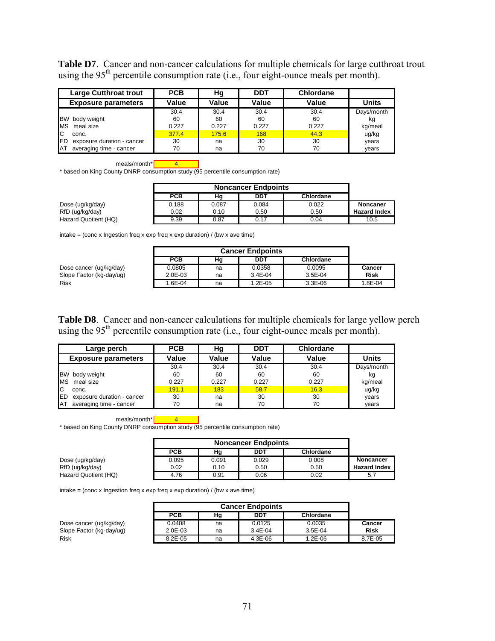**Table D7**. Cancer and non-cancer calculations for multiple chemicals for large cutthroat trout using the  $95<sup>th</sup>$  percentile consumption rate (i.e., four eight-ounce meals per month).

| <b>Large Cutthroat trout</b>             | <b>PCB</b> | Hg    | <b>DDT</b> | <b>Chlordane</b> |              |
|------------------------------------------|------------|-------|------------|------------------|--------------|
| <b>Exposure parameters</b>               | Value      | Value | Value      | Value            | <b>Units</b> |
|                                          | 30.4       | 30.4  | 30.4       | 30.4             | Days/month   |
| <b>BW</b><br>body weight                 | 60         | 60    | 60         | 60               | kg           |
| <b>MS</b><br>meal size                   | 0.227      | 0.227 | 0.227      | 0.227            | kg/meal      |
| Iс<br>conc.                              | 377.4      | 175.6 | 168        | 44.3             | ug/kg        |
| <b>IED</b><br>exposure duration - cancer | 30         | na    | 30         | 30               | years        |
| <b>IAT</b><br>averaging time - cancer    | 70         | na    | 70         | 70               | years        |

meals/month\* $\sqrt{4}$ 

\* based on King County DNRP consumption study (95 percentile consumption rate)

|                      | <b>Noncancer Endpoints</b> |       |       |           |                     |
|----------------------|----------------------------|-------|-------|-----------|---------------------|
|                      | <b>PCB</b>                 | Hg    | DDT   | Chlordane |                     |
| Dose (ug/kg/day)     | 0.188                      | 0.087 | 0.084 | 0.022     | Noncaner            |
| RfD (ug/kg/day)      | 0.02                       | 0.10  | 0.50  | 0.50      | <b>Hazard Index</b> |
| Hazard Quotient (HQ) | 9.39                       | 0.87  | 0.17  | 0.04      | 10.5                |

 $intake = (conc x Ingestion freq x exp freq x exp duration) / (bw x ave time)$ 

|                          | <b>PCB</b> | Hg | DDT         | Chlordane |             |
|--------------------------|------------|----|-------------|-----------|-------------|
| Dose cancer (ug/kg/day)  | 0.0805     | na | 0.0358      | 0.0095    | Cancer      |
| Slope Factor (kg-day/ug) | $2.0E-03$  | na | $3.4E - 04$ | 3.5E-04   | <b>Risk</b> |
| <b>Risk</b>              | 1.6E-04    | na | 1.2E-05     | 3.3E-06   | 1.8E-04     |

**Table D8**. Cancer and non-cancer calculations for multiple chemicals for large yellow perch using the  $95<sup>th</sup>$  percentile consumption rate (i.e., four eight-ounce meals per month).

| Large perch                              | <b>PCB</b> | Hg    | <b>DDT</b> | <b>Chlordane</b> |              |
|------------------------------------------|------------|-------|------------|------------------|--------------|
| <b>Exposure parameters</b>               | Value      | Value | Value      | Value            | <b>Units</b> |
|                                          | 30.4       | 30.4  | 30.4       | 30.4             | Days/month   |
| <b>BW</b><br>body weight                 | 60         | 60    | 60         | 60               | kg           |
| meal size<br><b>IMS</b>                  | 0.227      | 0.227 | 0.227      | 0.227            | kg/meal      |
| IC<br>conc.                              | 191.1      | 183   | 58.7       | 16.3             | ug/kg        |
| <b>IED</b><br>exposure duration - cancer | 30         | na    | 30         | 30               | years        |
| averaging time - cancer<br>ΙAΤ           | 70         | na    | 70         | 70               | vears        |

meals/month\* 4

\* based on King County DNRP consumption study (95 percentile consumption rate)

|                      | <b>Noncancer Endpoints</b> |       |            |           |                     |
|----------------------|----------------------------|-------|------------|-----------|---------------------|
|                      | <b>PCB</b>                 | Hq    | <b>DDT</b> | Chlordane |                     |
| Dose (ug/kg/day)     | 0.095                      | 0.091 | 0.029      | 0.008     | Noncancer           |
| RfD (ug/kg/day)      | 0.02                       | 0.10  | 0.50       | 0.50      | <b>Hazard Index</b> |
| Hazard Quotient (HQ) | 4.76                       | 0.91  | 0.06       | 0.02      | 5.7                 |

|                          | <b>PCB</b> | Hg | DDT         | Chlordane |             |
|--------------------------|------------|----|-------------|-----------|-------------|
| Dose cancer (ug/kg/day)  | 0.0408     | na | 0.0125      | 0.0035    | Cancer      |
| Slope Factor (kg-day/ug) | $2.0E-03$  | na | $3.4E - 04$ | $3.5E-04$ | <b>Risk</b> |
| <b>Risk</b>              | 8.2E-05    | na | $4.3E-06$   | 1.2E-06   | 8.7E-05     |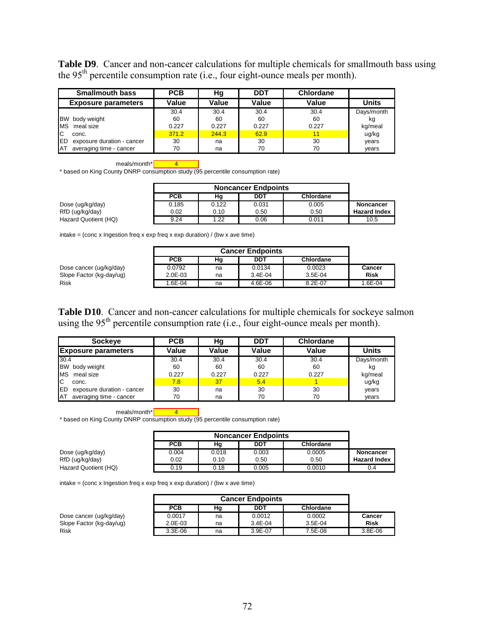**Table D9**. Cancer and non-cancer calculations for multiple chemicals for smallmouth bass using the 95th percentile consumption rate (i.e., four eight-ounce meals per month).

| <b>Smallmouth bass</b>                   | <b>PCB</b> | Hg    | <b>DDT</b> | <b>Chlordane</b> |            |
|------------------------------------------|------------|-------|------------|------------------|------------|
| <b>Exposure parameters</b>               | Value      | Value | Value      | Value            | Units      |
|                                          | 30.4       | 30.4  | 30.4       | 30.4             | Days/month |
| <b>BW</b><br>body weight                 | 60         | 60    | 60         | 60               | kg         |
| <b>MS</b><br>meal size                   | 0.227      | 0.227 | 0.227      | 0.227            | kg/meal    |
| IС<br>conc.                              | 371.2      | 244.3 | 62.9       |                  | ug/kg      |
| <b>IED</b><br>exposure duration - cancer | 30         | na    | 30         | 30               | years      |
| <b>IAT</b><br>averaging time - cancer    | 70         | na    | 70         | 70               | years      |

meals/month\* $\sqrt{4}$ 

\* based on King County DNRP consumption study (95 percentile consumption rate)

|                      | <b>Noncancer Endpoints</b> |       |       |                  |                     |
|----------------------|----------------------------|-------|-------|------------------|---------------------|
|                      | <b>PCB</b>                 | Hq    | DDT   | <b>Chlordane</b> |                     |
| Dose (ug/kg/day)     | 0.185                      | 0.122 | 0.031 | 0.005            | <b>Noncancer</b>    |
| RfD (ug/kg/day)      | 0.02                       | 0.10  | 0.50  | 0.50             | <b>Hazard Index</b> |
| Hazard Quotient (HQ) | 9.24                       | 1.22  | 0.06  | 0.011            | 10.5                |

 $intake = (conc x Ingestion freq x exp freq x exp duration) / (bw x ave time)$ 

|                          | <b>PCB</b>  | Hg | DDT         | Chlordane |               |
|--------------------------|-------------|----|-------------|-----------|---------------|
| Dose cancer (ug/kg/day)  | 0.0792      | na | 0.0134      | 0.0023    | <b>Cancer</b> |
| Slope Factor (kg-day/ug) | $2.0E - 03$ | na | $3.4E - 04$ | $3.5E-04$ | <b>Risk</b>   |
| Risk                     | .6E-04      | na | 4.6E-06     | 8.2E-07   | 1.6E-04       |

**Table D10**. Cancer and non-cancer calculations for multiple chemicals for sockeye salmon using the  $95<sup>th</sup>$  percentile consumption rate (i.e., four eight-ounce meals per month).

| <b>Sockeye</b>                           | <b>PCB</b> | Hq    | <b>DDT</b> | <b>Chlordane</b> |              |
|------------------------------------------|------------|-------|------------|------------------|--------------|
| <b>Exposure parameters</b>               | Value      | Value | Value      | Value            | <b>Units</b> |
| 30.4                                     | 30.4       | 30.4  | 30.4       | 30.4             | Days/month   |
| <b>BW</b><br>body weight                 | 60         | 60    | 60         | 60               | kg           |
| <b>MS</b><br>meal size                   | 0.227      | 0.227 | 0.227      | 0.227            | kg/meal      |
| IC.<br>conc.                             | 7.8        | 37    | 5.4        |                  | ug/kg        |
| <b>IED</b><br>exposure duration - cancer | 30         | na    | 30         | 30               | years        |
| AT<br>averaging time - cancer            | 70         | na    | 70         | 70               | years        |

meals/month\* $\sqrt{4}$ 

\* based on King County DNRP consumption study (95 percentile consumption rate)

|                      | <b>Noncancer Endpoints</b> |       |       |           |                     |
|----------------------|----------------------------|-------|-------|-----------|---------------------|
|                      | <b>PCB</b>                 | Hg    | DDT   | Chlordane |                     |
| Dose (ug/kg/day)     | 0.004                      | 0.018 | 0.003 | 0.0005    | Noncancer           |
| RfD (ug/kg/day)      | 0.02                       | 0.10  | 0.50  | 0.50      | <b>Hazard Index</b> |
| Hazard Quotient (HQ) | 0.19                       | 0.18  | 0.005 | 0.0010    | 0.4                 |

intake = (conc x Ingestion freq x exp freq x exp duration) / (bw x ave time)

|                          | <b>PCB</b> | Ηg | DDT         | Chlordane |             |
|--------------------------|------------|----|-------------|-----------|-------------|
| Dose cancer (ug/kg/day)  | 0.0017     | na | 0.0012      | 0.0002    | Cancer      |
| Slope Factor (kg-day/ug) | 2.0E-03    | na | $3.4E - 04$ | $3.5E-04$ | <b>Risk</b> |
| <b>Risk</b>              | $3.3E-06$  | na | 3.9E-07     | 7.5E-08   | 3.8E-06     |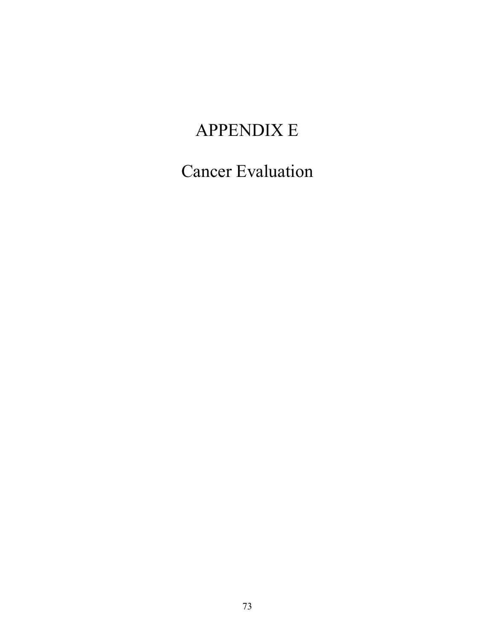# APPENDIX E

Cancer Evaluation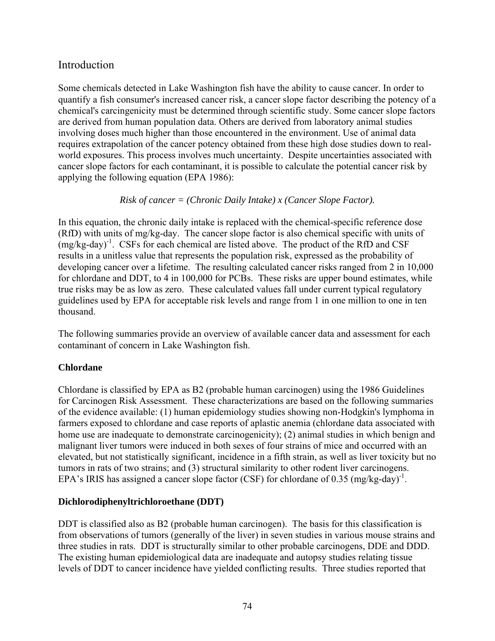## Introduction

Some chemicals detected in Lake Washington fish have the ability to cause cancer. In order to quantify a fish consumer's increased cancer risk, a cancer slope factor describing the potency of a chemical's carcingenicity must be determined through scientific study. Some cancer slope factors are derived from human population data. Others are derived from laboratory animal studies involving doses much higher than those encountered in the environment. Use of animal data requires extrapolation of the cancer potency obtained from these high dose studies down to realworld exposures. This process involves much uncertainty. Despite uncertainties associated with cancer slope factors for each contaminant, it is possible to calculate the potential cancer risk by applying the following equation (EPA 1986):

#### *Risk of cancer = (Chronic Daily Intake) x (Cancer Slope Factor).*

In this equation, the chronic daily intake is replaced with the chemical-specific reference dose (RfD) with units of mg/kg-day. The cancer slope factor is also chemical specific with units of  $(mg/kg-day)^{-1}$ . CSFs for each chemical are listed above. The product of the RfD and CSF results in a unitless value that represents the population risk, expressed as the probability of developing cancer over a lifetime. The resulting calculated cancer risks ranged from 2 in 10,000 for chlordane and DDT, to 4 in 100,000 for PCBs. These risks are upper bound estimates, while true risks may be as low as zero. These calculated values fall under current typical regulatory guidelines used by EPA for acceptable risk levels and range from 1 in one million to one in ten thousand.

The following summaries provide an overview of available cancer data and assessment for each contaminant of concern in Lake Washington fish.

#### **Chlordane**

Chlordane is classified by EPA as B2 (probable human carcinogen) using the 1986 Guidelines for Carcinogen Risk Assessment. These characterizations are based on the following summaries of the evidence available: (1) human epidemiology studies showing non-Hodgkin's lymphoma in farmers exposed to chlordane and case reports of aplastic anemia (chlordane data associated with home use are inadequate to demonstrate carcinogenicity); (2) animal studies in which benign and malignant liver tumors were induced in both sexes of four strains of mice and occurred with an elevated, but not statistically significant, incidence in a fifth strain, as well as liver toxicity but no tumors in rats of two strains; and (3) structural similarity to other rodent liver carcinogens. EPA's IRIS has assigned a cancer slope factor (CSF) for chlordane of 0.35  $(mg/kg-day)^{-1}$ .

#### **Dichlorodiphenyltrichloroethane (DDT)**

DDT is classified also as B2 (probable human carcinogen). The basis for this classification is from observations of tumors (generally of the liver) in seven studies in various mouse strains and three studies in rats. DDT is structurally similar to other probable carcinogens, DDE and DDD. The existing human epidemiological data are inadequate and autopsy studies relating tissue levels of DDT to cancer incidence have yielded conflicting results. Three studies reported that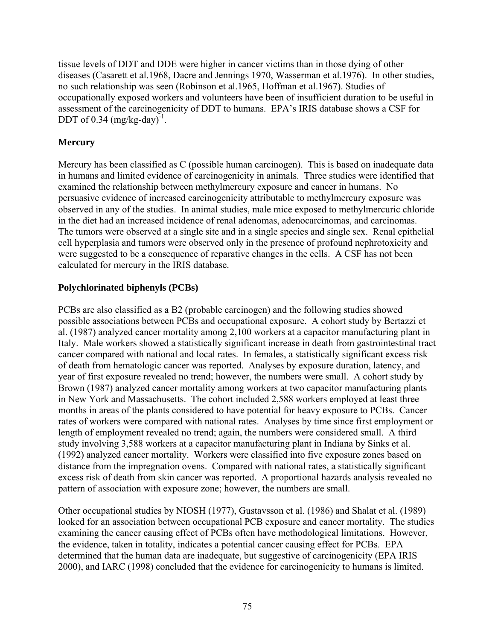tissue levels of DDT and DDE were higher in cancer victims than in those dying of other diseases (Casarett et al.1968, Dacre and Jennings 1970, Wasserman et al.1976). In other studies, no such relationship was seen (Robinson et al.1965, Hoffman et al.1967). Studies of occupationally exposed workers and volunteers have been of insufficient duration to be useful in assessment of the carcinogenicity of DDT to humans. EPA's IRIS database shows a CSF for DDT of 0.34  $(mg/kg-day)^{-1}$ .

## **Mercury**

Mercury has been classified as C (possible human carcinogen). This is based on inadequate data in humans and limited evidence of carcinogenicity in animals. Three studies were identified that examined the relationship between methylmercury exposure and cancer in humans. No persuasive evidence of increased carcinogenicity attributable to methylmercury exposure was observed in any of the studies. In animal studies, male mice exposed to methylmercuric chloride in the diet had an increased incidence of renal adenomas, adenocarcinomas, and carcinomas. The tumors were observed at a single site and in a single species and single sex. Renal epithelial cell hyperplasia and tumors were observed only in the presence of profound nephrotoxicity and were suggested to be a consequence of reparative changes in the cells. A CSF has not been calculated for mercury in the IRIS database.

### **Polychlorinated biphenyls (PCBs)**

PCBs are also classified as a B2 (probable carcinogen) and the following studies showed possible associations between PCBs and occupational exposure. A cohort study by Bertazzi et al. (1987) analyzed cancer mortality among 2,100 workers at a capacitor manufacturing plant in Italy. Male workers showed a statistically significant increase in death from gastrointestinal tract cancer compared with national and local rates. In females, a statistically significant excess risk of death from hematologic cancer was reported. Analyses by exposure duration, latency, and year of first exposure revealed no trend; however, the numbers were small. A cohort study by Brown (1987) analyzed cancer mortality among workers at two capacitor manufacturing plants in New York and Massachusetts. The cohort included 2,588 workers employed at least three months in areas of the plants considered to have potential for heavy exposure to PCBs. Cancer rates of workers were compared with national rates. Analyses by time since first employment or length of employment revealed no trend; again, the numbers were considered small. A third study involving 3,588 workers at a capacitor manufacturing plant in Indiana by Sinks et al. (1992) analyzed cancer mortality. Workers were classified into five exposure zones based on distance from the impregnation ovens. Compared with national rates, a statistically significant excess risk of death from skin cancer was reported. A proportional hazards analysis revealed no pattern of association with exposure zone; however, the numbers are small.

Other occupational studies by NIOSH (1977), Gustavsson et al. (1986) and Shalat et al. (1989) looked for an association between occupational PCB exposure and cancer mortality. The studies examining the cancer causing effect of PCBs often have methodological limitations. However, the evidence, taken in totality, indicates a potential cancer causing effect for PCBs. EPA determined that the human data are inadequate, but suggestive of carcinogenicity (EPA IRIS 2000), and IARC (1998) concluded that the evidence for carcinogenicity to humans is limited.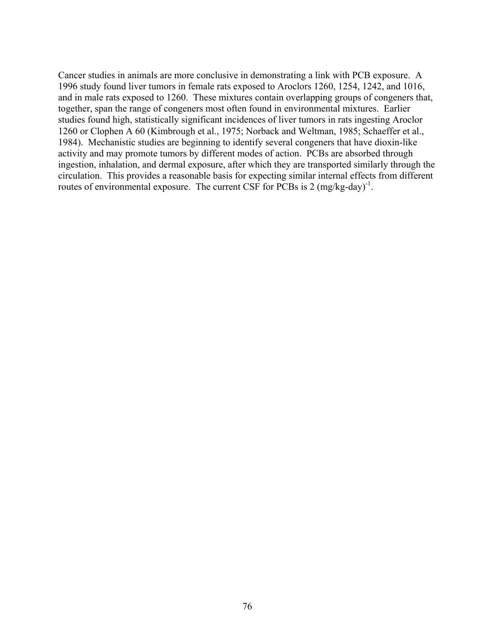Cancer studies in animals are more conclusive in demonstrating a link with PCB exposure. A 1996 study found liver tumors in female rats exposed to Aroclors 1260, 1254, 1242, and 1016, and in male rats exposed to 1260. These mixtures contain overlapping groups of congeners that, together, span the range of congeners most often found in environmental mixtures. Earlier studies found high, statistically significant incidences of liver tumors in rats ingesting Aroclor 1260 or Clophen A 60 (Kimbrough et al., 1975; Norback and Weltman, 1985; Schaeffer et al., 1984). Mechanistic studies are beginning to identify several congeners that have dioxin-like activity and may promote tumors by different modes of action. PCBs are absorbed through ingestion, inhalation, and dermal exposure, after which they are transported similarly through the circulation. This provides a reasonable basis for expecting similar internal effects from different routes of environmental exposure. The current CSF for PCBs is  $2 \text{ (mg/kg-day)}^{-1}$ .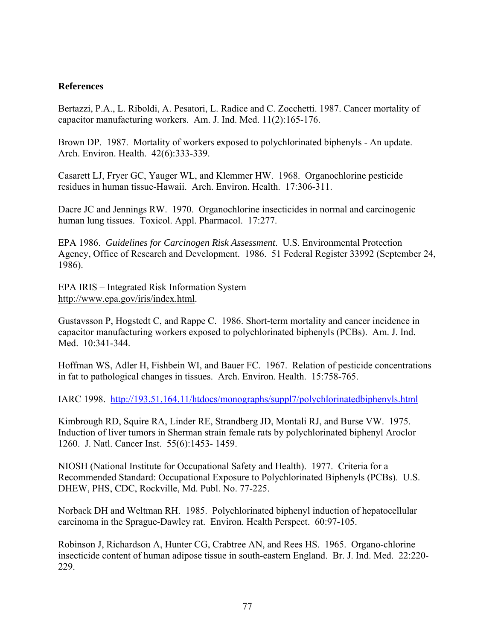#### **References**

Bertazzi, P.A., L. Riboldi, A. Pesatori, L. Radice and C. Zocchetti. 1987. Cancer mortality of capacitor manufacturing workers. Am. J. Ind. Med. 11(2):165-176.

Brown DP. 1987. Mortality of workers exposed to polychlorinated biphenyls - An update. Arch. Environ. Health. 42(6):333-339.

Casarett LJ, Fryer GC, Yauger WL, and Klemmer HW. 1968. Organochlorine pesticide residues in human tissue-Hawaii. Arch. Environ. Health. 17:306-311.

Dacre JC and Jennings RW. 1970. Organochlorine insecticides in normal and carcinogenic human lung tissues. Toxicol. Appl. Pharmacol. 17:277.

EPA 1986. *Guidelines for Carcinogen Risk Assessment*. U.S. Environmental Protection Agency, Office of Research and Development. 1986. 51 Federal Register 33992 (September 24, 1986).

EPA IRIS – Integrated Risk Information System http://www.epa.gov/iris/index.html.

Gustavsson P, Hogstedt C, and Rappe C. 1986. Short-term mortality and cancer incidence in capacitor manufacturing workers exposed to polychlorinated biphenyls (PCBs). Am. J. Ind. Med. 10:341-344.

Hoffman WS, Adler H, Fishbein WI, and Bauer FC. 1967. Relation of pesticide concentrations in fat to pathological changes in tissues. Arch. Environ. Health. 15:758-765.

IARC 1998. http://193.51.164.11/htdocs/monographs/suppl7/polychlorinatedbiphenyls.html

Kimbrough RD, Squire RA, Linder RE, Strandberg JD, Montali RJ, and Burse VW. 1975. Induction of liver tumors in Sherman strain female rats by polychlorinated biphenyl Aroclor 1260. J. Natl. Cancer Inst. 55(6):1453- 1459.

NIOSH (National Institute for Occupational Safety and Health). 1977. Criteria for a Recommended Standard: Occupational Exposure to Polychlorinated Biphenyls (PCBs). U.S. DHEW, PHS, CDC, Rockville, Md. Publ. No. 77-225.

Norback DH and Weltman RH. 1985. Polychlorinated biphenyl induction of hepatocellular carcinoma in the Sprague-Dawley rat. Environ. Health Perspect. 60:97-105.

Robinson J, Richardson A, Hunter CG, Crabtree AN, and Rees HS. 1965. Organo-chlorine insecticide content of human adipose tissue in south-eastern England. Br. J. Ind. Med. 22:220- 229.